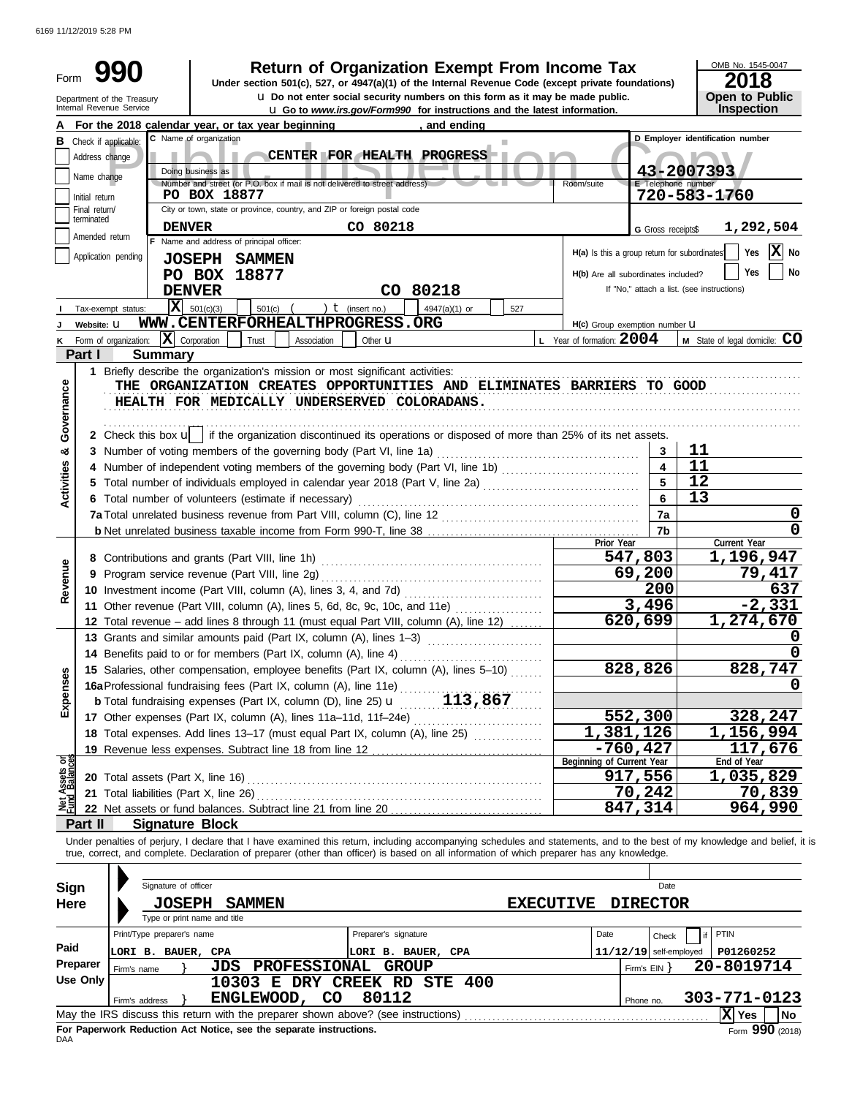6169 11/12/2019 5:28 PM

| Form              |                                                  | Department of the Treasury                                                                                         |                                                                                                                                                                                                                                                                                                                                           |                      | <b>Return of Organization Exempt From Income Tax</b><br>Under section 501(c), 527, or 4947(a)(1) of the Internal Revenue Code (except private foundations)<br><b>u</b> Do not enter social security numbers on this form as it may be made public. |                                              |                          | OMB No. 1545-0047<br>2018<br><b>Open to Public</b> |  |
|-------------------|--------------------------------------------------|--------------------------------------------------------------------------------------------------------------------|-------------------------------------------------------------------------------------------------------------------------------------------------------------------------------------------------------------------------------------------------------------------------------------------------------------------------------------------|----------------------|----------------------------------------------------------------------------------------------------------------------------------------------------------------------------------------------------------------------------------------------------|----------------------------------------------|--------------------------|----------------------------------------------------|--|
|                   |                                                  | Internal Revenue Service                                                                                           |                                                                                                                                                                                                                                                                                                                                           |                      | <b>u</b> Go to www.irs.gov/Form990 for instructions and the latest information.                                                                                                                                                                    |                                              |                          | Inspection                                         |  |
|                   | Address change<br>Name change                    | <b>B</b> Check if applicable:                                                                                      | For the 2018 calendar year, or tax year beginning<br>C Name of organization<br>Doing business as<br>Number and street (or P.O. box if mail is not delivered to street address)                                                                                                                                                            |                      | , and ending<br>CENTER FOR HEALTH PROGRESS                                                                                                                                                                                                         | Room/suite                                   | E Telephone number       | D Employer identification number<br>43-2007393     |  |
|                   | Initial return                                   |                                                                                                                    | PO BOX 18877                                                                                                                                                                                                                                                                                                                              |                      |                                                                                                                                                                                                                                                    |                                              |                          | 720-583-1760                                       |  |
|                   | Final return/                                    | City or town, state or province, country, and ZIP or foreign postal code                                           |                                                                                                                                                                                                                                                                                                                                           |                      |                                                                                                                                                                                                                                                    |                                              |                          |                                                    |  |
|                   | terminated                                       | <b>DENVER</b>                                                                                                      |                                                                                                                                                                                                                                                                                                                                           | CO 80218             |                                                                                                                                                                                                                                                    |                                              | G Gross receipts\$       | 1,292,504                                          |  |
|                   | Amended return                                   |                                                                                                                    | F Name and address of principal officer:                                                                                                                                                                                                                                                                                                  |                      |                                                                                                                                                                                                                                                    |                                              |                          |                                                    |  |
|                   |                                                  | Application pending                                                                                                | <b>JOSEPH SAMMEN</b>                                                                                                                                                                                                                                                                                                                      |                      |                                                                                                                                                                                                                                                    | H(a) Is this a group return for subordinates |                          | $ \mathbf{X} $ No<br>Yes                           |  |
|                   |                                                  |                                                                                                                    | PO BOX 18877                                                                                                                                                                                                                                                                                                                              |                      |                                                                                                                                                                                                                                                    | H(b) Are all subordinates included?          |                          | Yes<br>No                                          |  |
|                   |                                                  | <b>DENVER</b>                                                                                                      |                                                                                                                                                                                                                                                                                                                                           |                      | CO 80218                                                                                                                                                                                                                                           |                                              |                          | If "No," attach a list. (see instructions)         |  |
|                   |                                                  | Tax-exempt status:                                                                                                 | $\overline{\mathbf{X}}$ 501(c)(3)<br>501(c)                                                                                                                                                                                                                                                                                               | ) $t$ (insert no.)   | 4947(a)(1) or<br>527                                                                                                                                                                                                                               |                                              |                          |                                                    |  |
|                   | Website: U                                       |                                                                                                                    | WWW.CENTERFORHEALTHPROGRESS.ORG                                                                                                                                                                                                                                                                                                           |                      |                                                                                                                                                                                                                                                    | H(c) Group exemption number <b>U</b>         |                          |                                                    |  |
|                   |                                                  | $\mathbf{X}$ Corporation<br>Form of organization:                                                                  | Trust<br>Association                                                                                                                                                                                                                                                                                                                      | Other <b>u</b>       |                                                                                                                                                                                                                                                    | L Year of formation: $2004$                  |                          | M State of legal domicile: CO                      |  |
|                   | Part I                                           | <b>Summary</b>                                                                                                     |                                                                                                                                                                                                                                                                                                                                           |                      |                                                                                                                                                                                                                                                    |                                              |                          |                                                    |  |
|                   |                                                  |                                                                                                                    | 1 Briefly describe the organization's mission or most significant activities:                                                                                                                                                                                                                                                             |                      |                                                                                                                                                                                                                                                    |                                              |                          |                                                    |  |
| Governance        |                                                  |                                                                                                                    | THE ORGANIZATION CREATES OPPORTUNITIES AND ELIMINATES BARRIERS TO GOOD<br>HEALTH FOR MEDICALLY UNDERSERVED COLORADANS.                                                                                                                                                                                                                    |                      |                                                                                                                                                                                                                                                    |                                              |                          |                                                    |  |
|                   |                                                  |                                                                                                                    | 2 Check this box u   if the organization discontinued its operations or disposed of more than 25% of its net assets.                                                                                                                                                                                                                      |                      |                                                                                                                                                                                                                                                    |                                              |                          |                                                    |  |
| ೲ                 |                                                  |                                                                                                                    | 3 Number of voting members of the governing body (Part VI, line 1a)                                                                                                                                                                                                                                                                       |                      |                                                                                                                                                                                                                                                    |                                              | 3                        | 11                                                 |  |
| <b>Activities</b> |                                                  |                                                                                                                    | 4 Number of independent voting members of the governing body (Part VI, line 1b)                                                                                                                                                                                                                                                           |                      |                                                                                                                                                                                                                                                    |                                              | 4                        | 11                                                 |  |
|                   |                                                  |                                                                                                                    | 5 Total number of individuals employed in calendar year 2018 (Part V, line 2a)                                                                                                                                                                                                                                                            |                      |                                                                                                                                                                                                                                                    |                                              |                          | 12                                                 |  |
|                   |                                                  |                                                                                                                    | 6 Total number of volunteers (estimate if necessary)                                                                                                                                                                                                                                                                                      |                      | 6                                                                                                                                                                                                                                                  | 13                                           |                          |                                                    |  |
|                   |                                                  |                                                                                                                    |                                                                                                                                                                                                                                                                                                                                           |                      |                                                                                                                                                                                                                                                    |                                              | 7a                       | 0                                                  |  |
|                   |                                                  |                                                                                                                    |                                                                                                                                                                                                                                                                                                                                           |                      |                                                                                                                                                                                                                                                    |                                              | 7b                       | 0                                                  |  |
|                   |                                                  |                                                                                                                    |                                                                                                                                                                                                                                                                                                                                           |                      |                                                                                                                                                                                                                                                    | Prior Year                                   |                          | Current Year                                       |  |
|                   |                                                  |                                                                                                                    | 8 Contributions and grants (Part VIII, line 1h)                                                                                                                                                                                                                                                                                           |                      | 547,803<br>69,200                                                                                                                                                                                                                                  | 1,196,947                                    |                          |                                                    |  |
|                   |                                                  | 9 Program service revenue (Part VIII, line 2g)<br>10 Investment income (Part VIII, column (A), lines 3, 4, and 7d) |                                                                                                                                                                                                                                                                                                                                           |                      |                                                                                                                                                                                                                                                    |                                              |                          | 79,417                                             |  |
| Revenue           |                                                  |                                                                                                                    |                                                                                                                                                                                                                                                                                                                                           |                      |                                                                                                                                                                                                                                                    |                                              | 200                      | 637                                                |  |
|                   |                                                  |                                                                                                                    |                                                                                                                                                                                                                                                                                                                                           |                      |                                                                                                                                                                                                                                                    |                                              | 3,496                    | $-2,331$                                           |  |
|                   |                                                  |                                                                                                                    | 12 Total revenue – add lines 8 through 11 (must equal Part VIII, column (A), line 12)                                                                                                                                                                                                                                                     |                      |                                                                                                                                                                                                                                                    |                                              | 620,699                  | 1,274,670                                          |  |
|                   |                                                  |                                                                                                                    | 13 Grants and similar amounts paid (Part IX, column (A), lines 1-3)                                                                                                                                                                                                                                                                       |                      |                                                                                                                                                                                                                                                    |                                              |                          | 0                                                  |  |
|                   |                                                  |                                                                                                                    | 14 Benefits paid to or for members (Part IX, column (A), line 4)                                                                                                                                                                                                                                                                          |                      |                                                                                                                                                                                                                                                    |                                              |                          | 0                                                  |  |
|                   |                                                  |                                                                                                                    | 15 Salaries, other compensation, employee benefits (Part IX, column (A), lines 5-10)                                                                                                                                                                                                                                                      |                      |                                                                                                                                                                                                                                                    |                                              | 828,826                  | 828,747                                            |  |
| Expenses          |                                                  |                                                                                                                    | 16a Professional fundraising fees (Part IX, column (A), line 11e)                                                                                                                                                                                                                                                                         |                      |                                                                                                                                                                                                                                                    |                                              |                          |                                                    |  |
|                   |                                                  |                                                                                                                    | <b>b</b> Total fundraising expenses (Part IX, column (D), line 25) $\mathbf{u}$ 113,867                                                                                                                                                                                                                                                   |                      |                                                                                                                                                                                                                                                    |                                              |                          |                                                    |  |
|                   |                                                  |                                                                                                                    | 17 Other expenses (Part IX, column (A), lines 11a-11d, 11f-24e)                                                                                                                                                                                                                                                                           |                      | .                                                                                                                                                                                                                                                  |                                              | 552,300                  | 328,247                                            |  |
|                   |                                                  |                                                                                                                    |                                                                                                                                                                                                                                                                                                                                           |                      |                                                                                                                                                                                                                                                    |                                              | 1,381,126                | 1,156,994                                          |  |
|                   |                                                  |                                                                                                                    | 19 Revenue less expenses. Subtract line 18 from line 12                                                                                                                                                                                                                                                                                   |                      |                                                                                                                                                                                                                                                    |                                              | $-760, 427$              | 117,676                                            |  |
| Assets or         |                                                  |                                                                                                                    |                                                                                                                                                                                                                                                                                                                                           |                      |                                                                                                                                                                                                                                                    | Beginning of Current Year                    |                          | End of Year                                        |  |
|                   |                                                  |                                                                                                                    |                                                                                                                                                                                                                                                                                                                                           |                      |                                                                                                                                                                                                                                                    |                                              | 917,556                  | 1,035,829                                          |  |
| <b>PE</b>         |                                                  | 21 Total liabilities (Part X, line 26)                                                                             |                                                                                                                                                                                                                                                                                                                                           |                      |                                                                                                                                                                                                                                                    |                                              | 70,242                   | 70,839                                             |  |
|                   |                                                  |                                                                                                                    |                                                                                                                                                                                                                                                                                                                                           |                      |                                                                                                                                                                                                                                                    |                                              | 847,314                  | 964,990                                            |  |
|                   | Part II                                          | <b>Signature Block</b>                                                                                             |                                                                                                                                                                                                                                                                                                                                           |                      |                                                                                                                                                                                                                                                    |                                              |                          |                                                    |  |
| Sign<br>Here      |                                                  | Signature of officer<br><b>JOSEPH</b>                                                                              | Under penalties of perjury, I declare that I have examined this return, including accompanying schedules and statements, and to the best of my knowledge and belief, it is<br>true, correct, and complete. Declaration of preparer (other than officer) is based on all information of which preparer has any knowledge.<br><b>SAMMEN</b> |                      |                                                                                                                                                                                                                                                    | <b>EXECUTIVE</b>                             | Date<br><b>DIRECTOR</b>  |                                                    |  |
|                   |                                                  |                                                                                                                    | Type or print name and title                                                                                                                                                                                                                                                                                                              |                      |                                                                                                                                                                                                                                                    |                                              |                          |                                                    |  |
|                   |                                                  | Print/Type preparer's name                                                                                         |                                                                                                                                                                                                                                                                                                                                           | Preparer's signature |                                                                                                                                                                                                                                                    | Date                                         | Check                    | PTIN                                               |  |
| Paid              |                                                  | LORI B. BAUER, CPA                                                                                                 |                                                                                                                                                                                                                                                                                                                                           |                      |                                                                                                                                                                                                                                                    |                                              | $11/12/19$ self-employed | P01260252                                          |  |
|                   | Preparer                                         |                                                                                                                    | PROFESSIONAL GROUP<br>JDS                                                                                                                                                                                                                                                                                                                 | LORI B. BAUER, CPA   |                                                                                                                                                                                                                                                    |                                              |                          | 20-8019714                                         |  |
|                   | <b>Use Only</b>                                  | Firm's name                                                                                                        | 10303 E DRY CREEK RD STE 400                                                                                                                                                                                                                                                                                                              |                      |                                                                                                                                                                                                                                                    |                                              | Firm's EIN               |                                                    |  |
|                   |                                                  |                                                                                                                    | ENGLEWOOD,                                                                                                                                                                                                                                                                                                                                | 80112                |                                                                                                                                                                                                                                                    |                                              |                          | 303-771-0123                                       |  |
|                   | CO<br>Firm's address<br>Phone no.<br>X Yes<br>No |                                                                                                                    |                                                                                                                                                                                                                                                                                                                                           |                      |                                                                                                                                                                                                                                                    |                                              |                          |                                                    |  |

**For Paperwork Reduction Act Notice, see the separate instructions.**<br>DAA Firm's address **}** ENGLEWOOD, CO 80112<br>May the IRS discuss this return with the preparer shown above? (see instructions)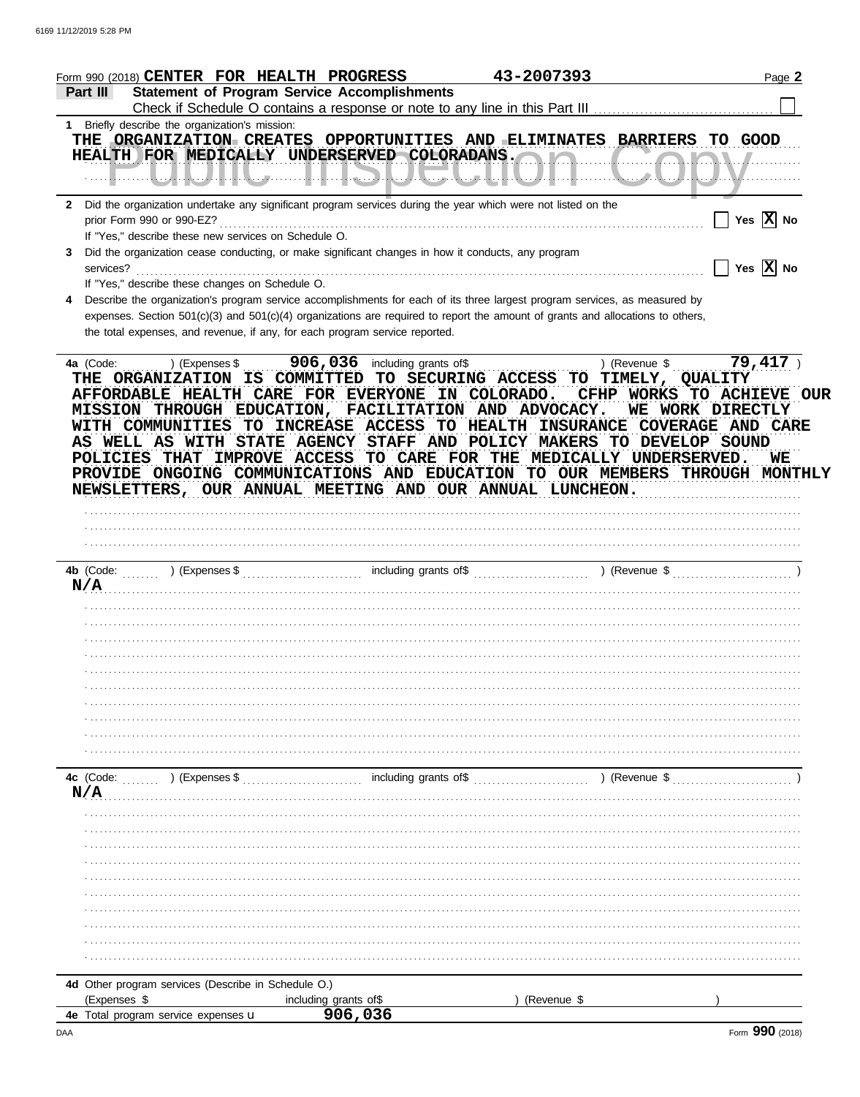| Form 990 (2018) <b>CENTER FOR HEALTH PROGRESS</b>                                                                                                                                                                                                                                                                                                                                                                                                                                                                                                                                                   |                       | 43-2007393  |               | Page 2                                            |
|-----------------------------------------------------------------------------------------------------------------------------------------------------------------------------------------------------------------------------------------------------------------------------------------------------------------------------------------------------------------------------------------------------------------------------------------------------------------------------------------------------------------------------------------------------------------------------------------------------|-----------------------|-------------|---------------|---------------------------------------------------|
| <b>Statement of Program Service Accomplishments</b><br>Part III                                                                                                                                                                                                                                                                                                                                                                                                                                                                                                                                     |                       |             |               |                                                   |
| 1 Briefly describe the organization's mission:                                                                                                                                                                                                                                                                                                                                                                                                                                                                                                                                                      |                       |             |               |                                                   |
| THE ORGANIZATION CREATES OPPORTUNITIES AND ELIMINATES BARRIERS TO GOOD<br>HEALTH FOR MEDICALLY UNDERSERVED COLORADANS. A MARIE AND MALL AND MUNICIPAL MEDICALLY                                                                                                                                                                                                                                                                                                                                                                                                                                     |                       |             |               |                                                   |
| Did the organization undertake any significant program services during the year which were not listed on the<br>$\mathbf{2}$<br>If "Yes," describe these new services on Schedule O.                                                                                                                                                                                                                                                                                                                                                                                                                |                       |             |               | $\boxed{\phantom{1}}$ Yes $\boxed{\mathbf{X}}$ No |
| Did the organization cease conducting, or make significant changes in how it conducts, any program<br>3                                                                                                                                                                                                                                                                                                                                                                                                                                                                                             |                       |             |               | $\boxed{\phantom{1}}$ Yes $\boxed{\mathbf{X}}$ No |
| If "Yes," describe these changes on Schedule O.<br>Describe the organization's program service accomplishments for each of its three largest program services, as measured by<br>4<br>expenses. Section 501(c)(3) and 501(c)(4) organizations are required to report the amount of grants and allocations to others,<br>the total expenses, and revenue, if any, for each program service reported.                                                                                                                                                                                                 |                       |             |               |                                                   |
| THE ORGANIZATION IS COMMITTED TO SECURING ACCESS TO TIMELY, QUALITY<br>AFFORDABLE HEALTH CARE FOR EVERYONE IN COLORADO. CFHP WORKS TO ACHIEVE OUR<br>MISSION THROUGH EDUCATION, FACILITATION AND ADVOCACY. WE WORK DIRECTLY<br>WITH COMMUNITIES TO INCREASE ACCESS TO HEALTH INSURANCE COVERAGE AND CARE<br>AS WELL AS WITH STATE AGENCY STAFF AND POLICY MAKERS TO DEVELOP SOUND<br>POLICIES THAT IMPROVE ACCESS TO CARE FOR THE MEDICALLY UNDERSERVED.<br>PROVIDE ONGOING COMMUNICATIONS AND EDUCATION TO OUR MEMBERS THROUGH MONTHLY<br>NEWSLETTERS, OUR ANNUAL MEETING AND OUR ANNUAL LUNCHEON. |                       |             |               | $79,417$ )<br>WE                                  |
|                                                                                                                                                                                                                                                                                                                                                                                                                                                                                                                                                                                                     |                       |             |               |                                                   |
| N/A                                                                                                                                                                                                                                                                                                                                                                                                                                                                                                                                                                                                 |                       |             |               |                                                   |
|                                                                                                                                                                                                                                                                                                                                                                                                                                                                                                                                                                                                     |                       |             |               |                                                   |
|                                                                                                                                                                                                                                                                                                                                                                                                                                                                                                                                                                                                     |                       |             |               |                                                   |
|                                                                                                                                                                                                                                                                                                                                                                                                                                                                                                                                                                                                     |                       |             |               |                                                   |
|                                                                                                                                                                                                                                                                                                                                                                                                                                                                                                                                                                                                     |                       |             |               |                                                   |
|                                                                                                                                                                                                                                                                                                                                                                                                                                                                                                                                                                                                     |                       |             |               |                                                   |
| 4c (Code: ) (Expenses \$<br>N/A                                                                                                                                                                                                                                                                                                                                                                                                                                                                                                                                                                     | including grants of\$ |             | ) (Revenue \$ |                                                   |
|                                                                                                                                                                                                                                                                                                                                                                                                                                                                                                                                                                                                     |                       |             |               |                                                   |
|                                                                                                                                                                                                                                                                                                                                                                                                                                                                                                                                                                                                     |                       |             |               |                                                   |
|                                                                                                                                                                                                                                                                                                                                                                                                                                                                                                                                                                                                     |                       |             |               |                                                   |
|                                                                                                                                                                                                                                                                                                                                                                                                                                                                                                                                                                                                     |                       |             |               |                                                   |
|                                                                                                                                                                                                                                                                                                                                                                                                                                                                                                                                                                                                     |                       |             |               |                                                   |
|                                                                                                                                                                                                                                                                                                                                                                                                                                                                                                                                                                                                     |                       |             |               |                                                   |
|                                                                                                                                                                                                                                                                                                                                                                                                                                                                                                                                                                                                     |                       |             |               |                                                   |
|                                                                                                                                                                                                                                                                                                                                                                                                                                                                                                                                                                                                     |                       |             |               |                                                   |
|                                                                                                                                                                                                                                                                                                                                                                                                                                                                                                                                                                                                     |                       |             |               |                                                   |
|                                                                                                                                                                                                                                                                                                                                                                                                                                                                                                                                                                                                     |                       |             |               |                                                   |
| 4d Other program services (Describe in Schedule O.)                                                                                                                                                                                                                                                                                                                                                                                                                                                                                                                                                 |                       |             |               |                                                   |
| (Expenses \$                                                                                                                                                                                                                                                                                                                                                                                                                                                                                                                                                                                        | including grants of\$ | (Revenue \$ |               |                                                   |
| 4e Total program service expenses u                                                                                                                                                                                                                                                                                                                                                                                                                                                                                                                                                                 | 906,036               |             |               |                                                   |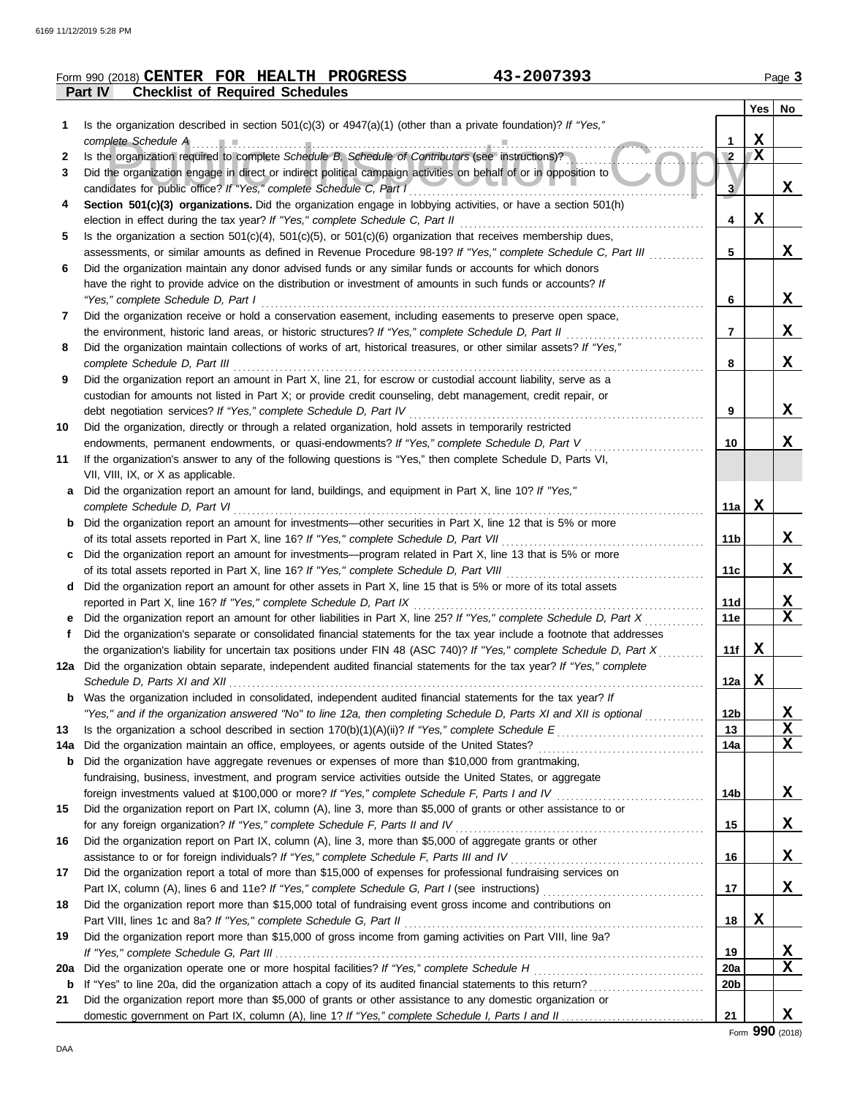|     | 43-2007393<br>Form 990 (2018) CENTER FOR HEALTH PROGRESS                                                                                                                             |                 |             | Page 3   |
|-----|--------------------------------------------------------------------------------------------------------------------------------------------------------------------------------------|-----------------|-------------|----------|
|     | Part IV<br><b>Checklist of Required Schedules</b>                                                                                                                                    |                 |             |          |
|     |                                                                                                                                                                                      |                 |             | Yes   No |
| 1   | Is the organization described in section $501(c)(3)$ or $4947(a)(1)$ (other than a private foundation)? If "Yes,"                                                                    |                 |             |          |
|     | complete Schedule A                                                                                                                                                                  | 1               | $\mathbf x$ |          |
| 2   | Is the organization required to complete Schedule B, Schedule of Contributors (see instructions)?                                                                                    | $\sqrt{2}$      | X           |          |
| 3   | Did the organization engage in direct or indirect political campaign activities on behalf of or in opposition to                                                                     |                 |             |          |
|     | candidates for public office? If "Yes," complete Schedule C, Part I<br>Section 501(c)(3) organizations. Did the organization engage in lobbying activities, or have a section 501(h) | 3               |             | X        |
| 4   | election in effect during the tax year? If "Yes," complete Schedule C, Part II                                                                                                       | 4               | $\mathbf x$ |          |
| 5   | Is the organization a section $501(c)(4)$ , $501(c)(5)$ , or $501(c)(6)$ organization that receives membership dues,                                                                 |                 |             |          |
|     | assessments, or similar amounts as defined in Revenue Procedure 98-19? If "Yes," complete Schedule C, Part III                                                                       | 5               |             | X        |
| 6   | Did the organization maintain any donor advised funds or any similar funds or accounts for which donors                                                                              |                 |             |          |
|     | have the right to provide advice on the distribution or investment of amounts in such funds or accounts? If                                                                          |                 |             |          |
|     | "Yes," complete Schedule D, Part I                                                                                                                                                   | 6               |             | X        |
| 7   | Did the organization receive or hold a conservation easement, including easements to preserve open space,                                                                            |                 |             |          |
|     | the environment, historic land areas, or historic structures? If "Yes," complete Schedule D, Part II                                                                                 | 7               |             | X        |
| 8   | Did the organization maintain collections of works of art, historical treasures, or other similar assets? If "Yes,"                                                                  |                 |             |          |
|     | complete Schedule D, Part III                                                                                                                                                        | 8               |             | X        |
| 9   | Did the organization report an amount in Part X, line 21, for escrow or custodial account liability, serve as a                                                                      |                 |             |          |
|     | custodian for amounts not listed in Part X; or provide credit counseling, debt management, credit repair, or                                                                         |                 |             |          |
|     | debt negotiation services? If "Yes," complete Schedule D, Part IV                                                                                                                    | 9               |             | X        |
| 10  | Did the organization, directly or through a related organization, hold assets in temporarily restricted                                                                              |                 |             |          |
|     | endowments, permanent endowments, or quasi-endowments? If "Yes," complete Schedule D, Part V                                                                                         | 10              |             | X        |
| 11  | If the organization's answer to any of the following questions is "Yes," then complete Schedule D, Parts VI,                                                                         |                 |             |          |
|     | VII, VIII, IX, or X as applicable.<br>Did the organization report an amount for land, buildings, and equipment in Part X, line 10? If "Yes,"                                         |                 |             |          |
| а   | complete Schedule D, Part VI                                                                                                                                                         | 11a             | X           |          |
|     | Did the organization report an amount for investments—other securities in Part X, line 12 that is 5% or more                                                                         |                 |             |          |
|     | of its total assets reported in Part X, line 16? If "Yes," complete Schedule D, Part VII                                                                                             | 11 <sub>b</sub> |             | X        |
| c   | Did the organization report an amount for investments—program related in Part X, line 13 that is 5% or more                                                                          |                 |             |          |
|     | of its total assets reported in Part X, line 16? If "Yes," complete Schedule D, Part VIII                                                                                            | 11c             |             | X        |
| d   | Did the organization report an amount for other assets in Part X, line 15 that is 5% or more of its total assets                                                                     |                 |             |          |
|     | reported in Part X, line 16? If "Yes," complete Schedule D, Part IX                                                                                                                  | 11d             |             | X        |
|     | Did the organization report an amount for other liabilities in Part X, line 25? If "Yes," complete Schedule D, Part X                                                                | 11e             |             | X        |
| f   | Did the organization's separate or consolidated financial statements for the tax year include a footnote that addresses                                                              |                 |             |          |
|     | the organization's liability for uncertain tax positions under FIN 48 (ASC 740)? If "Yes," complete Schedule D, Part X                                                               | 11f             | X           |          |
|     | 12a Did the organization obtain separate, independent audited financial statements for the tax year? If "Yes," complete                                                              |                 |             |          |
|     |                                                                                                                                                                                      | 12a             | X           |          |
| b   | Was the organization included in consolidated, independent audited financial statements for the tax year? If                                                                         |                 |             |          |
|     | "Yes," and if the organization answered "No" to line 12a, then completing Schedule D, Parts XI and XII is optional                                                                   | 12b             |             | X        |
| 13  |                                                                                                                                                                                      | 13              |             | X        |
| 14a | Did the organization maintain an office, employees, or agents outside of the United States?                                                                                          | 14a             |             | X        |
| b   | Did the organization have aggregate revenues or expenses of more than \$10,000 from grantmaking,                                                                                     |                 |             |          |
|     | fundraising, business, investment, and program service activities outside the United States, or aggregate                                                                            | 14b             |             | X        |
| 15  | Did the organization report on Part IX, column (A), line 3, more than \$5,000 of grants or other assistance to or                                                                    |                 |             |          |
|     | for any foreign organization? If "Yes," complete Schedule F, Parts II and IV                                                                                                         | 15              |             | X        |
| 16  | Did the organization report on Part IX, column (A), line 3, more than \$5,000 of aggregate grants or other                                                                           |                 |             |          |
|     |                                                                                                                                                                                      | 16              |             | X        |
| 17  | Did the organization report a total of more than \$15,000 of expenses for professional fundraising services on                                                                       |                 |             |          |
|     |                                                                                                                                                                                      | 17              |             | X        |
| 18  | Did the organization report more than \$15,000 total of fundraising event gross income and contributions on                                                                          |                 |             |          |
|     | Part VIII, lines 1c and 8a? If "Yes," complete Schedule G, Part II                                                                                                                   | 18              | X           |          |
| 19  | Did the organization report more than \$15,000 of gross income from gaming activities on Part VIII, line 9a?                                                                         |                 |             |          |
|     |                                                                                                                                                                                      | 19              |             | X        |
| 20a |                                                                                                                                                                                      | 20a             |             | X        |
| b   |                                                                                                                                                                                      | 20 <sub>b</sub> |             |          |
| 21  | Did the organization report more than \$5,000 of grants or other assistance to any domestic organization or                                                                          |                 |             |          |
|     |                                                                                                                                                                                      | 21              |             | X        |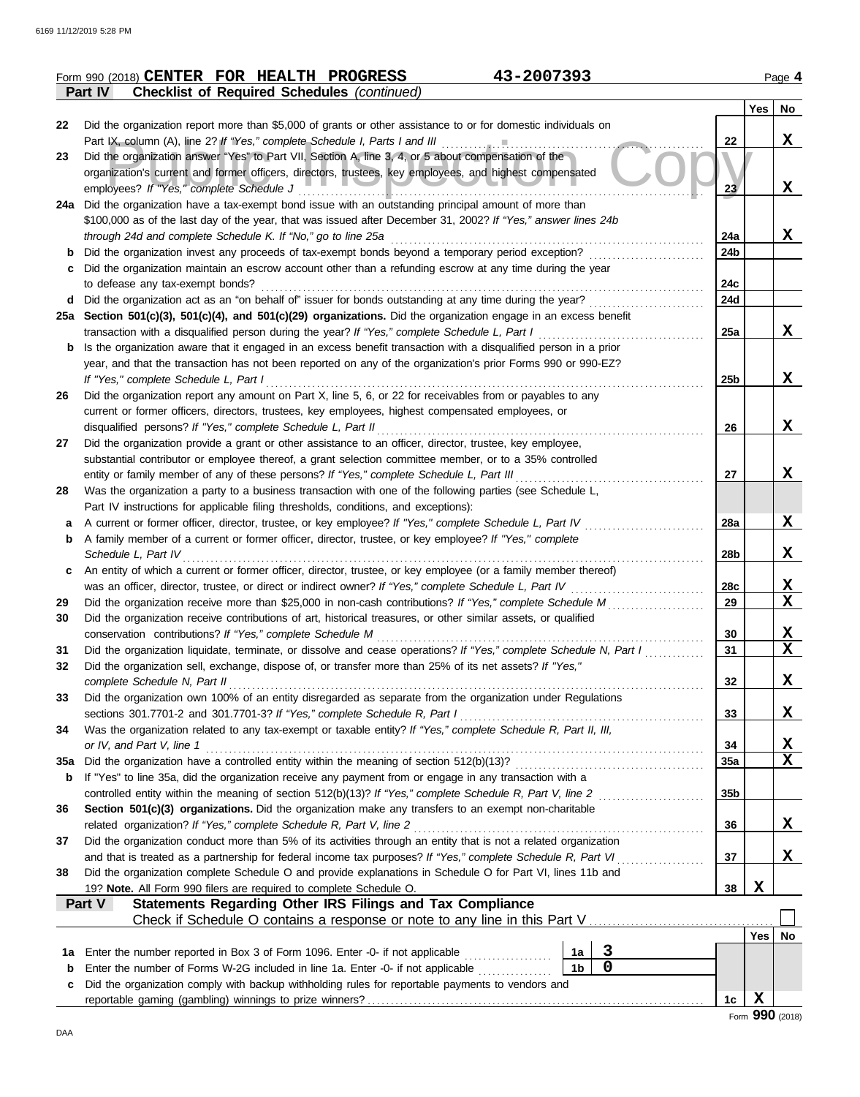|     | 43-2007393<br>Form 990 (2018) CENTER FOR HEALTH PROGRESS                                                                                                                                                          |                 |               | Page 4       |
|-----|-------------------------------------------------------------------------------------------------------------------------------------------------------------------------------------------------------------------|-----------------|---------------|--------------|
|     | <b>Checklist of Required Schedules (continued)</b><br><b>Part IV</b>                                                                                                                                              |                 |               |              |
|     |                                                                                                                                                                                                                   |                 | Yes           | No           |
| 22  | Did the organization report more than \$5,000 of grants or other assistance to or for domestic individuals on                                                                                                     |                 |               | X            |
| 23  | Part IX, column (A), line 2? If "Yes," complete Schedule I, Parts I and III<br>Did the organization answer "Yes" to Part VII, Section A, line 3, 4, or 5 about compensation of the                                | 22              |               |              |
|     | organization's current and former officers, directors, trustees, key employees, and highest compensated                                                                                                           |                 |               |              |
|     | employees? If "Yes," complete Schedule J                                                                                                                                                                          | 23              |               | X            |
|     | 24a Did the organization have a tax-exempt bond issue with an outstanding principal amount of more than                                                                                                           |                 |               |              |
|     | \$100,000 as of the last day of the year, that was issued after December 31, 2002? If "Yes," answer lines 24b                                                                                                     |                 |               |              |
|     | through 24d and complete Schedule K. If "No," go to line 25a                                                                                                                                                      | 24a             |               | X            |
| b   | Did the organization invest any proceeds of tax-exempt bonds beyond a temporary period exception?                                                                                                                 | 24b             |               |              |
|     | Did the organization maintain an escrow account other than a refunding escrow at any time during the year                                                                                                         |                 |               |              |
|     | to defease any tax-exempt bonds?                                                                                                                                                                                  | 24c             |               |              |
|     | d Did the organization act as an "on behalf of" issuer for bonds outstanding at any time during the year?                                                                                                         | 24d             |               |              |
|     | 25a Section 501(c)(3), 501(c)(4), and 501(c)(29) organizations. Did the organization engage in an excess benefit                                                                                                  |                 |               | X            |
|     | transaction with a disqualified person during the year? If "Yes," complete Schedule L, Part I<br>Is the organization aware that it engaged in an excess benefit transaction with a disqualified person in a prior | 25a             |               |              |
| b   | year, and that the transaction has not been reported on any of the organization's prior Forms 990 or 990-EZ?                                                                                                      |                 |               |              |
|     | If "Yes," complete Schedule L, Part I                                                                                                                                                                             | 25 <sub>b</sub> |               | X            |
| 26  | Did the organization report any amount on Part X, line 5, 6, or 22 for receivables from or payables to any                                                                                                        |                 |               |              |
|     | current or former officers, directors, trustees, key employees, highest compensated employees, or                                                                                                                 |                 |               |              |
|     | disqualified persons? If "Yes," complete Schedule L, Part II                                                                                                                                                      | 26              |               | X            |
| 27  | Did the organization provide a grant or other assistance to an officer, director, trustee, key employee,                                                                                                          |                 |               |              |
|     | substantial contributor or employee thereof, a grant selection committee member, or to a 35% controlled                                                                                                           |                 |               |              |
|     | entity or family member of any of these persons? If "Yes," complete Schedule L, Part III                                                                                                                          | 27              |               | X            |
| 28  | Was the organization a party to a business transaction with one of the following parties (see Schedule L,                                                                                                         |                 |               |              |
|     | Part IV instructions for applicable filing thresholds, conditions, and exceptions):                                                                                                                               |                 |               |              |
| а   | A current or former officer, director, trustee, or key employee? If "Yes," complete Schedule L, Part IV<br>A family member of a current or former officer, director, trustee, or key employee? If "Yes," complete | 28a             |               | X            |
| b   | Schedule L, Part IV                                                                                                                                                                                               | 28 <sub>b</sub> |               | X            |
| c   | An entity of which a current or former officer, director, trustee, or key employee (or a family member thereof)                                                                                                   |                 |               |              |
|     | was an officer, director, trustee, or direct or indirect owner? If "Yes," complete Schedule L, Part IV                                                                                                            | 28c             |               | $\mathbf{x}$ |
| 29  | Did the organization receive more than \$25,000 in non-cash contributions? If "Yes," complete Schedule M                                                                                                          | 29              |               | $\mathbf{x}$ |
| 30  | Did the organization receive contributions of art, historical treasures, or other similar assets, or qualified                                                                                                    |                 |               |              |
|     | conservation contributions? If "Yes," complete Schedule M                                                                                                                                                         | 30              |               | X            |
| 31  | Did the organization liquidate, terminate, or dissolve and cease operations? If "Yes," complete Schedule N, Part I                                                                                                | 31              |               | $\mathbf{x}$ |
| 32  | Did the organization sell, exchange, dispose of, or transfer more than 25% of its net assets? If "Yes,"                                                                                                           |                 |               |              |
|     | complete Schedule N, Part II                                                                                                                                                                                      | 32              |               | X            |
| 33  | Did the organization own 100% of an entity disregarded as separate from the organization under Regulations<br>sections 301.7701-2 and 301.7701-3? If "Yes," complete Schedule R, Part I                           | 33              |               | X            |
| 34  | Was the organization related to any tax-exempt or taxable entity? If "Yes," complete Schedule R, Part II, III,                                                                                                    |                 |               |              |
|     | or IV, and Part V, line 1                                                                                                                                                                                         | 34              |               | X            |
| 35а | Did the organization have a controlled entity within the meaning of section 512(b)(13)?                                                                                                                           | 35a             |               | $\mathbf x$  |
| b   | If "Yes" to line 35a, did the organization receive any payment from or engage in any transaction with a                                                                                                           |                 |               |              |
|     | controlled entity within the meaning of section 512(b)(13)? If "Yes," complete Schedule R, Part V, line 2                                                                                                         | 35 <sub>b</sub> |               |              |
| 36  | Section 501(c)(3) organizations. Did the organization make any transfers to an exempt non-charitable                                                                                                              |                 |               |              |
|     | related organization? If "Yes," complete Schedule R, Part V, line 2                                                                                                                                               | 36              |               | X            |
| 37  | Did the organization conduct more than 5% of its activities through an entity that is not a related organization                                                                                                  |                 |               |              |
|     | and that is treated as a partnership for federal income tax purposes? If "Yes," complete Schedule R, Part VI                                                                                                      | 37              |               | X            |
| 38  | Did the organization complete Schedule O and provide explanations in Schedule O for Part VI, lines 11b and                                                                                                        |                 |               |              |
|     | 19? Note. All Form 990 filers are required to complete Schedule O.<br>Statements Regarding Other IRS Filings and Tax Compliance<br>Part V                                                                         | 38              | X             |              |
|     |                                                                                                                                                                                                                   |                 |               |              |
|     |                                                                                                                                                                                                                   |                 | $Yes \mid No$ |              |
| 1a  | 3<br>Enter the number reported in Box 3 of Form 1096. Enter -0- if not applicable<br>1a                                                                                                                           |                 |               |              |
| b   | $\overline{0}$<br>1 <sub>b</sub><br>Enter the number of Forms W-2G included in line 1a. Enter -0- if not applicable                                                                                               |                 |               |              |
| c   | Did the organization comply with backup withholding rules for reportable payments to vendors and                                                                                                                  |                 |               |              |
|     |                                                                                                                                                                                                                   | 1c              | X             |              |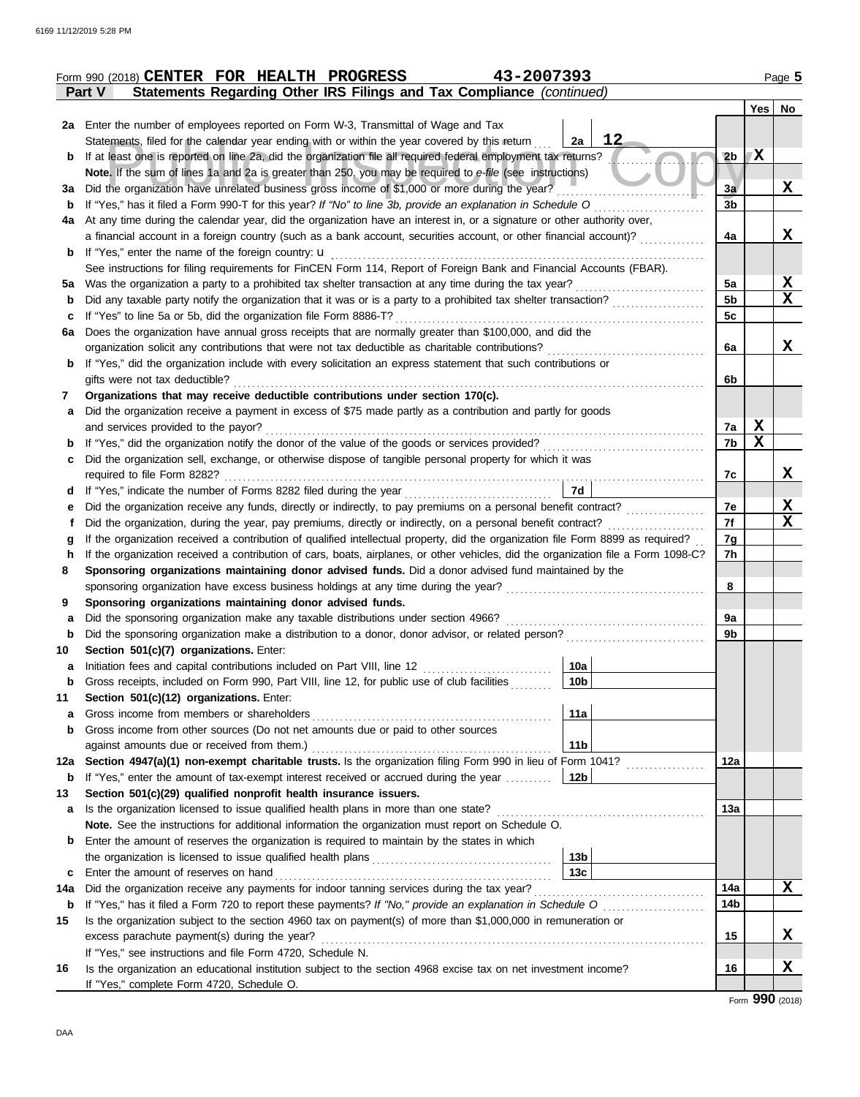|     | 43-2007393<br>Form 990 (2018) CENTER FOR HEALTH PROGRESS                                                                                                                                  |                |             | Page 5          |
|-----|-------------------------------------------------------------------------------------------------------------------------------------------------------------------------------------------|----------------|-------------|-----------------|
|     | Statements Regarding Other IRS Filings and Tax Compliance (continued)<br>Part V                                                                                                           |                |             |                 |
|     |                                                                                                                                                                                           |                |             | $Yes \mid No$   |
|     | 2a Enter the number of employees reported on Form W-3, Transmittal of Wage and Tax                                                                                                        |                |             |                 |
|     | 12<br>Statements, filed for the calendar year ending with or within the year covered by this return<br>2a                                                                                 |                |             |                 |
| b   | If at least one is reported on line 2a, did the organization file all required federal employment tax returns?                                                                            | 2 <sub>b</sub> | X           |                 |
|     | Note. If the sum of lines 1a and 2a is greater than 250, you may be required to e-file (see instructions)                                                                                 |                |             |                 |
| За  | Did the organization have unrelated business gross income of \$1,000 or more during the year?                                                                                             | 3a             |             | X               |
| b   | If "Yes," has it filed a Form 990-T for this year? If "No" to line 3b, provide an explanation in Schedule O                                                                               | 3b             |             |                 |
| 4a  | At any time during the calendar year, did the organization have an interest in, or a signature or other authority over,                                                                   |                |             |                 |
|     | a financial account in a foreign country (such as a bank account, securities account, or other financial account)?                                                                        | 4a             |             | X               |
| b   | If "Yes," enter the name of the foreign country: $\mathbf u$                                                                                                                              |                |             |                 |
|     | See instructions for filing requirements for FinCEN Form 114, Report of Foreign Bank and Financial Accounts (FBAR).                                                                       |                |             |                 |
| 5а  | Was the organization a party to a prohibited tax shelter transaction at any time during the tax year?                                                                                     | 5a             |             | $\mathbf x$     |
| b   | Did any taxable party notify the organization that it was or is a party to a prohibited tax shelter transaction?                                                                          | 5 <sub>b</sub> |             | X               |
| с   | If "Yes" to line 5a or 5b, did the organization file Form 8886-T?                                                                                                                         | 5c             |             |                 |
| 6a  | Does the organization have annual gross receipts that are normally greater than \$100,000, and did the                                                                                    |                |             |                 |
|     | organization solicit any contributions that were not tax deductible as charitable contributions?                                                                                          | 6a             |             | X               |
| b   | If "Yes," did the organization include with every solicitation an express statement that such contributions or                                                                            |                |             |                 |
|     | gifts were not tax deductible?<br>Organizations that may receive deductible contributions under section 170(c).                                                                           | 6b             |             |                 |
| 7   | Did the organization receive a payment in excess of \$75 made partly as a contribution and partly for goods                                                                               |                |             |                 |
| a   | and services provided to the payor?                                                                                                                                                       | 7a             | X           |                 |
| b   |                                                                                                                                                                                           | 7b             | $\mathbf x$ |                 |
| с   | Did the organization sell, exchange, or otherwise dispose of tangible personal property for which it was                                                                                  |                |             |                 |
|     | required to file Form 8282?                                                                                                                                                               | 7c             |             | X               |
| d   | 7d                                                                                                                                                                                        |                |             |                 |
| е   | Did the organization receive any funds, directly or indirectly, to pay premiums on a personal benefit contract?                                                                           | 7e             |             | X               |
| f   | Did the organization, during the year, pay premiums, directly or indirectly, on a personal benefit contract?                                                                              | 7f             |             | X               |
| g   | If the organization received a contribution of qualified intellectual property, did the organization file Form 8899 as required?                                                          | 7g             |             |                 |
| n.  | If the organization received a contribution of cars, boats, airplanes, or other vehicles, did the organization file a Form 1098-C?                                                        | 7h             |             |                 |
| 8   | Sponsoring organizations maintaining donor advised funds. Did a donor advised fund maintained by the                                                                                      |                |             |                 |
|     | sponsoring organization have excess business holdings at any time during the year?                                                                                                        | 8              |             |                 |
| 9   | Sponsoring organizations maintaining donor advised funds.                                                                                                                                 |                |             |                 |
| а   | Did the sponsoring organization make any taxable distributions under section 4966?                                                                                                        | 9a             |             |                 |
| b   | Did the sponsoring organization make a distribution to a donor, donor advisor, or related person?                                                                                         | 9b             |             |                 |
| 10  | Section 501(c)(7) organizations. Enter:                                                                                                                                                   |                |             |                 |
|     | 10a                                                                                                                                                                                       |                |             |                 |
| b   | Gross receipts, included on Form 990, Part VIII, line 12, for public use of club facilities<br>10b                                                                                        |                |             |                 |
| 11  | Section 501(c)(12) organizations. Enter:                                                                                                                                                  |                |             |                 |
| a   | 11a<br>Gross income from members or shareholders                                                                                                                                          |                |             |                 |
| b   | Gross income from other sources (Do not net amounts due or paid to other sources                                                                                                          |                |             |                 |
|     | against amounts due or received from them.)<br>11 <sub>b</sub>                                                                                                                            |                |             |                 |
| 12a | Section 4947(a)(1) non-exempt charitable trusts. Is the organization filing Form 990 in lieu of Form 1041?                                                                                | 12a            |             |                 |
| b   | If "Yes," enter the amount of tax-exempt interest received or accrued during the year<br>12 <sub>b</sub>                                                                                  |                |             |                 |
| 13  | Section 501(c)(29) qualified nonprofit health insurance issuers.                                                                                                                          | 13а            |             |                 |
| а   | Is the organization licensed to issue qualified health plans in more than one state?<br>Note. See the instructions for additional information the organization must report on Schedule O. |                |             |                 |
| b   | Enter the amount of reserves the organization is required to maintain by the states in which                                                                                              |                |             |                 |
|     | 13 <sub>b</sub>                                                                                                                                                                           |                |             |                 |
| c   | 13 <sub>c</sub><br>Enter the amount of reserves on hand                                                                                                                                   |                |             |                 |
| 14a | Did the organization receive any payments for indoor tanning services during the tax year?                                                                                                | 14a            |             | X               |
| b   |                                                                                                                                                                                           | 14b            |             |                 |
| 15  | Is the organization subject to the section 4960 tax on payment(s) of more than \$1,000,000 in remuneration or                                                                             |                |             |                 |
|     | excess parachute payment(s) during the year?                                                                                                                                              | 15             |             | X               |
|     | If "Yes," see instructions and file Form 4720, Schedule N.                                                                                                                                |                |             |                 |
| 16  | Is the organization an educational institution subject to the section 4968 excise tax on net investment income?                                                                           | 16             |             | X               |
|     | If "Yes," complete Form 4720, Schedule O.                                                                                                                                                 |                |             |                 |
|     |                                                                                                                                                                                           |                |             | Form 990 (2018) |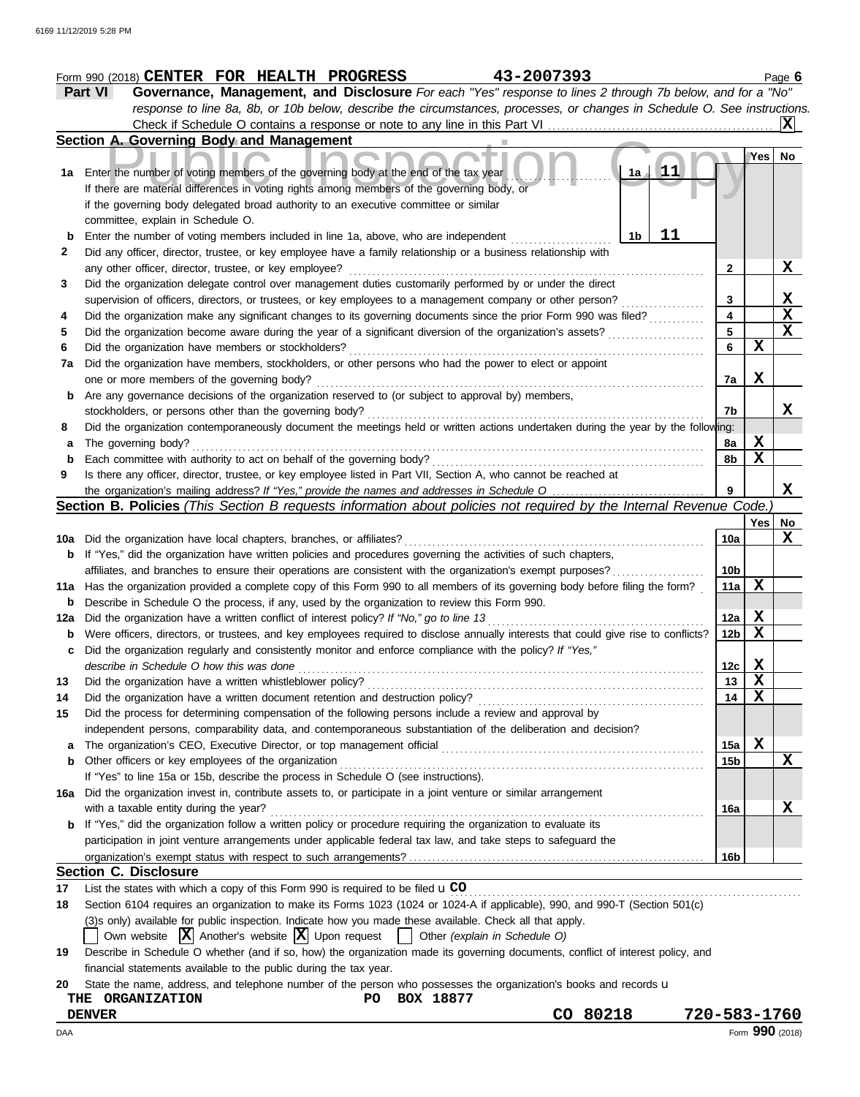|     | Governance, Management, and Disclosure For each "Yes" response to lines 2 through 7b below, and for a "No"<br><b>Part VI</b>                                                                         |                         |                         | Page 6       |
|-----|------------------------------------------------------------------------------------------------------------------------------------------------------------------------------------------------------|-------------------------|-------------------------|--------------|
|     | response to line 8a, 8b, or 10b below, describe the circumstances, processes, or changes in Schedule O. See instructions.                                                                            |                         |                         |              |
|     |                                                                                                                                                                                                      |                         |                         | X            |
|     | Section A. Governing Body and Management                                                                                                                                                             |                         |                         |              |
|     |                                                                                                                                                                                                      |                         | Yes                     | No           |
|     | $\mathbf{11}$<br>1a<br>1a Enter the number of voting members of the governing body at the end of the tax year                                                                                        |                         |                         |              |
|     | If there are material differences in voting rights among members of the governing body, or                                                                                                           |                         |                         |              |
|     | if the governing body delegated broad authority to an executive committee or similar                                                                                                                 |                         |                         |              |
|     | committee, explain in Schedule O.                                                                                                                                                                    |                         |                         |              |
|     | 11<br>Enter the number of voting members included in line 1a, above, who are independent<br>1b                                                                                                       |                         |                         |              |
|     | Did any officer, director, trustee, or key employee have a family relationship or a business relationship with                                                                                       |                         |                         |              |
|     |                                                                                                                                                                                                      |                         |                         |              |
|     | any other officer, director, trustee, or key employee?                                                                                                                                               | 2                       |                         |              |
|     | Did the organization delegate control over management duties customarily performed by or under the direct                                                                                            |                         |                         |              |
|     | supervision of officers, directors, or trustees, or key employees to a management company or other person?                                                                                           | 3                       |                         |              |
|     | Did the organization make any significant changes to its governing documents since the prior Form 990 was filed?                                                                                     | $\overline{\mathbf{4}}$ |                         |              |
|     | Did the organization become aware during the year of a significant diversion of the organization's assets?                                                                                           | $5\overline{5}$         |                         |              |
|     |                                                                                                                                                                                                      | $6\phantom{a}$          | $\mathbf X$             |              |
|     | Did the organization have members, stockholders, or other persons who had the power to elect or appoint                                                                                              |                         |                         |              |
|     | one or more members of the governing body?                                                                                                                                                           | 7a                      | X                       |              |
| b   | Are any governance decisions of the organization reserved to (or subject to approval by) members,                                                                                                    |                         |                         |              |
|     | stockholders, or persons other than the governing body?                                                                                                                                              | 7b                      |                         |              |
|     | Did the organization contemporaneously document the meetings held or written actions undertaken during the year by the following:                                                                    |                         |                         |              |
|     | The governing body?                                                                                                                                                                                  | 8a                      | X                       |              |
|     | Each committee with authority to act on behalf of the governing body?                                                                                                                                | 8b                      | $\mathbf x$             |              |
|     | Is there any officer, director, trustee, or key employee listed in Part VII, Section A, who cannot be reached at                                                                                     |                         |                         |              |
|     | the organization's mailing address? If "Yes," provide the names and addresses in Schedule O                                                                                                          | 9                       |                         |              |
|     | Section B. Policies (This Section B requests information about policies not required by the Internal Revenue Code.)                                                                                  |                         |                         |              |
|     |                                                                                                                                                                                                      |                         | Yes                     | No           |
|     | 10a Did the organization have local chapters, branches, or affiliates?<br>10a Did the organization have local chapters, branches, or affiliates?<br>10.<br>2020<br>2020                              | 10a                     |                         | $\mathbf{x}$ |
|     | <b>b</b> If "Yes," did the organization have written policies and procedures governing the activities of such chapters,                                                                              |                         |                         |              |
|     | affiliates, and branches to ensure their operations are consistent with the organization's exempt purposes?                                                                                          | 10b                     |                         |              |
|     | 11a Has the organization provided a complete copy of this Form 990 to all members of its governing body before filing the form?                                                                      | 11a                     | $\mathbf x$             |              |
| b   | Describe in Schedule O the process, if any, used by the organization to review this Form 990.                                                                                                        |                         |                         |              |
|     | 12a Did the organization have a written conflict of interest policy? If "No," go to line 13                                                                                                          | 12a                     | X                       |              |
|     | Were officers, directors, or trustees, and key employees required to disclose annually interests that could give rise to conflicts?                                                                  | 12b                     | $\overline{\mathbf{x}}$ |              |
| c   | Did the organization regularly and consistently monitor and enforce compliance with the policy? If "Yes,"                                                                                            |                         |                         |              |
|     | describe in Schedule O how this was done                                                                                                                                                             | 12 <sub>c</sub>         | $\mathbf x$             |              |
|     | Did the organization have a written whistleblower policy?                                                                                                                                            | 13                      | X                       |              |
|     | Did the organization have a written document retention and destruction policy?                                                                                                                       | 14                      | X                       |              |
|     | Did the process for determining compensation of the following persons include a review and approval by                                                                                               |                         |                         |              |
|     | independent persons, comparability data, and contemporaneous substantiation of the deliberation and decision?                                                                                        |                         |                         |              |
| a   | The organization's CEO, Executive Director, or top management official                                                                                                                               | 15a                     | X                       |              |
| b   | Other officers or key employees of the organization                                                                                                                                                  | 15 <sub>b</sub>         |                         |              |
|     | If "Yes" to line 15a or 15b, describe the process in Schedule O (see instructions).                                                                                                                  |                         |                         |              |
|     |                                                                                                                                                                                                      |                         |                         |              |
| 16a | Did the organization invest in, contribute assets to, or participate in a joint venture or similar arrangement                                                                                       |                         |                         |              |
|     | with a taxable entity during the year?                                                                                                                                                               | 16a                     |                         |              |
|     | b If "Yes," did the organization follow a written policy or procedure requiring the organization to evaluate its                                                                                     |                         |                         |              |
|     | participation in joint venture arrangements under applicable federal tax law, and take steps to safeguard the                                                                                        |                         |                         |              |
|     |                                                                                                                                                                                                      | 16b                     |                         |              |
|     | Section C. Disclosure                                                                                                                                                                                |                         |                         |              |
|     | List the states with which a copy of this Form 990 is required to be filed $\mathbf{u}$ CO                                                                                                           |                         |                         |              |
|     | Section 6104 requires an organization to make its Forms 1023 (1024 or 1024-A if applicable), 990, and 990-T (Section 501(c)                                                                          |                         |                         |              |
|     | (3)s only) available for public inspection. Indicate how you made these available. Check all that apply.                                                                                             |                         |                         |              |
|     |                                                                                                                                                                                                      |                         |                         |              |
|     | Own website $ \mathbf{X} $ Another's website $ \mathbf{X} $ Upon request    <br>Other (explain in Schedule O)                                                                                        |                         |                         |              |
|     | Describe in Schedule O whether (and if so, how) the organization made its governing documents, conflict of interest policy, and<br>financial statements available to the public during the tax year. |                         |                         |              |

| biato the harno, addition, and tolophone harnoof or the poloon this possesses |  |  |              |
|-------------------------------------------------------------------------------|--|--|--------------|
| THE ORGANIZATION                                                              |  |  | PO BOX 18877 |

**DENVER CO 80218 720-583-1760**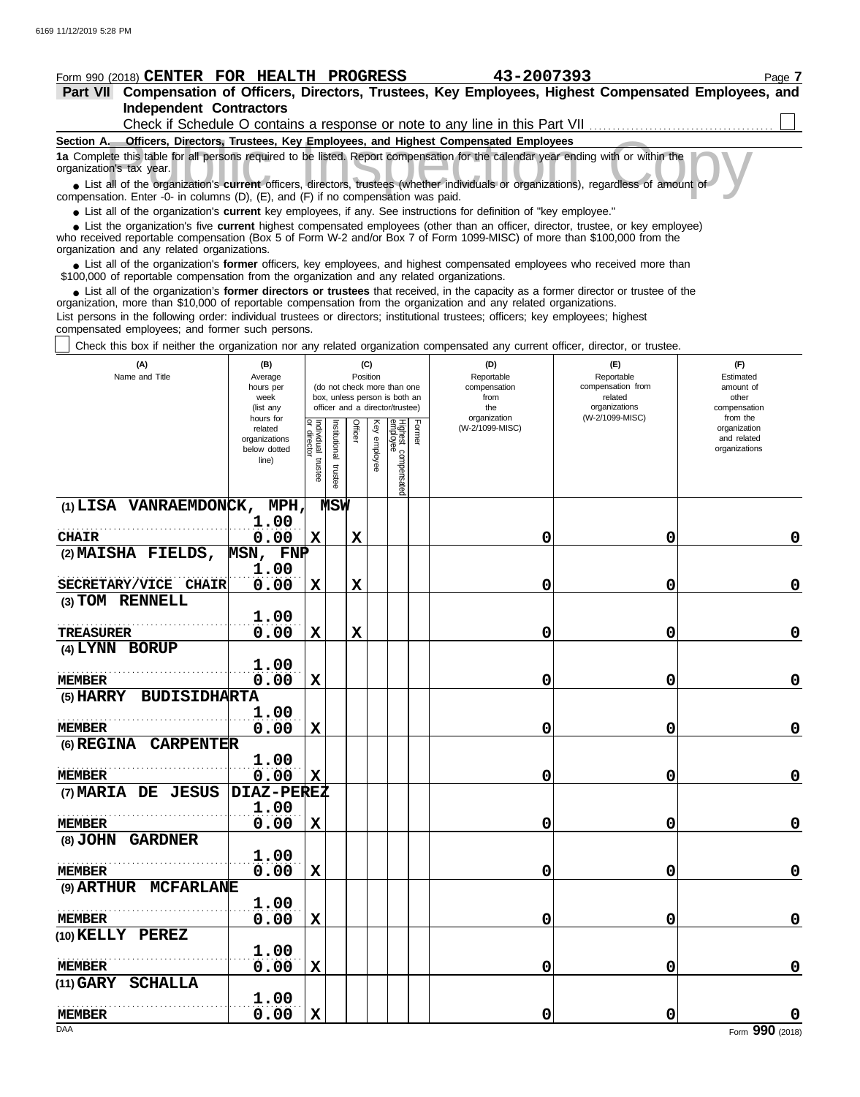# **Form 990 (2018) CENTER FOR HEALTH PROGRESS** 43-2007393

#### **Part VII Compensation of Officers, Directors, Trustees, Key Employees, Highest Compensated Employees, and Independent Contractors**  $\Box$  $Check$  if Schedule  $O$  contains a response or note to any line in this Part VII.

| Crieck in Scriedule O contains a response or note to any line in this Part VII                                                                                                                                                                                                                             |
|------------------------------------------------------------------------------------------------------------------------------------------------------------------------------------------------------------------------------------------------------------------------------------------------------------|
| Officers, Directors, Trustees, Key Employees, and Highest Compensated Employees<br>Section A.                                                                                                                                                                                                              |
| 1a Complete this table for all persons required to be listed. Report compensation for the calendar year ending with or within the<br>organization's tax year.                                                                                                                                              |
| • List all of the organization's current officers, directors, trustees (whether individuals or organizations), regardless of amount of<br>compensation. Enter -0- in columns $(D)$ , $(E)$ , and $(F)$ if no compensation was paid.                                                                        |
| • List all of the organization's current key employees, if any. See instructions for definition of "key employee."                                                                                                                                                                                         |
| • List the organization's five current highest compensated employees (other than an officer, director, trustee, or key employee)<br>who received reportable compensation (Box 5 of Form W-2 and/or Box 7 of Form 1099-MISC) of more than \$100,000 from the<br>organization and any related organizations. |
| • List all of the organization's former officers, key employees, and highest compensated employees who received more than                                                                                                                                                                                  |

• List all of the organization's **former** officers, key employees, and highest compensate \$100,000 of reportable compensation from the organization and any related organizations.

List all of the organization's **former directors or trustees** that received, in the capacity as a former director or trustee of the • List all of the organization's **former directors or trustees** that received, in the capacity as a former director organization, more than \$10,000 of reportable compensation from the organization and any related organizat

List persons in the following order: individual trustees or directors; institutional trustees; officers; key employees; highest compensated employees; and former such persons.

 $\overline{\phantom{a}}$ Check this box if neither the organization nor any related organization compensated any current officer, director, or trustee.

| (A)<br>Name and Title              | (B)<br>Average<br>hours per<br>week<br>(list any               |                                   | (C)<br>Position<br>(do not check more than one<br>box, unless person is both an<br>officer and a director/trustee) |             |              |                                 |        | (D)<br>Reportable<br>compensation<br>from<br>the<br>organization | (E)<br>Reportable<br>compensation from<br>related<br>organizations<br>(W-2/1099-MISC) | (F)<br>Estimated<br>amount of<br>other<br>compensation<br>from the |  |
|------------------------------------|----------------------------------------------------------------|-----------------------------------|--------------------------------------------------------------------------------------------------------------------|-------------|--------------|---------------------------------|--------|------------------------------------------------------------------|---------------------------------------------------------------------------------------|--------------------------------------------------------------------|--|
|                                    | hours for<br>related<br>organizations<br>below dotted<br>line) | Individual trustee<br>or director | nstitutional<br>trustee                                                                                            | Officer     | Key employee | Highest compensated<br>employee | Former | (W-2/1099-MISC)                                                  |                                                                                       | organization<br>and related<br>organizations                       |  |
| (1) LISA VANRAEMDONCK, MPH,        |                                                                |                                   | MSW                                                                                                                |             |              |                                 |        |                                                                  |                                                                                       |                                                                    |  |
| <b>CHAIR</b>                       | 1.00<br>0.00                                                   | $\mathbf X$                       |                                                                                                                    | $\mathbf X$ |              |                                 |        | 0                                                                | 0                                                                                     | 0                                                                  |  |
| (2) MAISHA FIELDS,                 | MSN, FNP                                                       |                                   |                                                                                                                    |             |              |                                 |        |                                                                  |                                                                                       |                                                                    |  |
| SECRETARY/VICE CHAIR               | 1.00<br>0.00                                                   | $\mathbf X$                       |                                                                                                                    | $\mathbf x$ |              |                                 |        | 0                                                                | 0                                                                                     | $\mathbf 0$                                                        |  |
| (3) TOM RENNELL                    |                                                                |                                   |                                                                                                                    |             |              |                                 |        |                                                                  |                                                                                       |                                                                    |  |
|                                    | 1.00                                                           |                                   |                                                                                                                    |             |              |                                 |        |                                                                  |                                                                                       |                                                                    |  |
| <b>TREASURER</b>                   | 0.00                                                           | $\mathbf X$                       |                                                                                                                    | $\mathbf x$ |              |                                 |        | 0                                                                | 0                                                                                     | 0                                                                  |  |
| (4) LYNN BORUP                     | 1.00                                                           |                                   |                                                                                                                    |             |              |                                 |        |                                                                  |                                                                                       |                                                                    |  |
| <b>MEMBER</b>                      | 0.00                                                           | $\mathbf x$                       |                                                                                                                    |             |              |                                 |        | 0                                                                | 0                                                                                     | $\mathbf 0$                                                        |  |
| $(5)$ HARRY<br><b>BUDISIDHARTA</b> |                                                                |                                   |                                                                                                                    |             |              |                                 |        |                                                                  |                                                                                       |                                                                    |  |
| .<br><b>MEMBER</b>                 | 1.00<br>0.00                                                   | X                                 |                                                                                                                    |             |              |                                 |        | 0                                                                | 0                                                                                     | $\mathbf 0$                                                        |  |
| (6) REGINA CARPENTER               |                                                                |                                   |                                                                                                                    |             |              |                                 |        |                                                                  |                                                                                       |                                                                    |  |
| <b>MEMBER</b>                      | 1.00<br>0.00                                                   | X                                 |                                                                                                                    |             |              |                                 |        | 0                                                                | 0                                                                                     | $\mathbf 0$                                                        |  |
| (7) MARIA DE JESUS                 | DIAZ-PEREZ                                                     |                                   |                                                                                                                    |             |              |                                 |        |                                                                  |                                                                                       |                                                                    |  |
|                                    | 1.00                                                           |                                   |                                                                                                                    |             |              |                                 |        |                                                                  |                                                                                       |                                                                    |  |
| <b>MEMBER</b>                      | 0.00                                                           | $\mathbf x$                       |                                                                                                                    |             |              |                                 |        | 0                                                                | 0                                                                                     | $\mathbf 0$                                                        |  |
| <b>GARDNER</b><br>(8) JOHN         | 1.00                                                           |                                   |                                                                                                                    |             |              |                                 |        |                                                                  |                                                                                       |                                                                    |  |
| <b>MEMBER</b>                      | 0.00                                                           | $\mathbf x$                       |                                                                                                                    |             |              |                                 |        | 0                                                                | 0                                                                                     | $\mathbf 0$                                                        |  |
| (9) ARTHUR MCFARLANE               |                                                                |                                   |                                                                                                                    |             |              |                                 |        |                                                                  |                                                                                       |                                                                    |  |
|                                    | 1.00                                                           |                                   |                                                                                                                    |             |              |                                 |        |                                                                  |                                                                                       |                                                                    |  |
| <b>MEMBER</b>                      | 0.00                                                           | X                                 |                                                                                                                    |             |              |                                 |        | 0                                                                | 0                                                                                     | $\mathbf 0$                                                        |  |
| (10) KELLY PEREZ                   |                                                                |                                   |                                                                                                                    |             |              |                                 |        |                                                                  |                                                                                       |                                                                    |  |
|                                    | 1.00                                                           |                                   |                                                                                                                    |             |              |                                 |        |                                                                  |                                                                                       |                                                                    |  |
| <b>MEMBER</b>                      | 0.00                                                           | $\mathbf x$                       |                                                                                                                    |             |              |                                 |        | 0                                                                | 0                                                                                     | $\mathbf 0$                                                        |  |
| (11) GARY<br><b>SCHALLA</b>        | 1.00                                                           |                                   |                                                                                                                    |             |              |                                 |        |                                                                  |                                                                                       |                                                                    |  |
| <b>MEMBER</b>                      | 0.00                                                           | $\mathbf x$                       |                                                                                                                    |             |              |                                 |        | 0                                                                | 0                                                                                     |                                                                    |  |
| <b>DAA</b>                         |                                                                |                                   |                                                                                                                    |             |              |                                 |        |                                                                  |                                                                                       | Form 990 (2018)                                                    |  |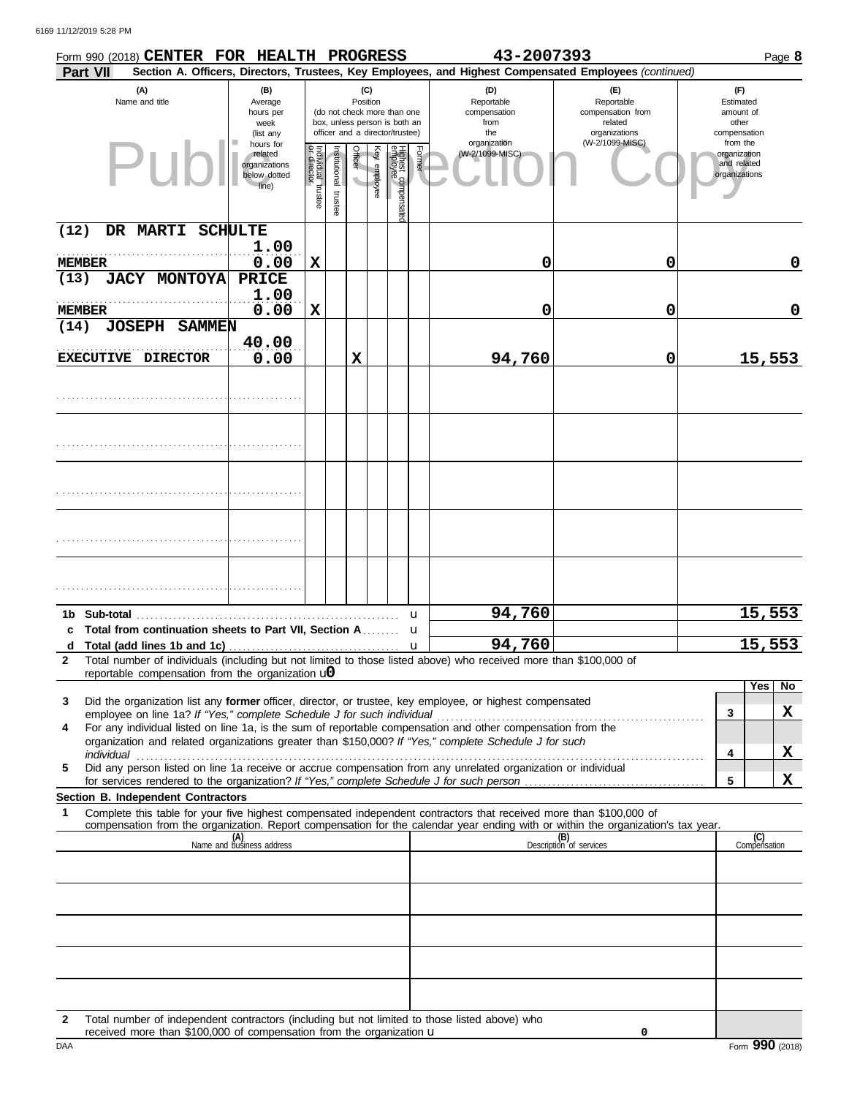| Form 990 (2018) CENTER FOR HEALTH PROGRESS                                                                                                                                            |                                  |                                   |               |          |              |                                 |        | 43-2007393                 |                                  |                              | Page 8              |
|---------------------------------------------------------------------------------------------------------------------------------------------------------------------------------------|----------------------------------|-----------------------------------|---------------|----------|--------------|---------------------------------|--------|----------------------------|----------------------------------|------------------------------|---------------------|
| Section A. Officers, Directors, Trustees, Key Employees, and Highest Compensated Employees (continued)<br><b>Part VII</b>                                                             |                                  |                                   |               |          |              |                                 |        |                            |                                  |                              |                     |
| (A)                                                                                                                                                                                   | (B)                              |                                   |               | (C)      |              |                                 |        | (D)                        | (E)                              | (F)                          |                     |
| Name and title                                                                                                                                                                        | Average<br>hours per             |                                   |               | Position |              | (do not check more than one     |        | Reportable<br>compensation | Reportable<br>compensation from  | Estimated<br>amount of       |                     |
|                                                                                                                                                                                       | week                             |                                   |               |          |              | box, unless person is both an   |        | from                       | related                          | other                        |                     |
|                                                                                                                                                                                       | (list any<br>hours for           |                                   |               |          |              | officer and a director/trustee) |        | the<br>organization        | organizations<br>(W-2/1099-MISC) | compensation<br>from the     |                     |
| Pul                                                                                                                                                                                   | related                          |                                   |               | Officer  |              |                                 | Former | (W-2/1099-MISC)            |                                  | organization                 |                     |
|                                                                                                                                                                                       | organizations<br>below dotted    |                                   | Institutional |          | Key employee |                                 |        |                            |                                  | and related<br>organizations |                     |
|                                                                                                                                                                                       | line)                            |                                   |               |          |              |                                 |        |                            |                                  |                              |                     |
|                                                                                                                                                                                       |                                  | Individual trustee<br>or director | trustee       |          |              | Highest compensatec<br>employee |        |                            |                                  |                              |                     |
|                                                                                                                                                                                       |                                  |                                   |               |          |              |                                 |        |                            |                                  |                              |                     |
| DR MARTI SCHULTE<br>(12)                                                                                                                                                              |                                  |                                   |               |          |              |                                 |        |                            |                                  |                              |                     |
|                                                                                                                                                                                       | 1.00                             |                                   |               |          |              |                                 |        |                            |                                  |                              |                     |
| <b>MEMBER</b>                                                                                                                                                                         | 0.00                             | X                                 |               |          |              |                                 |        | 0                          | 0                                |                              | 0                   |
| <b>JACY MONTOYA</b><br>(13)                                                                                                                                                           | <b>PRICE</b>                     |                                   |               |          |              |                                 |        |                            |                                  |                              |                     |
|                                                                                                                                                                                       | 1.00                             |                                   |               |          |              |                                 |        |                            |                                  |                              |                     |
| <b>MEMBER</b>                                                                                                                                                                         | 0.00                             | X                                 |               |          |              |                                 |        | 0                          | 0                                |                              | 0                   |
| (14)<br><b>JOSEPH</b><br><b>SAMMEN</b>                                                                                                                                                |                                  |                                   |               |          |              |                                 |        |                            |                                  |                              |                     |
|                                                                                                                                                                                       | 40.00                            |                                   |               |          |              |                                 |        |                            |                                  |                              |                     |
| EXECUTIVE DIRECTOR                                                                                                                                                                    | 0.00                             |                                   |               | X        |              |                                 |        | 94,760                     | 0                                |                              | 15,553              |
|                                                                                                                                                                                       |                                  |                                   |               |          |              |                                 |        |                            |                                  |                              |                     |
|                                                                                                                                                                                       |                                  |                                   |               |          |              |                                 |        |                            |                                  |                              |                     |
|                                                                                                                                                                                       |                                  |                                   |               |          |              |                                 |        |                            |                                  |                              |                     |
|                                                                                                                                                                                       |                                  |                                   |               |          |              |                                 |        |                            |                                  |                              |                     |
|                                                                                                                                                                                       |                                  |                                   |               |          |              |                                 |        |                            |                                  |                              |                     |
|                                                                                                                                                                                       |                                  |                                   |               |          |              |                                 |        |                            |                                  |                              |                     |
|                                                                                                                                                                                       |                                  |                                   |               |          |              |                                 |        |                            |                                  |                              |                     |
|                                                                                                                                                                                       |                                  |                                   |               |          |              |                                 |        |                            |                                  |                              |                     |
|                                                                                                                                                                                       |                                  |                                   |               |          |              |                                 |        |                            |                                  |                              |                     |
|                                                                                                                                                                                       |                                  |                                   |               |          |              |                                 |        |                            |                                  |                              |                     |
|                                                                                                                                                                                       |                                  |                                   |               |          |              |                                 |        |                            |                                  |                              |                     |
|                                                                                                                                                                                       |                                  |                                   |               |          |              |                                 |        |                            |                                  |                              |                     |
|                                                                                                                                                                                       |                                  |                                   |               |          |              |                                 |        |                            |                                  |                              |                     |
|                                                                                                                                                                                       |                                  |                                   |               |          |              |                                 |        |                            |                                  |                              |                     |
|                                                                                                                                                                                       |                                  |                                   |               |          |              |                                 |        |                            |                                  |                              |                     |
|                                                                                                                                                                                       |                                  |                                   |               |          |              |                                 |        |                            |                                  |                              |                     |
| Sub-total<br>1b.                                                                                                                                                                      |                                  |                                   |               |          |              |                                 | u      | 94,760                     |                                  |                              | 15,553              |
| Total from continuation sheets to Part VII, Section A                                                                                                                                 |                                  |                                   |               |          |              |                                 | u      |                            |                                  |                              |                     |
| d                                                                                                                                                                                     |                                  |                                   |               |          |              |                                 | u      | 94,760                     |                                  |                              | 15,553              |
| Total number of individuals (including but not limited to those listed above) who received more than \$100,000 of<br>$\mathbf{2}$                                                     |                                  |                                   |               |          |              |                                 |        |                            |                                  |                              |                     |
| reportable compensation from the organization $\mathbf{u}$                                                                                                                            |                                  |                                   |               |          |              |                                 |        |                            |                                  |                              |                     |
|                                                                                                                                                                                       |                                  |                                   |               |          |              |                                 |        |                            |                                  |                              | Yes<br>No           |
| Did the organization list any former officer, director, or trustee, key employee, or highest compensated<br>3                                                                         |                                  |                                   |               |          |              |                                 |        |                            |                                  |                              |                     |
| employee on line 1a? If "Yes," complete Schedule J for such individual<br>For any individual listed on line 1a, is the sum of reportable compensation and other compensation from the |                                  |                                   |               |          |              |                                 |        |                            |                                  | 3                            | X                   |
| 4<br>organization and related organizations greater than \$150,000? If "Yes," complete Schedule J for such                                                                            |                                  |                                   |               |          |              |                                 |        |                            |                                  |                              |                     |
| individual                                                                                                                                                                            |                                  |                                   |               |          |              |                                 |        |                            |                                  | 4                            | X                   |
| Did any person listed on line 1a receive or accrue compensation from any unrelated organization or individual<br>5                                                                    |                                  |                                   |               |          |              |                                 |        |                            |                                  |                              |                     |
|                                                                                                                                                                                       |                                  |                                   |               |          |              |                                 |        |                            |                                  | 5                            | X                   |
| Section B. Independent Contractors                                                                                                                                                    |                                  |                                   |               |          |              |                                 |        |                            |                                  |                              |                     |
| Complete this table for your five highest compensated independent contractors that received more than \$100,000 of<br>1                                                               |                                  |                                   |               |          |              |                                 |        |                            |                                  |                              |                     |
| compensation from the organization. Report compensation for the calendar year ending with or within the organization's tax year.                                                      |                                  |                                   |               |          |              |                                 |        |                            |                                  |                              |                     |
|                                                                                                                                                                                       | (A)<br>Name and business address |                                   |               |          |              |                                 |        |                            | (B)<br>Description of services   |                              | (C)<br>Compensation |
|                                                                                                                                                                                       |                                  |                                   |               |          |              |                                 |        |                            |                                  |                              |                     |
|                                                                                                                                                                                       |                                  |                                   |               |          |              |                                 |        |                            |                                  |                              |                     |
|                                                                                                                                                                                       |                                  |                                   |               |          |              |                                 |        |                            |                                  |                              |                     |
|                                                                                                                                                                                       |                                  |                                   |               |          |              |                                 |        |                            |                                  |                              |                     |
|                                                                                                                                                                                       |                                  |                                   |               |          |              |                                 |        |                            |                                  |                              |                     |
|                                                                                                                                                                                       |                                  |                                   |               |          |              |                                 |        |                            |                                  |                              |                     |
|                                                                                                                                                                                       |                                  |                                   |               |          |              |                                 |        |                            |                                  |                              |                     |
|                                                                                                                                                                                       |                                  |                                   |               |          |              |                                 |        |                            |                                  |                              |                     |
|                                                                                                                                                                                       |                                  |                                   |               |          |              |                                 |        |                            |                                  |                              |                     |
|                                                                                                                                                                                       |                                  |                                   |               |          |              |                                 |        |                            |                                  |                              |                     |
|                                                                                                                                                                                       |                                  |                                   |               |          |              |                                 |        |                            |                                  |                              |                     |

**2** Total number of independent contractors (including but not limited to those listed above) who received more than \$100,000 of compensation from the organization u

**0**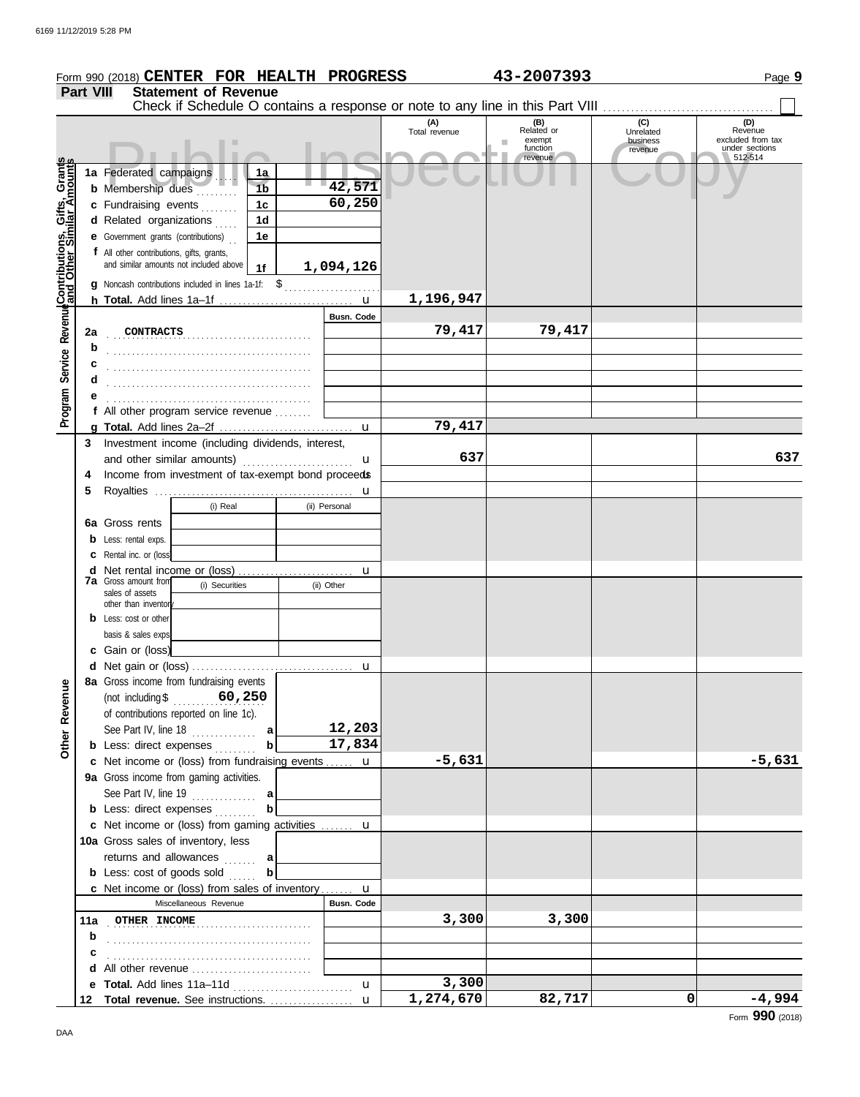|                                              |                  | Form 990 (2018) CENTER FOR HEALTH PROGRESS                                                |                    |                      | 43-2007393                                         |                                         | Page 9                                                           |
|----------------------------------------------|------------------|-------------------------------------------------------------------------------------------|--------------------|----------------------|----------------------------------------------------|-----------------------------------------|------------------------------------------------------------------|
|                                              | <b>Part VIII</b> | <b>Statement of Revenue</b>                                                               |                    |                      |                                                    |                                         |                                                                  |
|                                              |                  | Check if Schedule O contains a response or note to any line in this Part VIII             |                    |                      |                                                    |                                         |                                                                  |
|                                              |                  |                                                                                           |                    | (A)<br>Total revenue | (B)<br>Related or<br>exempt<br>function<br>revenue | (C)<br>Unrelated<br>business<br>revenue | (D)<br>Revenue<br>excluded from tax<br>under sections<br>512-514 |
|                                              |                  | 1a Federated campaigns<br>1a<br>1 <sub>b</sub><br><b>b</b> Membership dues                | 42,571             |                      |                                                    |                                         |                                                                  |
| Service Revenue Contributions, Gifts, Grants |                  | c Fundraising events<br>1c<br>1 <sub>d</sub><br>d Related organizations                   | 60,250             |                      |                                                    |                                         |                                                                  |
|                                              |                  | <b>e</b> Government grants (contributions)<br>1e                                          |                    |                      |                                                    |                                         |                                                                  |
|                                              |                  | f All other contributions, gifts, grants,<br>and similar amounts not included above<br>1f | 1,094,126          |                      |                                                    |                                         |                                                                  |
|                                              |                  | g Noncash contributions included in lines 1a-1f: \$                                       |                    | 1,196,947            |                                                    |                                         |                                                                  |
|                                              |                  |                                                                                           | <b>Busn. Code</b>  |                      |                                                    |                                         |                                                                  |
|                                              | 2a<br>b          | CONTRACTS                                                                                 |                    | 79,417               | 79,417                                             |                                         |                                                                  |
|                                              | d                |                                                                                           |                    |                      |                                                    |                                         |                                                                  |
|                                              |                  |                                                                                           |                    |                      |                                                    |                                         |                                                                  |
| Program                                      |                  | f All other program service revenue                                                       |                    |                      |                                                    |                                         |                                                                  |
|                                              |                  |                                                                                           |                    | 79,417               |                                                    |                                         |                                                                  |
|                                              | 3                | Investment income (including dividends, interest,                                         |                    |                      |                                                    |                                         |                                                                  |
|                                              |                  | and other similar amounts)                                                                | u                  | 637                  |                                                    |                                         | 637                                                              |
|                                              | 4                | Income from investment of tax-exempt bond proceeds                                        |                    |                      |                                                    |                                         |                                                                  |
|                                              | 5                | (i) Real                                                                                  | u<br>(ii) Personal |                      |                                                    |                                         |                                                                  |
|                                              |                  | 6a Gross rents                                                                            |                    |                      |                                                    |                                         |                                                                  |
|                                              |                  | Less: rental exps.                                                                        |                    |                      |                                                    |                                         |                                                                  |
|                                              |                  | <b>c</b> Rental inc. or (loss)                                                            |                    |                      |                                                    |                                         |                                                                  |
|                                              |                  |                                                                                           | u                  |                      |                                                    |                                         |                                                                  |
|                                              |                  | <b>7a</b> Gross amount from<br>(i) Securities<br>sales of assets                          | (ii) Other         |                      |                                                    |                                         |                                                                  |
|                                              |                  | other than inventor                                                                       |                    |                      |                                                    |                                         |                                                                  |
|                                              |                  | <b>b</b> Less: cost or other<br>basis & sales exps                                        |                    |                      |                                                    |                                         |                                                                  |
|                                              |                  | c Gain or (loss)                                                                          |                    |                      |                                                    |                                         |                                                                  |
|                                              |                  |                                                                                           |                    |                      |                                                    |                                         |                                                                  |
| Other Revenue                                |                  | 8a Gross income from fundraising events<br>(not including $$$ 60, 250                     |                    |                      |                                                    |                                         |                                                                  |
|                                              |                  | of contributions reported on line 1c).<br>See Part IV, line $18$<br>a                     | 12,203             |                      |                                                    |                                         |                                                                  |
|                                              |                  | $\mathbf b$<br><b>b</b> Less: direct expenses                                             | 17,834             |                      |                                                    |                                         |                                                                  |
|                                              |                  | c Net income or (loss) from fundraising events  u                                         |                    | $-5,631$             |                                                    |                                         | $-5,631$                                                         |
|                                              |                  | 9a Gross income from gaming activities.                                                   |                    |                      |                                                    |                                         |                                                                  |
|                                              |                  |                                                                                           |                    |                      |                                                    |                                         |                                                                  |
|                                              |                  | $\mathbf b$<br><b>b</b> Less: direct expenses                                             |                    |                      |                                                    |                                         |                                                                  |
|                                              |                  | c Net income or (loss) from gaming activities  u<br>10a Gross sales of inventory, less    |                    |                      |                                                    |                                         |                                                                  |
|                                              |                  | returns and allowances  a                                                                 |                    |                      |                                                    |                                         |                                                                  |
|                                              |                  | <b>b</b> Less: cost of goods sold<br>b                                                    |                    |                      |                                                    |                                         |                                                                  |
|                                              |                  | c Net income or (loss) from sales of inventory  u                                         |                    |                      |                                                    |                                         |                                                                  |
|                                              |                  | Miscellaneous Revenue                                                                     | Busn. Code         |                      |                                                    |                                         |                                                                  |
|                                              |                  | 11a OTHER INCOME                                                                          |                    | 3,300                | 3,300                                              |                                         |                                                                  |
|                                              | b                |                                                                                           |                    |                      |                                                    |                                         |                                                                  |
|                                              |                  | d All other revenue                                                                       |                    |                      |                                                    |                                         |                                                                  |
|                                              |                  | e Total. Add lines 11a-11d                                                                | u                  | 3,300                |                                                    |                                         |                                                                  |
|                                              |                  | 12 Total revenue. See instructions.                                                       | $\mathbf{u}$       | 1,274,670            | 82,717                                             | 0                                       | $-4,994$                                                         |
|                                              |                  |                                                                                           |                    |                      |                                                    |                                         |                                                                  |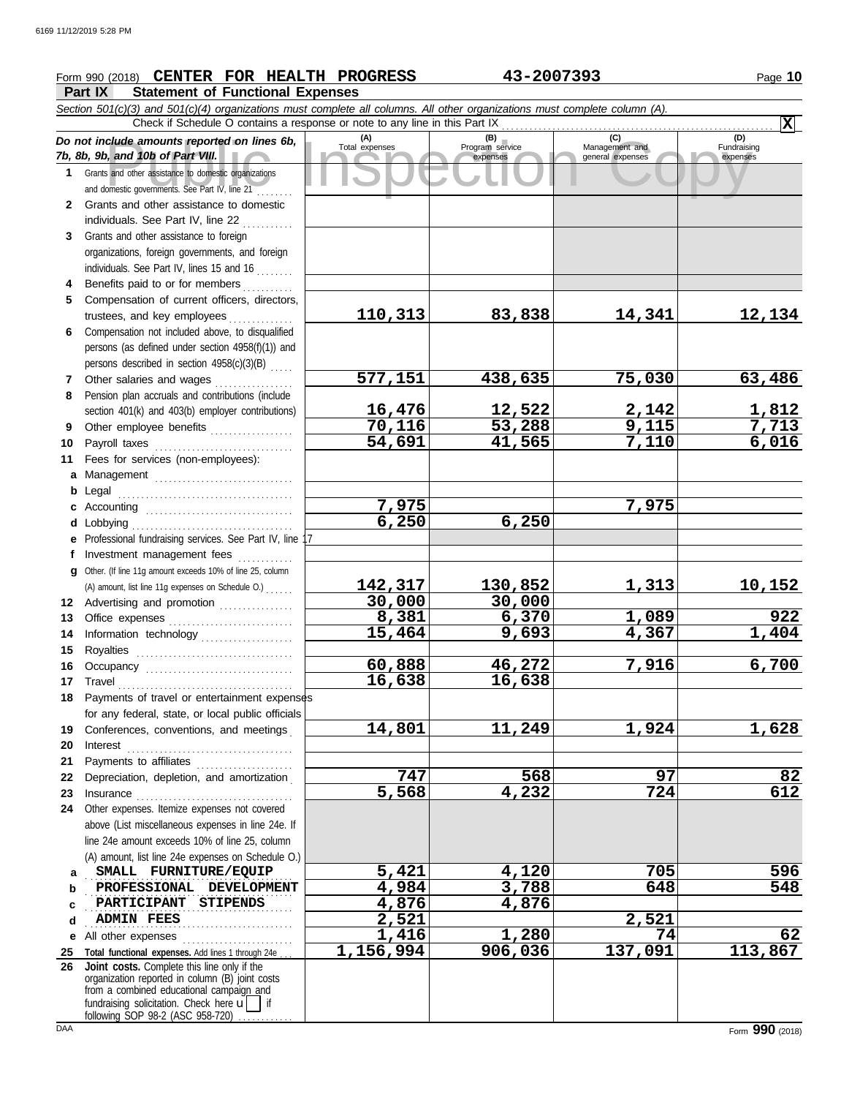## **Form 990 (2018) CENTER FOR HEALTH PROGRESS** 43-2007393 Page 10

**Part IX Statement of Functional Expenses**

|              | Section 501(c)(3) and 501(c)(4) organizations must complete all columns. All other organizations must complete column (A).<br>Check if Schedule O contains a response or note to any line in this Part IX |                       |                                    |                                    |                         |
|--------------|-----------------------------------------------------------------------------------------------------------------------------------------------------------------------------------------------------------|-----------------------|------------------------------------|------------------------------------|-------------------------|
|              |                                                                                                                                                                                                           |                       |                                    | (C)                                | X<br>(D)                |
|              | Do not include amounts reported on lines 6b,<br>7b, 8b, 9b, and 10b of Part VIII.                                                                                                                         | (A)<br>Total expenses | (B)<br>Program service<br>expenses | Management and<br>general expenses | Fundraising<br>expenses |
| 1.           | Grants and other assistance to domestic organizations<br>and domestic governments. See Part IV, line 21                                                                                                   |                       |                                    |                                    |                         |
| $\mathbf{2}$ | Grants and other assistance to domestic                                                                                                                                                                   |                       |                                    |                                    |                         |
|              | individuals. See Part IV, line 22                                                                                                                                                                         |                       |                                    |                                    |                         |
| 3            | Grants and other assistance to foreign                                                                                                                                                                    |                       |                                    |                                    |                         |
|              | organizations, foreign governments, and foreign                                                                                                                                                           |                       |                                    |                                    |                         |
|              | individuals. See Part IV, lines 15 and 16                                                                                                                                                                 |                       |                                    |                                    |                         |
| 4            | Benefits paid to or for members                                                                                                                                                                           |                       |                                    |                                    |                         |
| 5            | Compensation of current officers, directors,                                                                                                                                                              |                       |                                    |                                    |                         |
|              | trustees, and key employees                                                                                                                                                                               | 110,313               | 83,838                             | 14,341                             | 12,134                  |
| 6            | Compensation not included above, to disqualified                                                                                                                                                          |                       |                                    |                                    |                         |
|              | persons (as defined under section 4958(f)(1)) and                                                                                                                                                         |                       |                                    |                                    |                         |
|              | persons described in section 4958(c)(3)(B)                                                                                                                                                                |                       |                                    |                                    |                         |
| $\mathbf{7}$ | Other salaries and wages                                                                                                                                                                                  | 577,151               | 438,635                            | 75,030                             | 63,486                  |
| 8            | Pension plan accruals and contributions (include                                                                                                                                                          |                       |                                    |                                    |                         |
|              | section 401(k) and 403(b) employer contributions)                                                                                                                                                         | 16,476<br>70,116      | 12,522<br>53,288                   | <u>2,142</u><br>9,115              | $\frac{1,812}{7,713}$   |
| 9            | Other employee benefits                                                                                                                                                                                   | 54,691                | 41,565                             | 7,110                              | 6,016                   |
| 10<br>11     | Payroll taxes<br>Fees for services (non-employees):                                                                                                                                                       |                       |                                    |                                    |                         |
|              |                                                                                                                                                                                                           |                       |                                    |                                    |                         |
|              |                                                                                                                                                                                                           |                       |                                    |                                    |                         |
|              |                                                                                                                                                                                                           | 7,975                 |                                    | 7,975                              |                         |
|              |                                                                                                                                                                                                           | 6,250                 | 6,250                              |                                    |                         |
|              | e Professional fundraising services. See Part IV, line 1                                                                                                                                                  |                       |                                    |                                    |                         |
| Ť.           | Investment management fees                                                                                                                                                                                |                       |                                    |                                    |                         |
|              | g Other. (If line 11g amount exceeds 10% of line 25, column                                                                                                                                               |                       |                                    |                                    |                         |
|              | (A) amount, list line 11g expenses on Schedule O.)                                                                                                                                                        | 142,317               | 130,852                            | <u>1,313</u>                       | <u>10,152</u>           |
|              | 12 Advertising and promotion                                                                                                                                                                              | 30,000                | 30,000                             |                                    |                         |
| 13           | Office expenses                                                                                                                                                                                           | 8,381                 | 6,370                              | 1,089                              | 922                     |
| 14           | Information technology                                                                                                                                                                                    | 15,464                | 9,693                              | 4,367                              | 1,404                   |
| 15           |                                                                                                                                                                                                           |                       |                                    |                                    |                         |
| 16           |                                                                                                                                                                                                           | 60,888                | 46,272                             | 7,916                              | 6,700                   |
| 17           |                                                                                                                                                                                                           | 16,638                | 16,638                             |                                    |                         |
| 18           | Payments of travel or entertainment expenses                                                                                                                                                              |                       |                                    |                                    |                         |
|              | for any federal, state, or local public officials<br>Conferences, conventions, and meetings                                                                                                               | 14,801                | 11,249                             | 1,924                              | 1,628                   |
| 19<br>20     |                                                                                                                                                                                                           |                       |                                    |                                    |                         |
| 21           | $Interest$<br>Payments to affiliates [11] [11] Payments to affiliates                                                                                                                                     |                       |                                    |                                    |                         |
| 22           | Depreciation, depletion, and amortization                                                                                                                                                                 | 747                   | 568                                | 97                                 | 82                      |
| 23           |                                                                                                                                                                                                           | 5,568                 | 4,232                              | 724                                | 612                     |
| 24           | Other expenses. Itemize expenses not covered                                                                                                                                                              |                       |                                    |                                    |                         |
|              | above (List miscellaneous expenses in line 24e. If                                                                                                                                                        |                       |                                    |                                    |                         |
|              | line 24e amount exceeds 10% of line 25, column                                                                                                                                                            |                       |                                    |                                    |                         |
|              | (A) amount, list line 24e expenses on Schedule O.)                                                                                                                                                        |                       |                                    |                                    |                         |
| a            | SMALL FURNITURE/EQUIP                                                                                                                                                                                     | 5,421                 | 4,120                              | 705                                | 596                     |
| b            | PROFESSIONAL DEVELOPMENT                                                                                                                                                                                  | 4,984                 | 3,788                              | 648                                | 548                     |
| c            | PARTICIPANT STIPENDS                                                                                                                                                                                      | 4,876                 | 4,876                              |                                    |                         |
| d            | <b>ADMIN FEES</b>                                                                                                                                                                                         | 2,521                 |                                    | 2,521                              |                         |
| е            | All other expenses                                                                                                                                                                                        | 1,416                 | 1,280                              | 74                                 | 62                      |
| 25<br>26     | Total functional expenses. Add lines 1 through 24e<br>Joint costs. Complete this line only if the                                                                                                         | 1,156,994             | 906,036                            | 137,091                            | 113,867                 |
|              | organization reported in column (B) joint costs<br>from a combined educational campaign and<br>fundraising solicitation. Check here $\mathbf{u}$                                                          |                       |                                    |                                    |                         |
|              | following SOP 98-2 (ASC 958-720).                                                                                                                                                                         |                       |                                    |                                    |                         |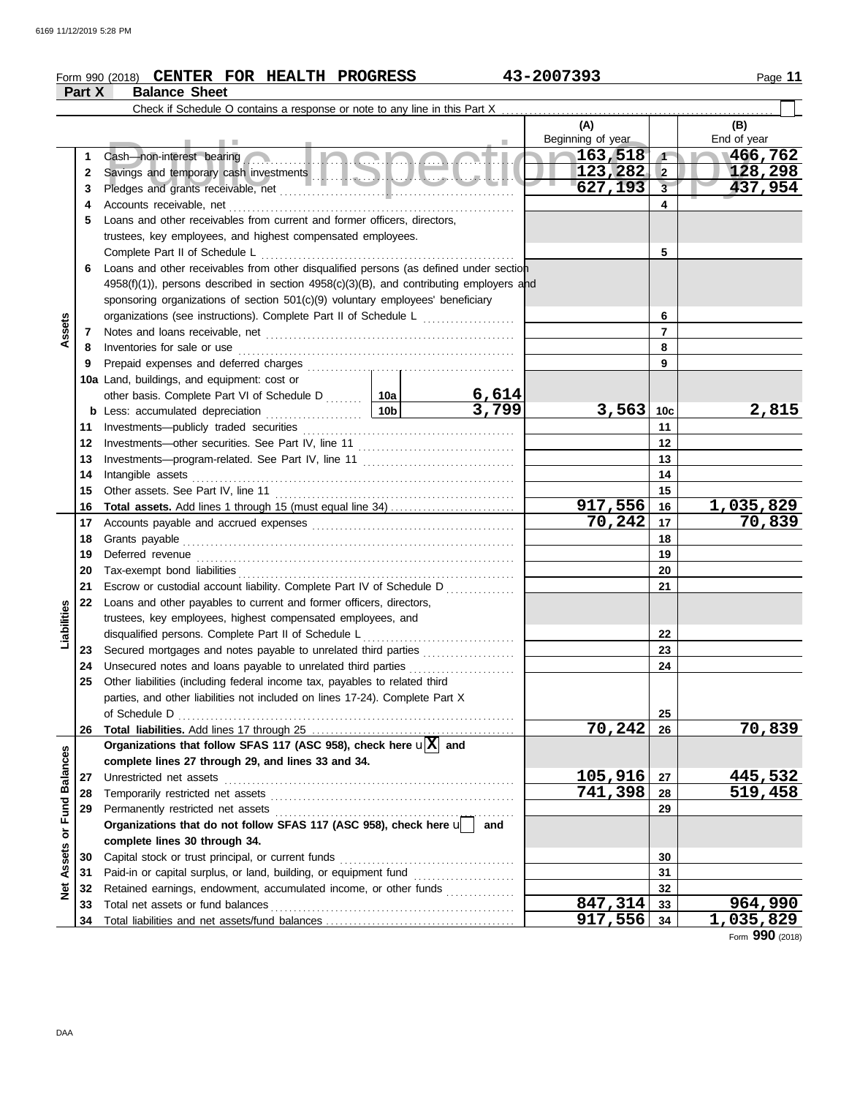### **Form 990 (2018) CENTER FOR HEALTH PROGRESS** 43-2007393 Page 11

|                  | Part X<br><b>Balance Sheet</b> |                                                                                              |                 |                |                   |                |                |
|------------------|--------------------------------|----------------------------------------------------------------------------------------------|-----------------|----------------|-------------------|----------------|----------------|
|                  |                                | Check if Schedule O contains a response or note to any line in this Part X                   |                 |                |                   |                |                |
|                  |                                |                                                                                              |                 |                | (A)               |                | (B)            |
|                  |                                |                                                                                              |                 |                | Beginning of year |                | End of year    |
|                  | 1                              | Cash—non-interest bearing                                                                    |                 | $\sim 163,518$ | $\sqrt{1}$        | 166,762        |                |
|                  | 2                              |                                                                                              |                 |                | $123, 282$ 2      |                | 128,298        |
|                  | 3                              |                                                                                              | 627,193         | 3 <sup>2</sup> | 437,954           |                |                |
|                  | 4                              |                                                                                              |                 |                |                   | 4              |                |
|                  | 5                              | Loans and other receivables from current and former officers, directors,                     |                 |                |                   |                |                |
|                  |                                | trustees, key employees, and highest compensated employees.                                  |                 |                |                   |                |                |
|                  |                                | Complete Part II of Schedule L                                                               |                 |                |                   | 5              |                |
|                  | 6                              | Loans and other receivables from other disqualified persons (as defined under section        |                 |                |                   |                |                |
|                  |                                | $4958(f)(1)$ , persons described in section $4958(c)(3)(B)$ , and contributing employers and |                 |                |                   |                |                |
|                  |                                | sponsoring organizations of section 501(c)(9) voluntary employees' beneficiary               |                 |                |                   |                |                |
|                  |                                | organizations (see instructions). Complete Part II of Schedule L                             |                 |                |                   | 6              |                |
| Assets           | 7                              |                                                                                              |                 |                |                   | $\overline{7}$ |                |
|                  | 8                              | Inventories for sale or use                                                                  |                 |                |                   | 8              |                |
|                  | 9                              | Prepaid expenses and deferred charges                                                        |                 |                |                   | 9              |                |
|                  |                                | 10a Land, buildings, and equipment: cost or                                                  |                 |                |                   |                |                |
|                  |                                |                                                                                              |                 | <u>6,614</u>   |                   |                |                |
|                  |                                | <b>b</b> Less: accumulated depreciation                                                      | 10 <sub>b</sub> | 3,799          | $3,563$ 10c       |                | 2,815          |
|                  | 11                             | Investments-publicly traded securities                                                       |                 |                |                   | 11             |                |
|                  | 12                             |                                                                                              |                 |                |                   | 12             |                |
|                  | 13                             |                                                                                              |                 |                |                   | 13             |                |
|                  | 14                             | Intangible assets                                                                            |                 | 14<br>15       |                   |                |                |
|                  | 15                             | Other assets. See Part IV, line 11                                                           |                 |                | 917,556           | 16             | 1,035,829      |
|                  | 16<br>17                       | <b>Total assets.</b> Add lines 1 through 15 (must equal line 34)                             |                 |                | 70,242            | 17             | 70,839         |
|                  | 18                             | Grants payable                                                                               |                 |                |                   | 18             |                |
|                  | 19                             | Deferred revenue                                                                             |                 | 19             |                   |                |                |
|                  | 20                             |                                                                                              |                 |                | 20                |                |                |
|                  | 21                             | Escrow or custodial account liability. Complete Part IV of Schedule D                        |                 |                |                   | 21             |                |
|                  | 22                             | Loans and other payables to current and former officers, directors,                          |                 |                |                   |                |                |
| Liabilities      |                                | trustees, key employees, highest compensated employees, and                                  |                 |                |                   |                |                |
|                  |                                | disqualified persons. Complete Part II of Schedule L                                         |                 | .              |                   | 22             |                |
|                  | 23                             | Secured mortgages and notes payable to unrelated third parties                               |                 |                |                   | 23             |                |
|                  | 24                             | Unsecured notes and loans payable to unrelated third parties                                 |                 |                |                   | 24             |                |
|                  |                                | Other liabilities (including federal income tax, payables to related third                   |                 |                |                   |                |                |
|                  |                                | parties, and other liabilities not included on lines 17-24). Complete Part X                 |                 |                |                   |                |                |
|                  |                                | of Schedule D                                                                                |                 |                |                   | 25             |                |
|                  | 26                             |                                                                                              |                 |                | 70,242            | 26             | 70,839         |
|                  |                                | Organizations that follow SFAS 117 (ASC 958), check here $\mathbf{u}[\mathbf{X}]$ and        |                 |                |                   |                |                |
|                  |                                | complete lines 27 through 29, and lines 33 and 34.                                           |                 |                |                   |                |                |
|                  | 27                             | Unrestricted net assets                                                                      |                 |                | 105,916           | 27             | 445,532        |
| or Fund Balances | 28                             | Temporarily restricted net assets                                                            |                 |                | 741,398           | 28             | 519,458        |
|                  | 29                             | Permanently restricted net assets                                                            |                 |                |                   | 29             |                |
|                  |                                | Organizations that do not follow SFAS 117 (ASC 958), check here u                            |                 | and            |                   |                |                |
|                  |                                | complete lines 30 through 34.                                                                |                 |                |                   |                |                |
| Assets           | 30                             | Capital stock or trust principal, or current funds                                           |                 |                |                   | 30             |                |
|                  | 31                             | Retained earnings, endowment, accumulated income, or other funds                             |                 |                |                   | 31<br>32       |                |
| <b>Net</b>       | 32                             | Total net assets or fund balances                                                            |                 |                | 847,314           | 33             | <u>964,990</u> |
|                  | 33<br>34                       |                                                                                              |                 |                | 917,556           | 34             | 1,035,829      |
|                  |                                |                                                                                              |                 |                |                   |                |                |

Form **990** (2018)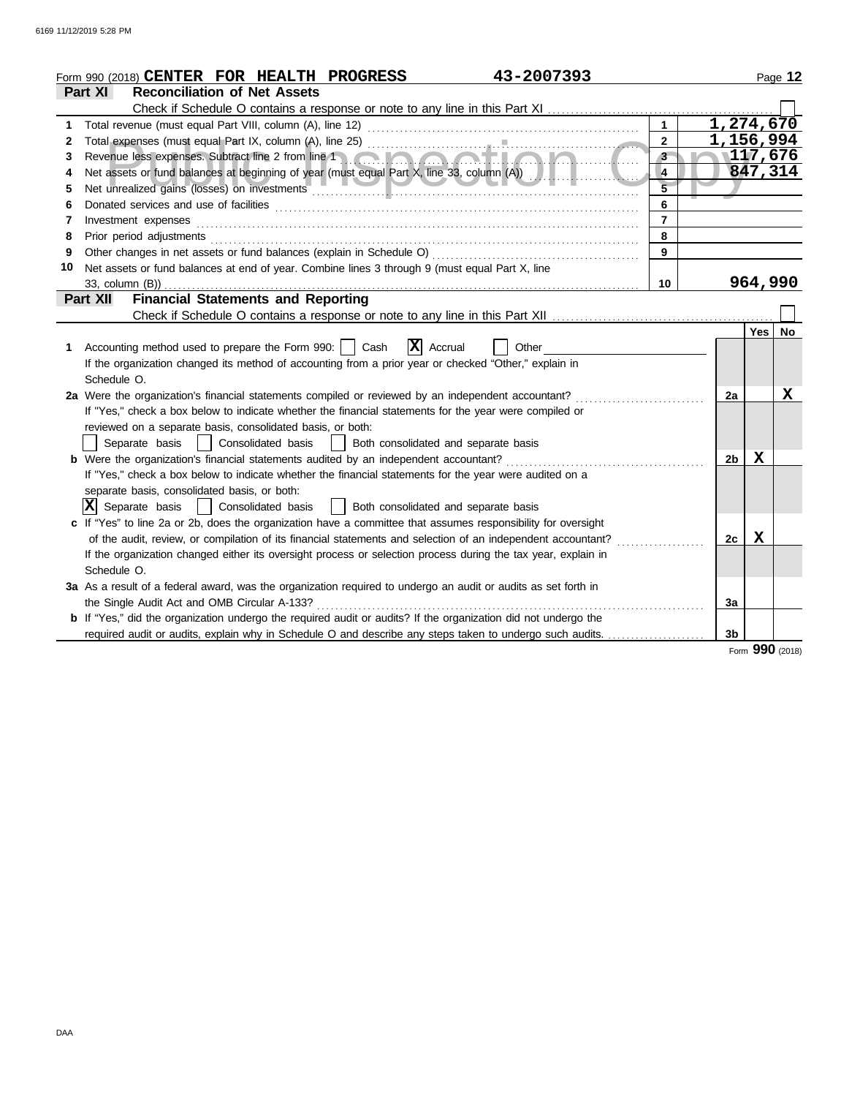|    | 43-2007393<br>Form 990 (2018) CENTER FOR HEALTH PROGRESS                                                       |                |                |             | Page 12 |
|----|----------------------------------------------------------------------------------------------------------------|----------------|----------------|-------------|---------|
|    | Part XI<br><b>Reconciliation of Net Assets</b>                                                                 |                |                |             |         |
|    | Check if Schedule O contains a response or note to any line in this Part XI                                    |                |                |             |         |
| 1  |                                                                                                                |                | 1,274,670      |             |         |
| 2  |                                                                                                                | $\mathbf{2}$   | 1,156,994      |             |         |
| 3  | $3 -$                                                                                                          |                |                |             | 117,676 |
| 4  | Net assets or fund balances at beginning of year (must equal Part X, line 33, column (A))                      | 4              |                |             | 847,314 |
| 5  |                                                                                                                |                |                |             |         |
| 6  |                                                                                                                | 6              |                |             |         |
| 7  | Investment expenses                                                                                            | $\overline{7}$ |                |             |         |
| 8  | Prior period adjustments                                                                                       | 8              |                |             |         |
| 9  | Other changes in net assets or fund balances (explain in Schedule O)                                           | 9              |                |             |         |
| 10 | Net assets or fund balances at end of year. Combine lines 3 through 9 (must equal Part X, line                 |                |                |             |         |
|    | 33, column (B))                                                                                                | 10             |                |             | 964,990 |
|    | <b>Financial Statements and Reporting</b><br><b>Part XII</b>                                                   |                |                |             |         |
|    |                                                                                                                |                |                |             |         |
|    |                                                                                                                |                |                | Yes         | No      |
| 1  | $ \mathbf{X} $ Accrual<br>Accounting method used to prepare the Form 990:     Cash<br>Other                    |                |                |             |         |
|    | If the organization changed its method of accounting from a prior year or checked "Other," explain in          |                |                |             |         |
|    | Schedule O.                                                                                                    |                |                |             |         |
|    | 2a Were the organization's financial statements compiled or reviewed by an independent accountant?             |                | 2a             |             | x       |
|    | If "Yes," check a box below to indicate whether the financial statements for the year were compiled or         |                |                |             |         |
|    | reviewed on a separate basis, consolidated basis, or both:                                                     |                |                |             |         |
|    | Consolidated basis<br>  Both consolidated and separate basis<br>Separate basis                                 |                |                |             |         |
|    | <b>b</b> Were the organization's financial statements audited by an independent accountant?                    |                | 2 <sub>b</sub> | $\mathbf x$ |         |
|    | If "Yes," check a box below to indicate whether the financial statements for the year were audited on a        |                |                |             |         |
|    | separate basis, consolidated basis, or both:                                                                   |                |                |             |         |
|    | $ \mathbf{X} $ Separate basis<br>  Consolidated basis<br>  Both consolidated and separate basis                |                |                |             |         |
|    | c If "Yes" to line 2a or 2b, does the organization have a committee that assumes responsibility for oversight  |                |                |             |         |
|    | of the audit, review, or compilation of its financial statements and selection of an independent accountant?   |                | 2с             | х           |         |
|    | If the organization changed either its oversight process or selection process during the tax year, explain in  |                |                |             |         |
|    | Schedule O.                                                                                                    |                |                |             |         |
|    | 3a As a result of a federal award, was the organization required to undergo an audit or audits as set forth in |                |                |             |         |
|    | the Single Audit Act and OMB Circular A-133?                                                                   |                | 3a             |             |         |
|    | b If "Yes," did the organization undergo the required audit or audits? If the organization did not undergo the |                |                |             |         |
|    | required audit or audits, explain why in Schedule O and describe any steps taken to undergo such audits.       |                | 3 <sub>b</sub> |             |         |

Form **990** (2018)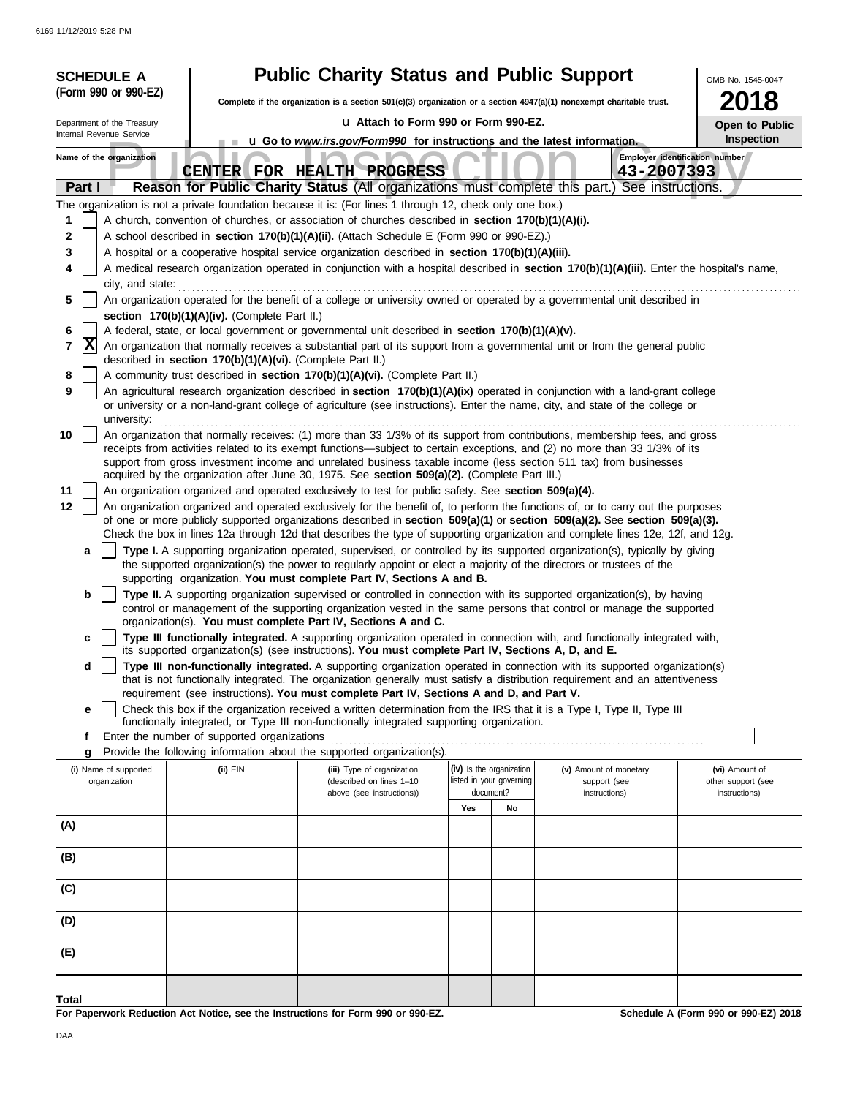| <b>SCHEDULE A</b>          |                                                            | <b>Public Charity Status and Public Support</b>                                                                                                                                                                                                     |                                       |                        | OMB No. 1545-0047                    |  |  |
|----------------------------|------------------------------------------------------------|-----------------------------------------------------------------------------------------------------------------------------------------------------------------------------------------------------------------------------------------------------|---------------------------------------|------------------------|--------------------------------------|--|--|
| (Form 990 or 990-EZ)       |                                                            | Complete if the organization is a section $501(c)(3)$ organization or a section $4947(a)(1)$ nonexempt charitable trust.                                                                                                                            |                                       |                        | 018                                  |  |  |
| Department of the Treasury |                                                            |                                                                                                                                                                                                                                                     | La Attach to Form 990 or Form 990-EZ. |                        |                                      |  |  |
| Internal Revenue Service   |                                                            | <b>u</b> Go to <i>www.irs.gov/Form990</i> for instructions and the latest information.                                                                                                                                                              |                                       |                        | Open to Public<br>Inspection         |  |  |
| Name of the organization   |                                                            |                                                                                                                                                                                                                                                     |                                       |                        | Employer identification number       |  |  |
| Part I                     |                                                            | CENTER FOR HEALTH PROGRESS<br>Reason for Public Charity Status (All organizations must complete this part.) See instructions.                                                                                                                       |                                       | 43-2007393             |                                      |  |  |
|                            |                                                            | The organization is not a private foundation because it is: (For lines 1 through 12, check only one box.)                                                                                                                                           |                                       |                        |                                      |  |  |
| 1                          |                                                            | A church, convention of churches, or association of churches described in <b>section 170(b)(1)(A)(i).</b>                                                                                                                                           |                                       |                        |                                      |  |  |
| 2                          |                                                            | A school described in section 170(b)(1)(A)(ii). (Attach Schedule E (Form 990 or 990-EZ).)                                                                                                                                                           |                                       |                        |                                      |  |  |
| 3<br>4                     |                                                            | A hospital or a cooperative hospital service organization described in section 170(b)(1)(A)(iii).<br>A medical research organization operated in conjunction with a hospital described in section 170(b)(1)(A)(iii). Enter the hospital's name,     |                                       |                        |                                      |  |  |
| city, and state:           |                                                            |                                                                                                                                                                                                                                                     |                                       |                        |                                      |  |  |
| 5                          |                                                            | An organization operated for the benefit of a college or university owned or operated by a governmental unit described in                                                                                                                           |                                       |                        |                                      |  |  |
| 6                          | section 170(b)(1)(A)(iv). (Complete Part II.)              | A federal, state, or local government or governmental unit described in section 170(b)(1)(A)(v).                                                                                                                                                    |                                       |                        |                                      |  |  |
| X<br>7                     |                                                            | An organization that normally receives a substantial part of its support from a governmental unit or from the general public                                                                                                                        |                                       |                        |                                      |  |  |
| 8                          | described in section 170(b)(1)(A)(vi). (Complete Part II.) | A community trust described in section 170(b)(1)(A)(vi). (Complete Part II.)                                                                                                                                                                        |                                       |                        |                                      |  |  |
| 9                          |                                                            | An agricultural research organization described in section 170(b)(1)(A)(ix) operated in conjunction with a land-grant college                                                                                                                       |                                       |                        |                                      |  |  |
| university:                |                                                            | or university or a non-land-grant college of agriculture (see instructions). Enter the name, city, and state of the college or                                                                                                                      |                                       |                        |                                      |  |  |
| 10                         |                                                            | An organization that normally receives: (1) more than 33 1/3% of its support from contributions, membership fees, and gross                                                                                                                         |                                       |                        |                                      |  |  |
|                            |                                                            | receipts from activities related to its exempt functions—subject to certain exceptions, and (2) no more than 33 1/3% of its<br>support from gross investment income and unrelated business taxable income (less section 511 tax) from businesses    |                                       |                        |                                      |  |  |
|                            |                                                            | acquired by the organization after June 30, 1975. See section 509(a)(2). (Complete Part III.)                                                                                                                                                       |                                       |                        |                                      |  |  |
| 11<br>12                   |                                                            | An organization organized and operated exclusively to test for public safety. See section 509(a)(4).<br>An organization organized and operated exclusively for the benefit of, to perform the functions of, or to carry out the purposes            |                                       |                        |                                      |  |  |
|                            |                                                            | of one or more publicly supported organizations described in section $509(a)(1)$ or section $509(a)(2)$ . See section $509(a)(3)$ .                                                                                                                 |                                       |                        |                                      |  |  |
|                            |                                                            | Check the box in lines 12a through 12d that describes the type of supporting organization and complete lines 12e, 12f, and 12g.                                                                                                                     |                                       |                        |                                      |  |  |
| a                          |                                                            | Type I. A supporting organization operated, supervised, or controlled by its supported organization(s), typically by giving<br>the supported organization(s) the power to regularly appoint or elect a majority of the directors or trustees of the |                                       |                        |                                      |  |  |
|                            |                                                            | supporting organization. You must complete Part IV, Sections A and B.                                                                                                                                                                               |                                       |                        |                                      |  |  |
| b                          |                                                            | Type II. A supporting organization supervised or controlled in connection with its supported organization(s), by having                                                                                                                             |                                       |                        |                                      |  |  |
|                            |                                                            | control or management of the supporting organization vested in the same persons that control or manage the supported<br>organization(s). You must complete Part IV, Sections A and C.                                                               |                                       |                        |                                      |  |  |
| с                          |                                                            | Type III functionally integrated. A supporting organization operated in connection with, and functionally integrated with,<br>its supported organization(s) (see instructions). You must complete Part IV, Sections A, D, and E.                    |                                       |                        |                                      |  |  |
| d                          |                                                            | Type III non-functionally integrated. A supporting organization operated in connection with its supported organization(s)                                                                                                                           |                                       |                        |                                      |  |  |
|                            |                                                            | that is not functionally integrated. The organization generally must satisfy a distribution requirement and an attentiveness                                                                                                                        |                                       |                        |                                      |  |  |
| е                          |                                                            | requirement (see instructions). You must complete Part IV, Sections A and D, and Part V.<br>Check this box if the organization received a written determination from the IRS that it is a Type I, Type II, Type III                                 |                                       |                        |                                      |  |  |
|                            |                                                            | functionally integrated, or Type III non-functionally integrated supporting organization.                                                                                                                                                           |                                       |                        |                                      |  |  |
| f                          | Enter the number of supported organizations                |                                                                                                                                                                                                                                                     |                                       |                        |                                      |  |  |
| g<br>(i) Name of supported | (ii) EIN                                                   | Provide the following information about the supported organization(s).<br>(iii) Type of organization                                                                                                                                                | (iv) Is the organization              | (v) Amount of monetary | (vi) Amount of                       |  |  |
| organization               |                                                            | (described on lines 1-10                                                                                                                                                                                                                            | listed in your governing              | support (see           | other support (see                   |  |  |
|                            |                                                            | above (see instructions))                                                                                                                                                                                                                           | document?<br>Yes<br>No                | instructions)          | instructions)                        |  |  |
| (A)                        |                                                            |                                                                                                                                                                                                                                                     |                                       |                        |                                      |  |  |
| (B)                        |                                                            |                                                                                                                                                                                                                                                     |                                       |                        |                                      |  |  |
|                            |                                                            |                                                                                                                                                                                                                                                     |                                       |                        |                                      |  |  |
| (C)                        |                                                            |                                                                                                                                                                                                                                                     |                                       |                        |                                      |  |  |
| (D)                        |                                                            |                                                                                                                                                                                                                                                     |                                       |                        |                                      |  |  |
| (E)                        |                                                            |                                                                                                                                                                                                                                                     |                                       |                        |                                      |  |  |
|                            |                                                            |                                                                                                                                                                                                                                                     |                                       |                        |                                      |  |  |
| Total                      |                                                            |                                                                                                                                                                                                                                                     |                                       |                        |                                      |  |  |
|                            |                                                            | For Paperwork Reduction Act Notice, see the Instructions for Form 990 or 990-EZ.                                                                                                                                                                    |                                       |                        | Schedule A (Form 990 or 990-EZ) 2018 |  |  |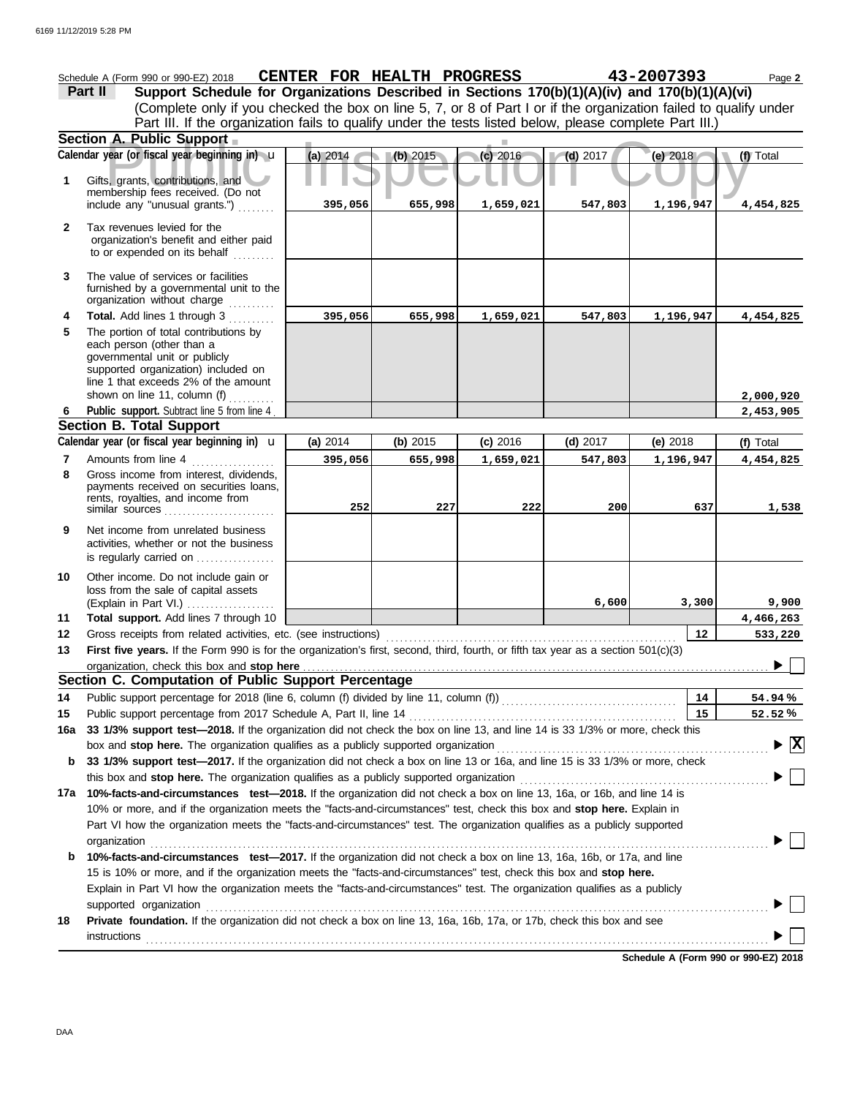|              | Schedule A (Form 990 or 990-EZ) 2018                                                                                                                                                                                                        | CENTER FOR HEALTH PROGRESS |          |            |            | 43-2007393 | Page 2                          |
|--------------|---------------------------------------------------------------------------------------------------------------------------------------------------------------------------------------------------------------------------------------------|----------------------------|----------|------------|------------|------------|---------------------------------|
|              | Support Schedule for Organizations Described in Sections 170(b)(1)(A)(iv) and 170(b)(1)(A)(vi)<br>Part II                                                                                                                                   |                            |          |            |            |            |                                 |
|              | (Complete only if you checked the box on line 5, 7, or 8 of Part I or if the organization failed to qualify under                                                                                                                           |                            |          |            |            |            |                                 |
|              | Part III. If the organization fails to qualify under the tests listed below, please complete Part III.)                                                                                                                                     |                            |          |            |            |            |                                 |
|              | Section A. Public Support                                                                                                                                                                                                                   |                            |          |            |            |            |                                 |
|              | Calendar year (or fiscal year beginning in) u                                                                                                                                                                                               | (a) 2014                   | (b) 2015 | (c) 2016   | $(d)$ 2017 | (e) 2018   | (f) Total                       |
| 1            | Gifts, grants, contributions, and<br>membership fees received. (Do not                                                                                                                                                                      |                            |          |            |            |            |                                 |
|              | include any "unusual grants.")                                                                                                                                                                                                              | 395,056                    | 655,998  | 1,659,021  | 547,803    | 1,196,947  | 4,454,825                       |
| $\mathbf{2}$ | Tax revenues levied for the<br>organization's benefit and either paid<br>to or expended on its behalf                                                                                                                                       |                            |          |            |            |            |                                 |
| 3            | The value of services or facilities<br>furnished by a governmental unit to the<br>organization without charge                                                                                                                               |                            |          |            |            |            |                                 |
| 4            | Total. Add lines 1 through 3                                                                                                                                                                                                                | 395,056                    | 655,998  | 1,659,021  | 547,803    | 1,196,947  | 4,454,825                       |
| 5            | The portion of total contributions by<br>each person (other than a<br>governmental unit or publicly<br>supported organization) included on<br>line 1 that exceeds 2% of the amount<br>shown on line 11, column $(f)$                        |                            |          |            |            |            | 2,000,920                       |
| 6            | Public support. Subtract line 5 from line 4                                                                                                                                                                                                 |                            |          |            |            |            | 2,453,905                       |
|              | <b>Section B. Total Support</b>                                                                                                                                                                                                             |                            |          |            |            |            |                                 |
|              | Calendar year (or fiscal year beginning in) <b>u</b>                                                                                                                                                                                        | (a) 2014                   | (b) 2015 | $(c)$ 2016 | $(d)$ 2017 | (e) $2018$ | (f) Total                       |
| 7            | Amounts from line 4                                                                                                                                                                                                                         | 395,056                    | 655,998  | 1,659,021  | 547,803    | 1,196,947  | 4,454,825                       |
| 8            | Gross income from interest, dividends,<br>payments received on securities loans,<br>rents, royalties, and income from                                                                                                                       | 252                        | 227      | 222        | 200        | 637        | 1,538                           |
| 9            | Net income from unrelated business<br>activities, whether or not the business<br>is regularly carried on                                                                                                                                    |                            |          |            |            |            |                                 |
| 10           | Other income. Do not include gain or<br>loss from the sale of capital assets<br>(Explain in Part VI.)                                                                                                                                       |                            |          |            | 6,600      | 3,300      | 9,900                           |
| 11           | Total support. Add lines 7 through 10                                                                                                                                                                                                       |                            |          |            |            | 12         | 4,466,263                       |
| 12<br>13     | Gross receipts from related activities, etc. (see instructions)<br>First five years. If the Form 990 is for the organization's first, second, third, fourth, or fifth tax year as a section 501(c)(3)                                       |                            |          |            |            |            | 533,220                         |
|              | organization, check this box and stop here <b>construction and construction</b> and construction, check this box and stop here <b>construction</b>                                                                                          |                            |          |            |            |            | $\overline{\phantom{a}}$        |
|              | Section C. Computation of Public Support Percentage                                                                                                                                                                                         |                            |          |            |            |            |                                 |
| 14           |                                                                                                                                                                                                                                             |                            |          |            |            | 14         | 54.94%                          |
| 15           | Public support percentage from 2017 Schedule A, Part II, line 14                                                                                                                                                                            |                            |          |            |            | 15         | 52.52%                          |
| 16a          | 33 1/3% support test-2018. If the organization did not check the box on line 13, and line 14 is 33 1/3% or more, check this                                                                                                                 |                            |          |            |            |            |                                 |
|              | box and stop here. The organization qualifies as a publicly supported organization                                                                                                                                                          |                            |          |            |            |            | $\blacktriangleright$ $\vert$ X |
| b            | 33 1/3% support test-2017. If the organization did not check a box on line 13 or 16a, and line 15 is 33 1/3% or more, check                                                                                                                 |                            |          |            |            |            |                                 |
|              | this box and stop here. The organization qualifies as a publicly supported organization                                                                                                                                                     |                            |          |            |            |            |                                 |
|              | 17a 10%-facts-and-circumstances test-2018. If the organization did not check a box on line 13, 16a, or 16b, and line 14 is                                                                                                                  |                            |          |            |            |            |                                 |
|              | 10% or more, and if the organization meets the "facts-and-circumstances" test, check this box and stop here. Explain in                                                                                                                     |                            |          |            |            |            |                                 |
|              | Part VI how the organization meets the "facts-and-circumstances" test. The organization qualifies as a publicly supported                                                                                                                   |                            |          |            |            |            |                                 |
|              | organization                                                                                                                                                                                                                                |                            |          |            |            |            |                                 |
| b            | 10%-facts-and-circumstances test-2017. If the organization did not check a box on line 13, 16a, 16b, or 17a, and line<br>15 is 10% or more, and if the organization meets the "facts-and-circumstances" test, check this box and stop here. |                            |          |            |            |            |                                 |
|              | Explain in Part VI how the organization meets the "facts-and-circumstances" test. The organization qualifies as a publicly                                                                                                                  |                            |          |            |            |            |                                 |
|              | supported organization contains and contains a supported organization of the supported organization contains and contains a supported organization contains a supported or supported or supported or support of the support of              |                            |          |            |            |            |                                 |
| 18           | Private foundation. If the organization did not check a box on line 13, 16a, 16b, 17a, or 17b, check this box and see                                                                                                                       |                            |          |            |            |            |                                 |
|              | <b>instructions</b>                                                                                                                                                                                                                         |                            |          |            |            |            |                                 |
|              |                                                                                                                                                                                                                                             |                            |          |            |            |            |                                 |

**Schedule A (Form 990 or 990-EZ) 2018**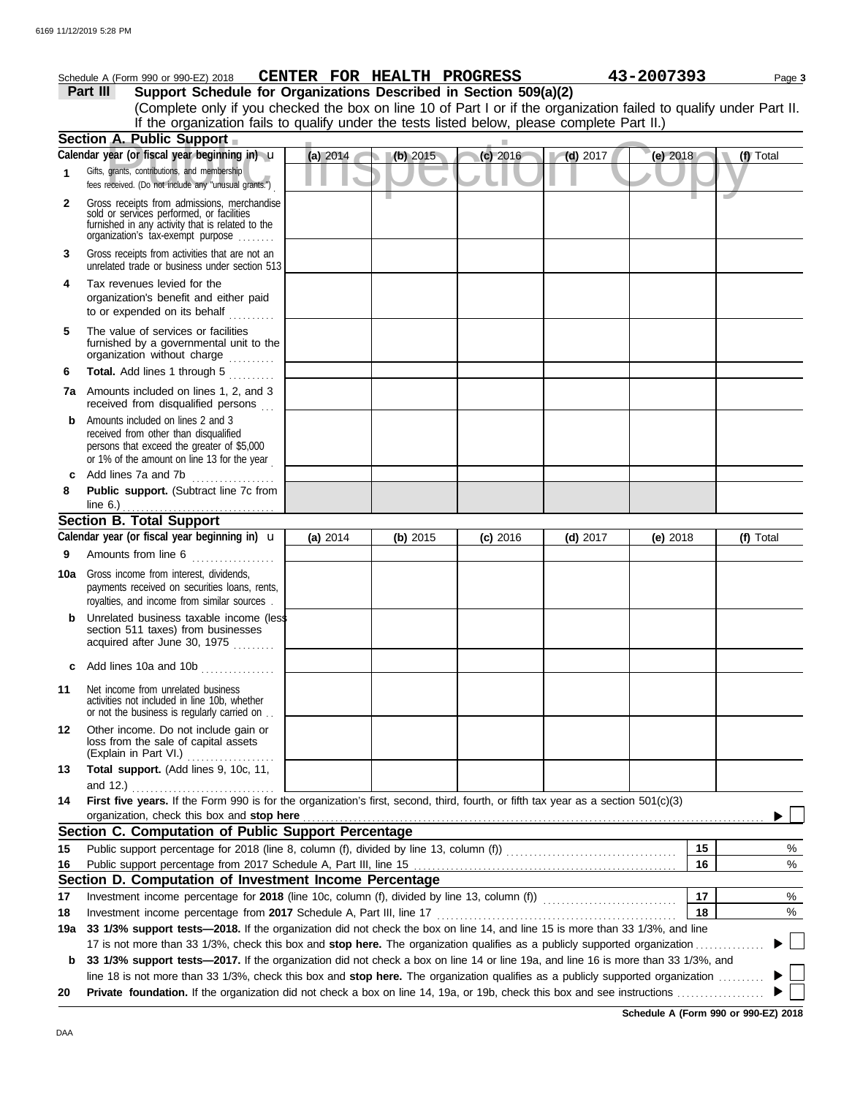|     | Schedule A (Form 990 or 990-EZ) 2018                                                                                                                                              | CENTER FOR HEALTH PROGRESS |          |            |            | 43-2007393 | Page 3    |
|-----|-----------------------------------------------------------------------------------------------------------------------------------------------------------------------------------|----------------------------|----------|------------|------------|------------|-----------|
|     | Support Schedule for Organizations Described in Section 509(a)(2)<br>Part III                                                                                                     |                            |          |            |            |            |           |
|     | (Complete only if you checked the box on line 10 of Part I or if the organization failed to qualify under Part II.                                                                |                            |          |            |            |            |           |
|     | If the organization fails to qualify under the tests listed below, please complete Part II.)                                                                                      |                            |          |            |            |            |           |
|     | Section A. Public Support                                                                                                                                                         |                            |          |            |            |            |           |
|     | Calendar year (or fiscal year beginning in) u                                                                                                                                     | (a) 2014                   | (b) 2015 | (c) 2016   | $(d)$ 2017 | $(e)$ 2018 | (f) Total |
|     | Gifts, grants, contributions, and membership<br>fees received. (Do not include any "unusual grants.")                                                                             |                            |          |            |            |            |           |
| 2   | Gross receipts from admissions, merchandise<br>sold or services performed, or facilities<br>furnished in any activity that is related to the<br>organization's tax-exempt purpose |                            |          |            |            |            |           |
| 3   | Gross receipts from activities that are not an<br>unrelated trade or business under section 513                                                                                   |                            |          |            |            |            |           |
| 4   | Tax revenues levied for the<br>organization's benefit and either paid<br>to or expended on its behalf                                                                             |                            |          |            |            |            |           |
| 5   | The value of services or facilities<br>furnished by a governmental unit to the<br>organization without charge                                                                     |                            |          |            |            |            |           |
| 6   | Total. Add lines 1 through 5                                                                                                                                                      |                            |          |            |            |            |           |
|     | <b>7a</b> Amounts included on lines 1, 2, and 3<br>received from disqualified persons                                                                                             |                            |          |            |            |            |           |
| b   | Amounts included on lines 2 and 3<br>received from other than disqualified<br>persons that exceed the greater of \$5,000<br>or 1% of the amount on line 13 for the year           |                            |          |            |            |            |           |
| c   | Add lines 7a and 7b<br>.                                                                                                                                                          |                            |          |            |            |            |           |
| 8   | Public support. (Subtract line 7c from                                                                                                                                            |                            |          |            |            |            |           |
|     | line $6.$ )                                                                                                                                                                       |                            |          |            |            |            |           |
|     | <b>Section B. Total Support</b>                                                                                                                                                   |                            |          |            |            |            |           |
|     | Calendar year (or fiscal year beginning in) <b>u</b>                                                                                                                              | (a) 2014                   | (b) 2015 | $(c)$ 2016 | $(d)$ 2017 | (e) $2018$ | (f) Total |
| 9   | Amounts from line 6                                                                                                                                                               |                            |          |            |            |            |           |
| 10a | Gross income from interest, dividends,<br>payments received on securities loans, rents,<br>royalties, and income from similar sources.                                            |                            |          |            |            |            |           |
|     | Unrelated business taxable income (less<br>section 511 taxes) from businesses<br>acquired after June 30, 1975                                                                     |                            |          |            |            |            |           |
| с   | Add lines 10a and 10b                                                                                                                                                             |                            |          |            |            |            |           |
| 11  | Net income from unrelated business<br>activities not included in line 10b, whether<br>or not the business is regularly carried on                                                 |                            |          |            |            |            |           |
| 12  | Other income. Do not include gain or<br>loss from the sale of capital assets<br>(Explain in Part VI.)<br>.                                                                        |                            |          |            |            |            |           |
| 13  | Total support. (Add lines 9, 10c, 11,                                                                                                                                             |                            |          |            |            |            |           |
|     | and $12.$ )                                                                                                                                                                       |                            |          |            |            |            |           |
| 14  | First five years. If the Form 990 is for the organization's first, second, third, fourth, or fifth tax year as a section 501(c)(3)                                                |                            |          |            |            |            |           |
|     | organization, check this box and stop here<br>Section C. Computation of Public Support Percentage                                                                                 |                            |          |            |            |            |           |
|     |                                                                                                                                                                                   |                            |          |            |            |            |           |
| 15  |                                                                                                                                                                                   |                            |          |            |            | 15         | $\%$      |
| 16  |                                                                                                                                                                                   |                            |          |            |            | 16         | $\%$      |
|     | Section D. Computation of Investment Income Percentage                                                                                                                            |                            |          |            |            | 17         | %         |
| 17  |                                                                                                                                                                                   |                            |          |            |            |            | $\%$      |
| 18  | 33 1/3% support tests-2018. If the organization did not check the box on line 14, and line 15 is more than 33 1/3%, and line                                                      |                            |          |            |            | 18         |           |
| 19a | 17 is not more than 33 1/3%, check this box and stop here. The organization qualifies as a publicly supported organization                                                        |                            |          |            |            |            |           |
| b   | 33 1/3% support tests-2017. If the organization did not check a box on line 14 or line 19a, and line 16 is more than 33 1/3%, and                                                 |                            |          |            |            |            |           |
|     | line 18 is not more than 33 1/3%, check this box and stop here. The organization qualifies as a publicly supported organization                                                   |                            |          |            |            |            |           |
| 20  |                                                                                                                                                                                   |                            |          |            |            |            |           |

**Schedule A (Form 990 or 990-EZ) 2018**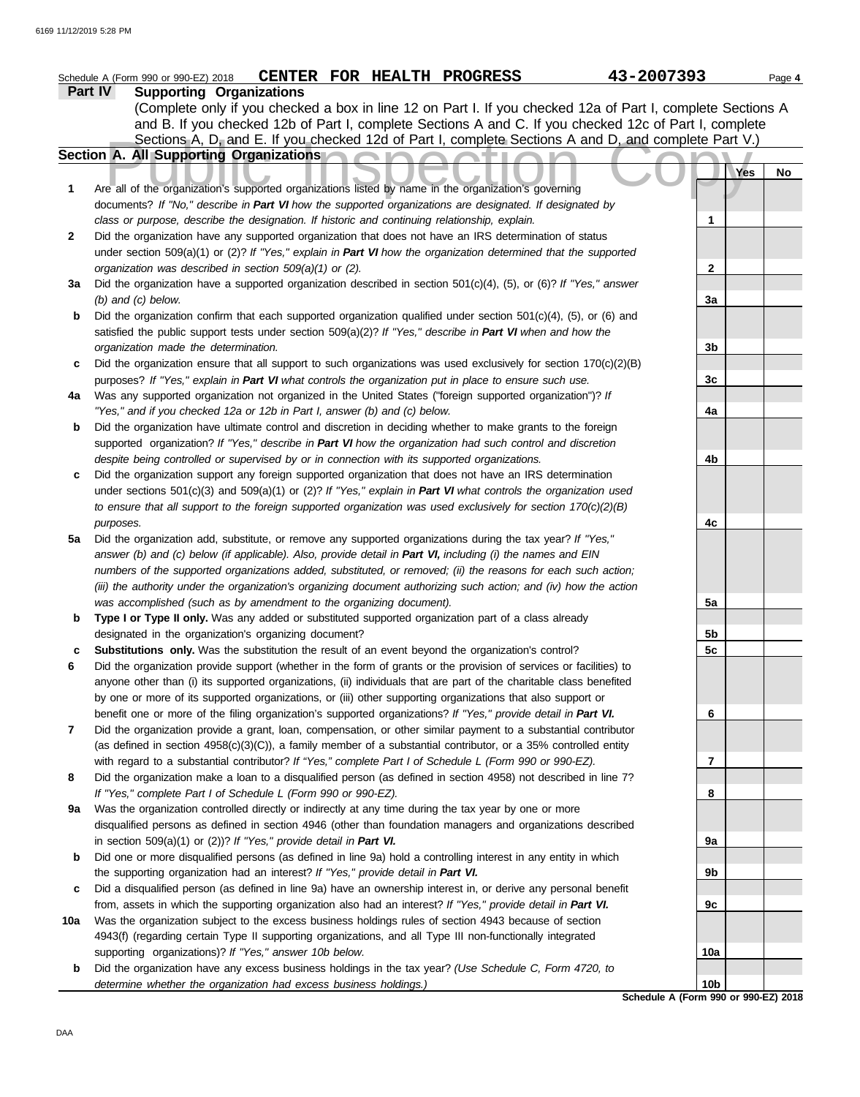|     | CENTER FOR HEALTH PROGRESS<br>Schedule A (Form 990 or 990-EZ) 2018                                                                                                                                                   | 43-2007393                                  | Page 4 |
|-----|----------------------------------------------------------------------------------------------------------------------------------------------------------------------------------------------------------------------|---------------------------------------------|--------|
|     | <b>Supporting Organizations</b><br>Part IV                                                                                                                                                                           |                                             |        |
|     | (Complete only if you checked a box in line 12 on Part I. If you checked 12a of Part I, complete Sections A                                                                                                          |                                             |        |
|     | and B. If you checked 12b of Part I, complete Sections A and C. If you checked 12c of Part I, complete                                                                                                               |                                             |        |
|     | Sections A, D, and E. If you checked 12d of Part I, complete Sections A and D, and complete Part V.)                                                                                                                 |                                             |        |
|     | Section A. All Supporting Organizations                                                                                                                                                                              | Yes                                         | No     |
| 1   | Are all of the organization's supported organizations listed by name in the organization's governing                                                                                                                 |                                             |        |
|     | documents? If "No," describe in Part VI how the supported organizations are designated. If designated by                                                                                                             |                                             |        |
|     | class or purpose, describe the designation. If historic and continuing relationship, explain.                                                                                                                        | 1                                           |        |
| 2   | Did the organization have any supported organization that does not have an IRS determination of status                                                                                                               |                                             |        |
|     | under section 509(a)(1) or (2)? If "Yes," explain in Part VI how the organization determined that the supported                                                                                                      |                                             |        |
|     | organization was described in section $509(a)(1)$ or (2).                                                                                                                                                            | $\overline{\mathbf{c}}$                     |        |
| За  | Did the organization have a supported organization described in section $501(c)(4)$ , (5), or (6)? If "Yes," answer                                                                                                  |                                             |        |
|     | $(b)$ and $(c)$ below.                                                                                                                                                                                               | 3a                                          |        |
| b   | Did the organization confirm that each supported organization qualified under section $501(c)(4)$ , (5), or (6) and                                                                                                  |                                             |        |
|     | satisfied the public support tests under section 509(a)(2)? If "Yes," describe in Part VI when and how the                                                                                                           |                                             |        |
|     | organization made the determination.                                                                                                                                                                                 | 3b                                          |        |
| c   | Did the organization ensure that all support to such organizations was used exclusively for section $170(c)(2)(B)$                                                                                                   |                                             |        |
|     | purposes? If "Yes," explain in Part VI what controls the organization put in place to ensure such use.<br>Was any supported organization not organized in the United States ("foreign supported organization")? If   | 3c                                          |        |
| 4a  | "Yes," and if you checked 12a or 12b in Part I, answer (b) and (c) below.                                                                                                                                            | 4a                                          |        |
| b   | Did the organization have ultimate control and discretion in deciding whether to make grants to the foreign                                                                                                          |                                             |        |
|     | supported organization? If "Yes," describe in Part VI how the organization had such control and discretion                                                                                                           |                                             |        |
|     | despite being controlled or supervised by or in connection with its supported organizations.                                                                                                                         | 4b                                          |        |
| c   | Did the organization support any foreign supported organization that does not have an IRS determination                                                                                                              |                                             |        |
|     | under sections $501(c)(3)$ and $509(a)(1)$ or (2)? If "Yes," explain in Part VI what controls the organization used                                                                                                  |                                             |        |
|     | to ensure that all support to the foreign supported organization was used exclusively for section $170(c)(2)(B)$                                                                                                     |                                             |        |
|     | purposes.                                                                                                                                                                                                            | 4c                                          |        |
| 5а  | Did the organization add, substitute, or remove any supported organizations during the tax year? If "Yes,"                                                                                                           |                                             |        |
|     | answer (b) and (c) below (if applicable). Also, provide detail in Part VI, including (i) the names and EIN                                                                                                           |                                             |        |
|     | numbers of the supported organizations added, substituted, or removed; (ii) the reasons for each such action;                                                                                                        |                                             |        |
|     | (iii) the authority under the organization's organizing document authorizing such action; and (iv) how the action                                                                                                    |                                             |        |
| b   | was accomplished (such as by amendment to the organizing document).<br>Type I or Type II only. Was any added or substituted supported organization part of a class already                                           | 5a                                          |        |
|     | designated in the organization's organizing document?                                                                                                                                                                | 5b                                          |        |
| c   | Substitutions only. Was the substitution the result of an event beyond the organization's control?                                                                                                                   | 5c                                          |        |
| 6   | Did the organization provide support (whether in the form of grants or the provision of services or facilities) to                                                                                                   |                                             |        |
|     | anyone other than (i) its supported organizations, (ii) individuals that are part of the charitable class benefited                                                                                                  |                                             |        |
|     | by one or more of its supported organizations, or (iii) other supporting organizations that also support or                                                                                                          |                                             |        |
|     | benefit one or more of the filing organization's supported organizations? If "Yes," provide detail in Part VI.                                                                                                       | 6                                           |        |
| 7   | Did the organization provide a grant, loan, compensation, or other similar payment to a substantial contributor                                                                                                      |                                             |        |
|     | (as defined in section 4958(c)(3)(C)), a family member of a substantial contributor, or a 35% controlled entity                                                                                                      |                                             |        |
|     | with regard to a substantial contributor? If "Yes," complete Part I of Schedule L (Form 990 or 990-EZ).                                                                                                              | 7                                           |        |
| 8   | Did the organization make a loan to a disqualified person (as defined in section 4958) not described in line 7?                                                                                                      |                                             |        |
|     | If "Yes," complete Part I of Schedule L (Form 990 or 990-EZ).                                                                                                                                                        | 8                                           |        |
| 9а  | Was the organization controlled directly or indirectly at any time during the tax year by one or more<br>disqualified persons as defined in section 4946 (other than foundation managers and organizations described |                                             |        |
|     | in section 509(a)(1) or (2))? If "Yes," provide detail in Part VI.                                                                                                                                                   | 9а                                          |        |
| b   | Did one or more disqualified persons (as defined in line 9a) hold a controlling interest in any entity in which                                                                                                      |                                             |        |
|     | the supporting organization had an interest? If "Yes," provide detail in Part VI.                                                                                                                                    | 9b                                          |        |
| c   | Did a disqualified person (as defined in line 9a) have an ownership interest in, or derive any personal benefit                                                                                                      |                                             |        |
|     | from, assets in which the supporting organization also had an interest? If "Yes," provide detail in Part VI.                                                                                                         | 9c                                          |        |
| 10a | Was the organization subject to the excess business holdings rules of section 4943 because of section                                                                                                                |                                             |        |
|     | 4943(f) (regarding certain Type II supporting organizations, and all Type III non-functionally integrated                                                                                                            |                                             |        |
|     | supporting organizations)? If "Yes," answer 10b below.                                                                                                                                                               | 10a                                         |        |
| b   | Did the organization have any excess business holdings in the tax year? (Use Schedule C, Form 4720, to                                                                                                               |                                             |        |
|     | determine whether the organization had excess business holdings.)                                                                                                                                                    | 10b<br>Schedule A (Form 990 or 990-EZ) 2018 |        |
|     |                                                                                                                                                                                                                      |                                             |        |

DAA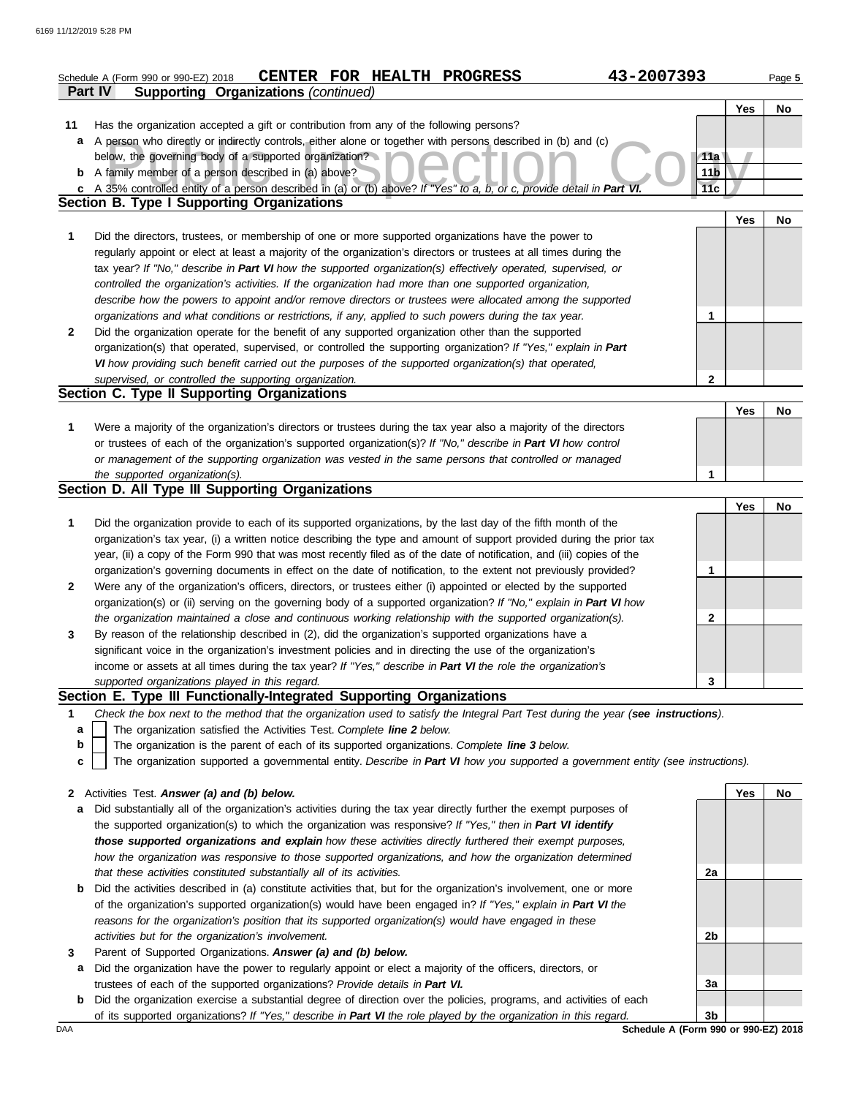|              | CENTER FOR HEALTH PROGRESS<br>Schedule A (Form 990 or 990-EZ) 2018                                                                                                                                                       | 43-2007393      |            | Page 5    |
|--------------|--------------------------------------------------------------------------------------------------------------------------------------------------------------------------------------------------------------------------|-----------------|------------|-----------|
|              | <b>Supporting Organizations (continued)</b><br>Part IV                                                                                                                                                                   |                 |            |           |
|              |                                                                                                                                                                                                                          |                 | <b>Yes</b> | No        |
| 11           | Has the organization accepted a gift or contribution from any of the following persons?                                                                                                                                  |                 |            |           |
| a            | A person who directly or indirectly controls, either alone or together with persons described in (b) and (c)                                                                                                             |                 |            |           |
|              | below, the governing body of a supported organization?                                                                                                                                                                   | 11a             |            |           |
|              | <b>b</b> A family member of a person described in (a) above?                                                                                                                                                             | 11 <sub>b</sub> |            |           |
|              | c A 35% controlled entity of a person described in (a) or (b) above? If "Yes" to a, b, or c, provide detail in Part VI.                                                                                                  | 11c             |            |           |
|              | <b>Section B. Type I Supporting Organizations</b>                                                                                                                                                                        |                 |            |           |
|              |                                                                                                                                                                                                                          |                 | <b>Yes</b> | No        |
| 1            | Did the directors, trustees, or membership of one or more supported organizations have the power to                                                                                                                      |                 |            |           |
|              | regularly appoint or elect at least a majority of the organization's directors or trustees at all times during the                                                                                                       |                 |            |           |
|              | tax year? If "No," describe in Part VI how the supported organization(s) effectively operated, supervised, or<br>controlled the organization's activities. If the organization had more than one supported organization, |                 |            |           |
|              | describe how the powers to appoint and/or remove directors or trustees were allocated among the supported                                                                                                                |                 |            |           |
|              | organizations and what conditions or restrictions, if any, applied to such powers during the tax year.                                                                                                                   | 1               |            |           |
| $\mathbf{2}$ | Did the organization operate for the benefit of any supported organization other than the supported                                                                                                                      |                 |            |           |
|              | organization(s) that operated, supervised, or controlled the supporting organization? If "Yes," explain in Part                                                                                                          |                 |            |           |
|              | VI how providing such benefit carried out the purposes of the supported organization(s) that operated,                                                                                                                   |                 |            |           |
|              | supervised, or controlled the supporting organization.                                                                                                                                                                   | $\mathbf{2}$    |            |           |
|              | Section C. Type II Supporting Organizations                                                                                                                                                                              |                 |            |           |
|              |                                                                                                                                                                                                                          |                 | <b>Yes</b> | No        |
| 1            | Were a majority of the organization's directors or trustees during the tax year also a majority of the directors                                                                                                         |                 |            |           |
|              | or trustees of each of the organization's supported organization(s)? If "No," describe in Part VI how control                                                                                                            |                 |            |           |
|              | or management of the supporting organization was vested in the same persons that controlled or managed                                                                                                                   |                 |            |           |
|              | the supported organization(s).                                                                                                                                                                                           | 1               |            |           |
|              | Section D. All Type III Supporting Organizations                                                                                                                                                                         |                 |            |           |
|              |                                                                                                                                                                                                                          |                 | Yes        | No        |
| 1            | Did the organization provide to each of its supported organizations, by the last day of the fifth month of the                                                                                                           |                 |            |           |
|              | organization's tax year, (i) a written notice describing the type and amount of support provided during the prior tax                                                                                                    |                 |            |           |
|              | year, (ii) a copy of the Form 990 that was most recently filed as of the date of notification, and (iii) copies of the                                                                                                   |                 |            |           |
|              | organization's governing documents in effect on the date of notification, to the extent not previously provided?                                                                                                         | 1               |            |           |
| $\mathbf{2}$ | Were any of the organization's officers, directors, or trustees either (i) appointed or elected by the supported                                                                                                         |                 |            |           |
|              | organization(s) or (ii) serving on the governing body of a supported organization? If "No," explain in Part VI how                                                                                                       |                 |            |           |
|              | the organization maintained a close and continuous working relationship with the supported organization(s).                                                                                                              | 2               |            |           |
| 3            | By reason of the relationship described in (2), did the organization's supported organizations have a<br>significant voice in the organization's investment policies and in directing the use of the organization's      |                 |            |           |
|              | income or assets at all times during the tax year? If "Yes," describe in Part VI the role the organization's                                                                                                             |                 |            |           |
|              | supported organizations played in this regard.                                                                                                                                                                           | 3               |            |           |
|              | Section E. Type III Functionally-Integrated Supporting Organizations                                                                                                                                                     |                 |            |           |
| 1            | Check the box next to the method that the organization used to satisfy the Integral Part Test during the year (see instructions).                                                                                        |                 |            |           |
| a            | The organization satisfied the Activities Test. Complete line 2 below.                                                                                                                                                   |                 |            |           |
| b            | The organization is the parent of each of its supported organizations. Complete line 3 below.                                                                                                                            |                 |            |           |
| c            | The organization supported a governmental entity. Describe in Part VI how you supported a government entity (see instructions).                                                                                          |                 |            |           |
|              |                                                                                                                                                                                                                          |                 |            |           |
| $\mathbf{2}$ | Activities Test. Answer (a) and (b) below.                                                                                                                                                                               |                 | Yes        | <b>No</b> |
| a            | Did substantially all of the organization's activities during the tax year directly further the exempt purposes of                                                                                                       |                 |            |           |
|              | the supported organization(s) to which the organization was responsive? If "Yes," then in Part VI identify                                                                                                               |                 |            |           |
|              | those supported organizations and explain how these activities directly furthered their exempt purposes,                                                                                                                 |                 |            |           |
|              | how the organization was responsive to those supported organizations, and how the organization determined                                                                                                                |                 |            |           |
|              | that these activities constituted substantially all of its activities.                                                                                                                                                   | 2a              |            |           |
| b            | Did the activities described in (a) constitute activities that, but for the organization's involvement, one or more                                                                                                      |                 |            |           |
|              | of the organization's supported organization(s) would have been engaged in? If "Yes," explain in Part VI the                                                                                                             |                 |            |           |
|              | reasons for the organization's position that its supported organization(s) would have engaged in these                                                                                                                   |                 |            |           |
|              | activities but for the organization's involvement.                                                                                                                                                                       | 2b              |            |           |
| 3            | Parent of Supported Organizations. Answer (a) and (b) below.                                                                                                                                                             |                 |            |           |
| а            | Did the organization have the power to regularly appoint or elect a majority of the officers, directors, or                                                                                                              |                 |            |           |
|              | trustees of each of the supported organizations? Provide details in Part VI.                                                                                                                                             | 3a              |            |           |

**b** Did the organization exercise a substantial degree of direction over the policies, programs, and activities of each of its supported organizations? *If "Yes," describe in Part VI the role played by the organization in this regard.* **3b**

DAA **Schedule A (Form 990 or 990-EZ) 2018**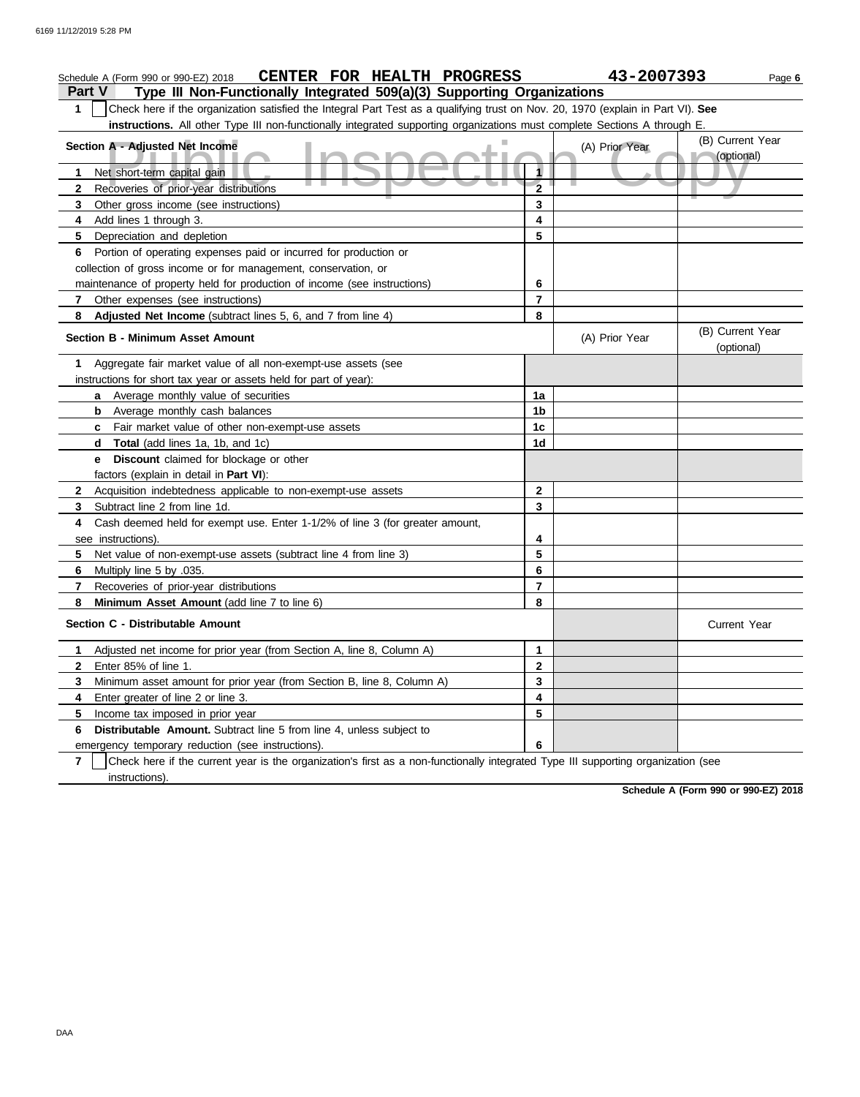| CENTER FOR HEALTH PROGRESS<br>Schedule A (Form 990 or 990-EZ) 2018                                                                                  |                | 43-2007393     | Page 6                         |
|-----------------------------------------------------------------------------------------------------------------------------------------------------|----------------|----------------|--------------------------------|
| <b>Part V</b><br>Type III Non-Functionally Integrated 509(a)(3) Supporting Organizations                                                            |                |                |                                |
| Check here if the organization satisfied the Integral Part Test as a qualifying trust on Nov. 20, 1970 (explain in Part VI). See<br>1               |                |                |                                |
| instructions. All other Type III non-functionally integrated supporting organizations must complete Sections A through E.                           |                |                |                                |
| Section A - Adjusted Net Income                                                                                                                     |                | (A) Prior Year | (B) Current Year<br>(optional) |
| Net short-term capital gain<br>1                                                                                                                    |                |                |                                |
| Recoveries of prior-year distributions<br>2                                                                                                         | $\overline{2}$ |                |                                |
| 3<br>Other gross income (see instructions)                                                                                                          | 3              |                |                                |
| Add lines 1 through 3.<br>4                                                                                                                         | 4              |                |                                |
| 5<br>Depreciation and depletion                                                                                                                     | 5              |                |                                |
| Portion of operating expenses paid or incurred for production or<br>6                                                                               |                |                |                                |
| collection of gross income or for management, conservation, or                                                                                      |                |                |                                |
| maintenance of property held for production of income (see instructions)                                                                            | 6              |                |                                |
| Other expenses (see instructions)<br>7                                                                                                              | 7              |                |                                |
| Adjusted Net Income (subtract lines 5, 6, and 7 from line 4)<br>8                                                                                   | 8              |                |                                |
| <b>Section B - Minimum Asset Amount</b>                                                                                                             |                | (A) Prior Year | (B) Current Year<br>(optional) |
| Aggregate fair market value of all non-exempt-use assets (see<br>1                                                                                  |                |                |                                |
| instructions for short tax year or assets held for part of year):                                                                                   |                |                |                                |
| a Average monthly value of securities                                                                                                               | 1a             |                |                                |
| <b>b</b> Average monthly cash balances                                                                                                              | 1b             |                |                                |
| c Fair market value of other non-exempt-use assets                                                                                                  | 1c             |                |                                |
| <b>Total</b> (add lines 1a, 1b, and 1c)<br>d                                                                                                        | 1d             |                |                                |
| <b>Discount</b> claimed for blockage or other<br>е                                                                                                  |                |                |                                |
| factors (explain in detail in Part VI):                                                                                                             |                |                |                                |
| Acquisition indebtedness applicable to non-exempt-use assets<br>2                                                                                   | $\mathbf{2}$   |                |                                |
| Subtract line 2 from line 1d.<br>3                                                                                                                  | 3              |                |                                |
| Cash deemed held for exempt use. Enter 1-1/2% of line 3 (for greater amount,<br>4                                                                   |                |                |                                |
| see instructions)                                                                                                                                   | 4              |                |                                |
| Net value of non-exempt-use assets (subtract line 4 from line 3)<br>5.                                                                              | 5              |                |                                |
| .035. Multiply line 5 by<br>6                                                                                                                       | 6              |                |                                |
| Recoveries of prior-year distributions<br>7                                                                                                         | $\overline{7}$ |                |                                |
| Minimum Asset Amount (add line 7 to line 6)<br>8                                                                                                    | 8              |                |                                |
| Section C - Distributable Amount                                                                                                                    |                |                | <b>Current Year</b>            |
| Adjusted net income for prior year (from Section A, line 8, Column A)<br>1                                                                          | 1              |                |                                |
| Enter 85% of line 1.<br>2                                                                                                                           | $\mathbf 2$    |                |                                |
| 3<br>Minimum asset amount for prior year (from Section B, line 8, Column A)                                                                         | 3              |                |                                |
| 4<br>Enter greater of line 2 or line 3.                                                                                                             | 4              |                |                                |
| 5<br>Income tax imposed in prior year                                                                                                               | 5              |                |                                |
| Distributable Amount. Subtract line 5 from line 4, unless subject to<br>6                                                                           |                |                |                                |
| emergency temporary reduction (see instructions).                                                                                                   | 6              |                |                                |
| Check here if the current year is the organization's first as a non-functionally integrated Type III supporting organization (see<br>$\overline{7}$ |                |                |                                |
| instructions).                                                                                                                                      |                |                |                                |

**Schedule A (Form 990 or 990-EZ) 2018**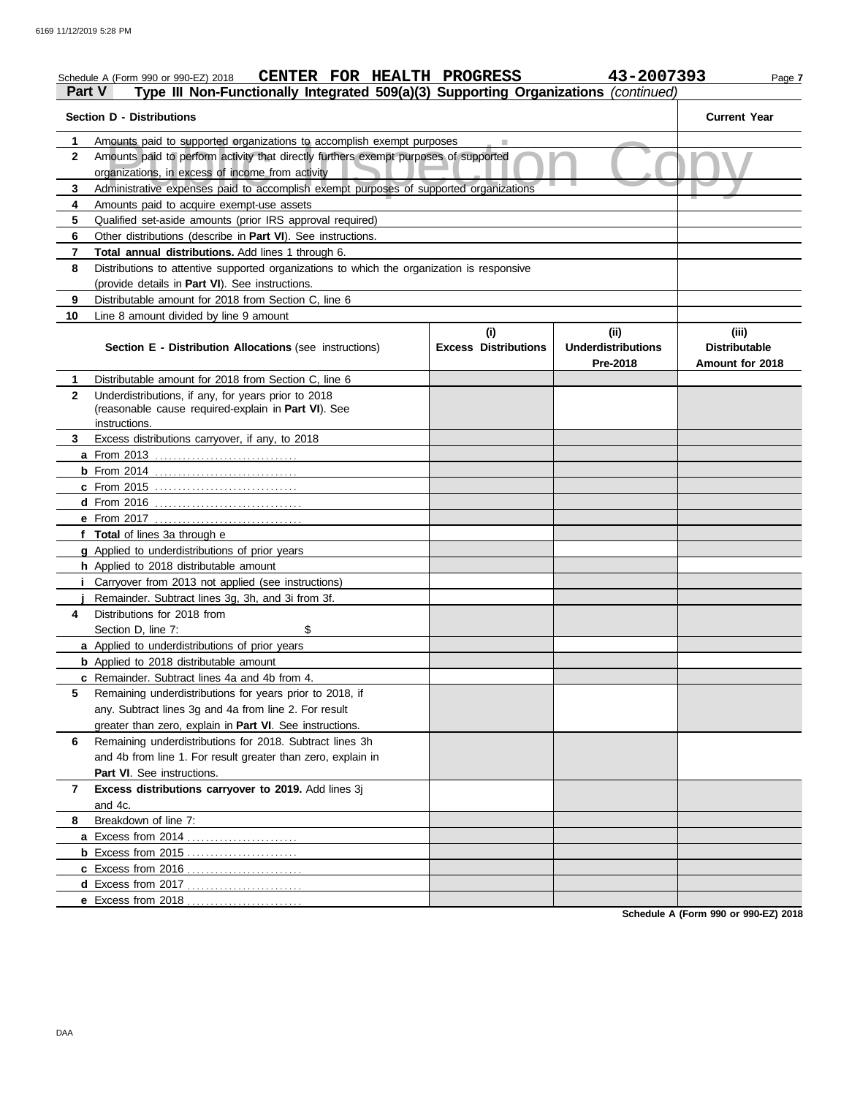| Part V             | CENTER FOR HEALTH PROGRESS<br>Schedule A (Form 990 or 990-EZ) 2018<br>Type III Non-Functionally Integrated 509(a)(3) Supporting Organizations (continued)                                                         |                                    | 43-2007393                                    | Page 7                                           |
|--------------------|-------------------------------------------------------------------------------------------------------------------------------------------------------------------------------------------------------------------|------------------------------------|-----------------------------------------------|--------------------------------------------------|
|                    | <b>Section D - Distributions</b>                                                                                                                                                                                  |                                    |                                               | <b>Current Year</b>                              |
| 1.<br>$\mathbf{2}$ | Amounts paid to supported organizations to accomplish exempt purposes<br>Amounts paid to perform activity that directly furthers exempt purposes of supported<br>organizations, in excess of income from activity |                                    |                                               |                                                  |
| 3                  | Administrative expenses paid to accomplish exempt purposes of supported organizations                                                                                                                             |                                    |                                               |                                                  |
| 4                  | Amounts paid to acquire exempt-use assets                                                                                                                                                                         |                                    |                                               |                                                  |
| 5                  | Qualified set-aside amounts (prior IRS approval required)                                                                                                                                                         |                                    |                                               |                                                  |
| 6                  | Other distributions (describe in Part VI). See instructions.                                                                                                                                                      |                                    |                                               |                                                  |
| 7                  | <b>Total annual distributions.</b> Add lines 1 through 6.                                                                                                                                                         |                                    |                                               |                                                  |
| 8                  | Distributions to attentive supported organizations to which the organization is responsive<br>(provide details in Part VI). See instructions.                                                                     |                                    |                                               |                                                  |
| 9                  | Distributable amount for 2018 from Section C, line 6                                                                                                                                                              |                                    |                                               |                                                  |
| 10                 | Line 8 amount divided by line 9 amount                                                                                                                                                                            |                                    |                                               |                                                  |
|                    | <b>Section E - Distribution Allocations (see instructions)</b>                                                                                                                                                    | (i)<br><b>Excess Distributions</b> | (ii)<br><b>Underdistributions</b><br>Pre-2018 | (iii)<br><b>Distributable</b><br>Amount for 2018 |
| 1.                 | Distributable amount for 2018 from Section C. line 6                                                                                                                                                              |                                    |                                               |                                                  |
| $\mathbf{2}$       | Underdistributions, if any, for years prior to 2018<br>(reasonable cause required-explain in Part VI). See<br>instructions.                                                                                       |                                    |                                               |                                                  |
| 3                  | Excess distributions carryover, if any, to 2018                                                                                                                                                                   |                                    |                                               |                                                  |
|                    |                                                                                                                                                                                                                   |                                    |                                               |                                                  |
|                    |                                                                                                                                                                                                                   |                                    |                                               |                                                  |
|                    | c From 2015                                                                                                                                                                                                       |                                    |                                               |                                                  |
|                    |                                                                                                                                                                                                                   |                                    |                                               |                                                  |
|                    |                                                                                                                                                                                                                   |                                    |                                               |                                                  |
|                    | f Total of lines 3a through e                                                                                                                                                                                     |                                    |                                               |                                                  |
|                    | g Applied to underdistributions of prior years                                                                                                                                                                    |                                    |                                               |                                                  |
|                    | h Applied to 2018 distributable amount                                                                                                                                                                            |                                    |                                               |                                                  |
|                    | Carryover from 2013 not applied (see instructions)                                                                                                                                                                |                                    |                                               |                                                  |
|                    | Remainder. Subtract lines 3g, 3h, and 3i from 3f.                                                                                                                                                                 |                                    |                                               |                                                  |
| 4                  | Distributions for 2018 from                                                                                                                                                                                       |                                    |                                               |                                                  |
|                    | \$<br>Section D. line 7:                                                                                                                                                                                          |                                    |                                               |                                                  |
|                    | a Applied to underdistributions of prior years                                                                                                                                                                    |                                    |                                               |                                                  |
|                    | <b>b</b> Applied to 2018 distributable amount                                                                                                                                                                     |                                    |                                               |                                                  |
|                    | <b>c</b> Remainder. Subtract lines 4a and 4b from 4.                                                                                                                                                              |                                    |                                               |                                                  |
| 5                  | Remaining underdistributions for years prior to 2018, if                                                                                                                                                          |                                    |                                               |                                                  |
|                    | any. Subtract lines 3g and 4a from line 2. For result                                                                                                                                                             |                                    |                                               |                                                  |
|                    | greater than zero, explain in Part VI. See instructions.                                                                                                                                                          |                                    |                                               |                                                  |
| 6                  | Remaining underdistributions for 2018. Subtract lines 3h<br>and 4b from line 1. For result greater than zero, explain in                                                                                          |                                    |                                               |                                                  |
|                    | <b>Part VI.</b> See instructions.                                                                                                                                                                                 |                                    |                                               |                                                  |
| 7                  | Excess distributions carryover to 2019. Add lines 3j                                                                                                                                                              |                                    |                                               |                                                  |
|                    | and 4c.                                                                                                                                                                                                           |                                    |                                               |                                                  |
| 8                  | Breakdown of line 7:                                                                                                                                                                                              |                                    |                                               |                                                  |
|                    |                                                                                                                                                                                                                   |                                    |                                               |                                                  |
|                    | <b>b</b> Excess from 2015                                                                                                                                                                                         |                                    |                                               |                                                  |
|                    |                                                                                                                                                                                                                   |                                    |                                               |                                                  |
|                    | d Excess from 2017                                                                                                                                                                                                |                                    |                                               |                                                  |
|                    | e Excess from 2018                                                                                                                                                                                                |                                    |                                               |                                                  |

**Schedule A (Form 990 or 990-EZ) 2018**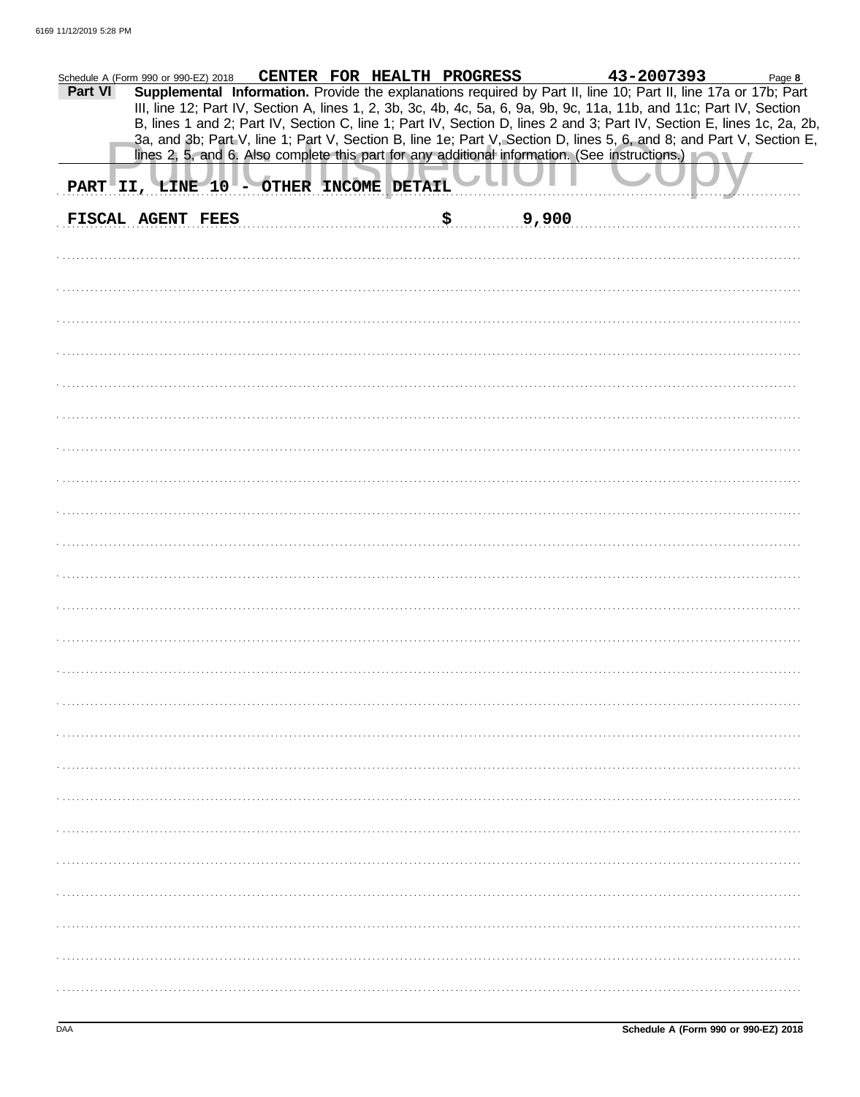| 43-2007393<br>CENTER FOR HEALTH PROGRESS<br>Schedule A (Form 990 or 990-EZ) 2018<br>Page 8<br>Supplemental Information. Provide the explanations required by Part II, line 10; Part II, line 17a or 17b; Part<br>Part VI<br>III, line 12; Part IV, Section A, lines 1, 2, 3b, 3c, 4b, 4c, 5a, 6, 9a, 9b, 9c, 11a, 11b, and 11c; Part IV, Section<br>B, lines 1 and 2; Part IV, Section C, line 1; Part IV, Section D, lines 2 and 3; Part IV, Section E, lines 1c, 2a, 2b,<br>3a, and 3b; Part V, line 1; Part V, Section B, line 1e; Part V, Section D, lines 5, 6, and 8; and Part V, Section E,<br>lines 2, 5, and 6. Also complete this part for any additional information. (See instructions.)<br>PART II, LINE 10 - OTHER INCOME DETAIL |  |
|------------------------------------------------------------------------------------------------------------------------------------------------------------------------------------------------------------------------------------------------------------------------------------------------------------------------------------------------------------------------------------------------------------------------------------------------------------------------------------------------------------------------------------------------------------------------------------------------------------------------------------------------------------------------------------------------------------------------------------------------|--|
| 9,900<br>FISCAL AGENT FEES<br>\$                                                                                                                                                                                                                                                                                                                                                                                                                                                                                                                                                                                                                                                                                                               |  |
|                                                                                                                                                                                                                                                                                                                                                                                                                                                                                                                                                                                                                                                                                                                                                |  |
|                                                                                                                                                                                                                                                                                                                                                                                                                                                                                                                                                                                                                                                                                                                                                |  |
|                                                                                                                                                                                                                                                                                                                                                                                                                                                                                                                                                                                                                                                                                                                                                |  |
|                                                                                                                                                                                                                                                                                                                                                                                                                                                                                                                                                                                                                                                                                                                                                |  |
|                                                                                                                                                                                                                                                                                                                                                                                                                                                                                                                                                                                                                                                                                                                                                |  |
|                                                                                                                                                                                                                                                                                                                                                                                                                                                                                                                                                                                                                                                                                                                                                |  |
|                                                                                                                                                                                                                                                                                                                                                                                                                                                                                                                                                                                                                                                                                                                                                |  |
|                                                                                                                                                                                                                                                                                                                                                                                                                                                                                                                                                                                                                                                                                                                                                |  |
|                                                                                                                                                                                                                                                                                                                                                                                                                                                                                                                                                                                                                                                                                                                                                |  |
|                                                                                                                                                                                                                                                                                                                                                                                                                                                                                                                                                                                                                                                                                                                                                |  |
|                                                                                                                                                                                                                                                                                                                                                                                                                                                                                                                                                                                                                                                                                                                                                |  |
|                                                                                                                                                                                                                                                                                                                                                                                                                                                                                                                                                                                                                                                                                                                                                |  |
|                                                                                                                                                                                                                                                                                                                                                                                                                                                                                                                                                                                                                                                                                                                                                |  |
|                                                                                                                                                                                                                                                                                                                                                                                                                                                                                                                                                                                                                                                                                                                                                |  |
|                                                                                                                                                                                                                                                                                                                                                                                                                                                                                                                                                                                                                                                                                                                                                |  |
|                                                                                                                                                                                                                                                                                                                                                                                                                                                                                                                                                                                                                                                                                                                                                |  |
|                                                                                                                                                                                                                                                                                                                                                                                                                                                                                                                                                                                                                                                                                                                                                |  |
|                                                                                                                                                                                                                                                                                                                                                                                                                                                                                                                                                                                                                                                                                                                                                |  |
|                                                                                                                                                                                                                                                                                                                                                                                                                                                                                                                                                                                                                                                                                                                                                |  |
|                                                                                                                                                                                                                                                                                                                                                                                                                                                                                                                                                                                                                                                                                                                                                |  |
|                                                                                                                                                                                                                                                                                                                                                                                                                                                                                                                                                                                                                                                                                                                                                |  |
|                                                                                                                                                                                                                                                                                                                                                                                                                                                                                                                                                                                                                                                                                                                                                |  |
|                                                                                                                                                                                                                                                                                                                                                                                                                                                                                                                                                                                                                                                                                                                                                |  |
|                                                                                                                                                                                                                                                                                                                                                                                                                                                                                                                                                                                                                                                                                                                                                |  |
|                                                                                                                                                                                                                                                                                                                                                                                                                                                                                                                                                                                                                                                                                                                                                |  |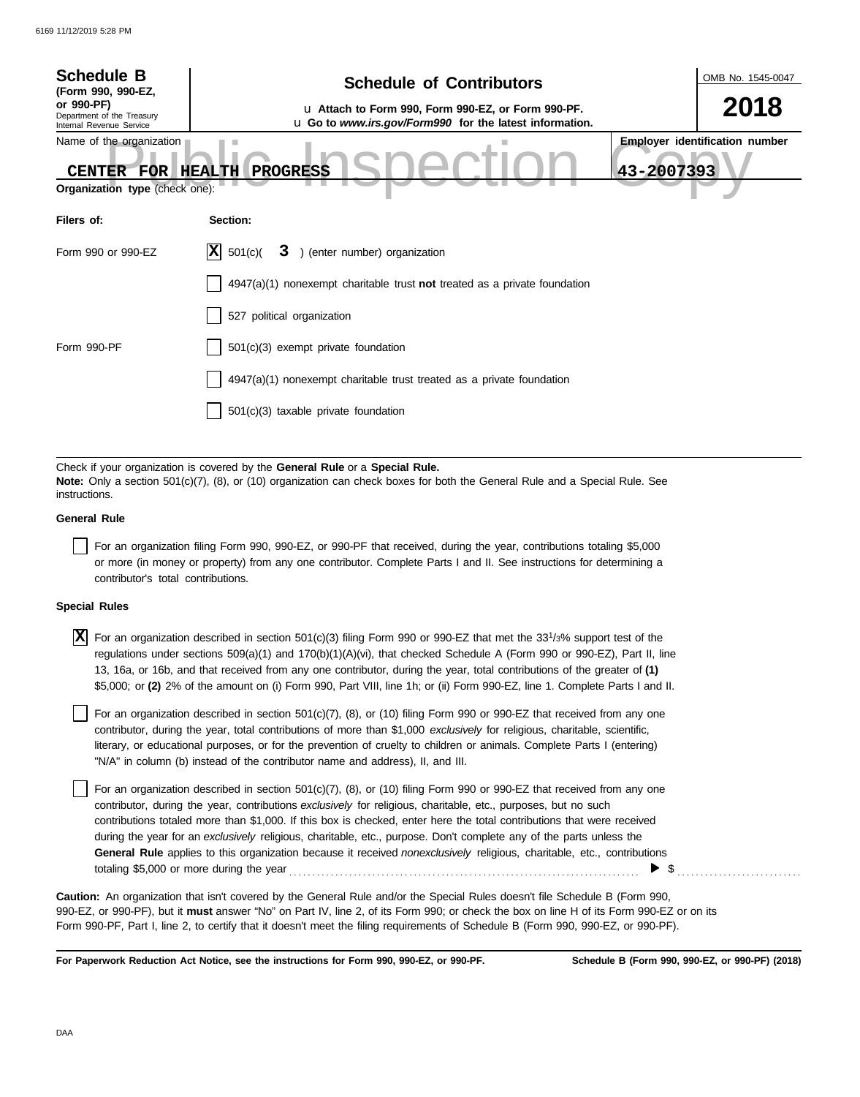| <b>Schedule B</b><br>(Form 990, 990-EZ,                                                                                                                                                                                      | <b>Schedule of Contributors</b>                                                                               | OMB No. 1545-0047 |  |  |  |
|------------------------------------------------------------------------------------------------------------------------------------------------------------------------------------------------------------------------------|---------------------------------------------------------------------------------------------------------------|-------------------|--|--|--|
| or 990-PF)<br>Department of the Treasury<br>Internal Revenue Service                                                                                                                                                         | u Attach to Form 990, Form 990-EZ, or Form 990-PF.<br>u Go to www.irs.gov/Form990 for the latest information. | 2018              |  |  |  |
| <b>Employer identification number</b><br>Name of the organization<br>43-2007393<br>CENTER FOR HEALTH PROGRESS<br><b>Organization type (check one):</b>                                                                       |                                                                                                               |                   |  |  |  |
| Filers of:                                                                                                                                                                                                                   | Section:                                                                                                      |                   |  |  |  |
| Form 990 or 990-EZ                                                                                                                                                                                                           | X <br>501(c)<br>3 ) (enter number) organization                                                               |                   |  |  |  |
|                                                                                                                                                                                                                              | $4947(a)(1)$ nonexempt charitable trust not treated as a private foundation                                   |                   |  |  |  |
|                                                                                                                                                                                                                              | 527 political organization                                                                                    |                   |  |  |  |
| Form 990-PF                                                                                                                                                                                                                  | 501(c)(3) exempt private foundation                                                                           |                   |  |  |  |
|                                                                                                                                                                                                                              | 4947(a)(1) nonexempt charitable trust treated as a private foundation                                         |                   |  |  |  |
|                                                                                                                                                                                                                              | 501(c)(3) taxable private foundation                                                                          |                   |  |  |  |
|                                                                                                                                                                                                                              |                                                                                                               |                   |  |  |  |
| Check if your organization is covered by the General Rule or a Special Rule.<br>Note: Only a section 501(c)(7), (8), or (10) organization can check boxes for both the General Rule and a Special Rule. See<br>instructions. |                                                                                                               |                   |  |  |  |
| <b>General Rule</b>                                                                                                                                                                                                          |                                                                                                               |                   |  |  |  |

For an organization filing Form 990, 990-EZ, or 990-PF that received, during the year, contributions totaling \$5,000 or more (in money or property) from any one contributor. Complete Parts I and II. See instructions for determining a contributor's total contributions.

#### **Special Rules**

 $\overline{X}$  For an organization described in section 501(c)(3) filing Form 990 or 990-EZ that met the 33<sup>1</sup>/3% support test of the regulations under sections 509(a)(1) and 170(b)(1)(A)(vi), that checked Schedule A (Form 990 or 990-EZ), Part II, line 13, 16a, or 16b, and that received from any one contributor, during the year, total contributions of the greater of **(1)** \$5,000; or **(2)** 2% of the amount on (i) Form 990, Part VIII, line 1h; or (ii) Form 990-EZ, line 1. Complete Parts I and II.

literary, or educational purposes, or for the prevention of cruelty to children or animals. Complete Parts I (entering) For an organization described in section  $501(c)(7)$ ,  $(8)$ , or  $(10)$  filing Form 990 or 990-EZ that received from any one contributor, during the year, total contributions of more than \$1,000 *exclusively* for religious, charitable, scientific, "N/A" in column (b) instead of the contributor name and address), II, and III.

For an organization described in section 501(c)(7), (8), or (10) filing Form 990 or 990-EZ that received from any one contributor, during the year, contributions *exclusively* for religious, charitable, etc., purposes, but no such contributions totaled more than \$1,000. If this box is checked, enter here the total contributions that were received during the year for an *exclusively* religious, charitable, etc., purpose. Don't complete any of the parts unless the **General Rule** applies to this organization because it received *nonexclusively* religious, charitable, etc., contributions totaling \$5,000 or more during the year . . . . . . . . . . . . . . . . . . . . . . . . . . . . . . . . . . . . . . . . . . . . . . . . . . . . . . . . . . . . . . . . . . . . . . . . . . . .  $\triangleright$  \$

990-EZ, or 990-PF), but it **must** answer "No" on Part IV, line 2, of its Form 990; or check the box on line H of its Form 990-EZ or on its Form 990-PF, Part I, line 2, to certify that it doesn't meet the filing requirements of Schedule B (Form 990, 990-EZ, or 990-PF). **Caution:** An organization that isn't covered by the General Rule and/or the Special Rules doesn't file Schedule B (Form 990,

**For Paperwork Reduction Act Notice, see the instructions for Form 990, 990-EZ, or 990-PF.**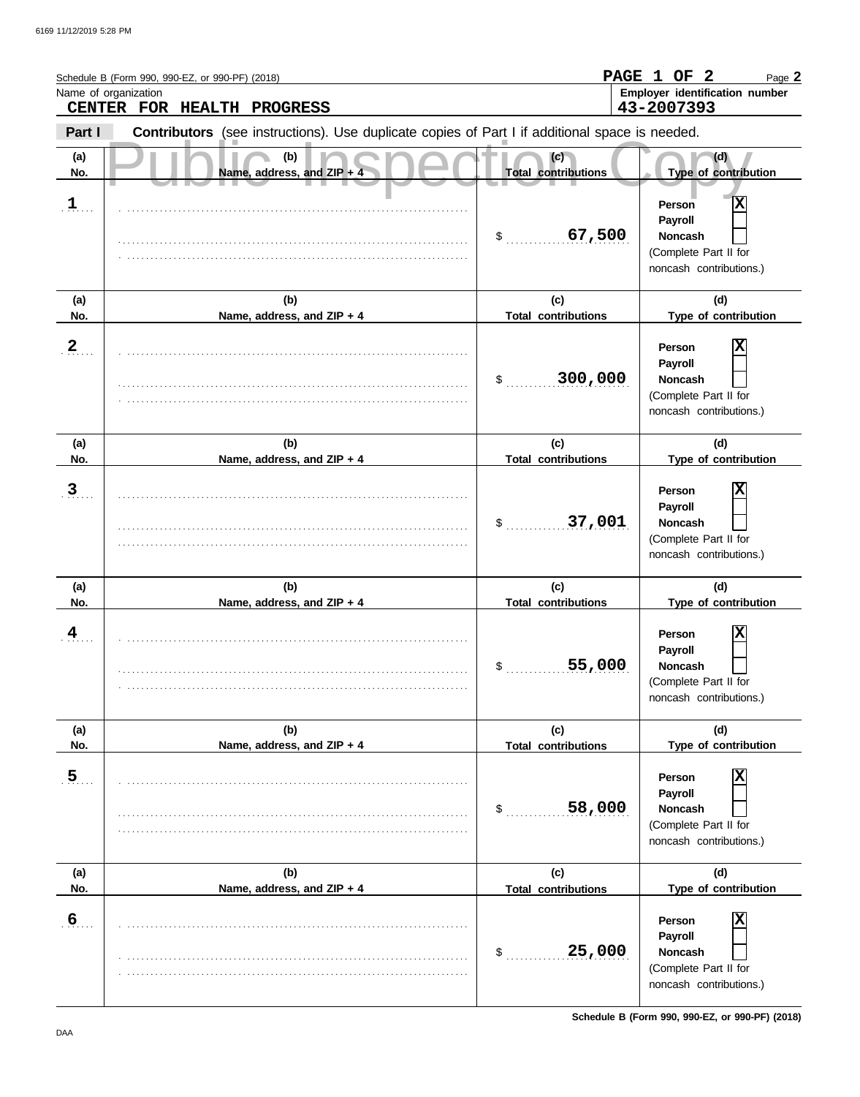|                       | Schedule B (Form 990, 990-EZ, or 990-PF) (2018)<br>Name of organization<br>CENTER FOR HEALTH PROGRESS |                                   | PAGE 1 OF 2<br>Page 2<br>Employer identification number<br>43-2007393                                                |
|-----------------------|-------------------------------------------------------------------------------------------------------|-----------------------------------|----------------------------------------------------------------------------------------------------------------------|
| Part I                | Contributors (see instructions). Use duplicate copies of Part I if additional space is needed.        |                                   |                                                                                                                      |
| (a)<br>No.            | (b)<br>Name, address, and ZIP +                                                                       | (c)<br><b>Total contributions</b> | (d)<br>Type of contribution                                                                                          |
| $\mathbf{1}$          |                                                                                                       | 67,500<br>$\sim$                  | X<br>Person<br>Payroll<br><b>Noncash</b><br>(Complete Part II for<br>noncash contributions.)                         |
| (a)<br>No.            | (b)<br>Name, address, and ZIP + 4                                                                     | (c)<br><b>Total contributions</b> | (d)<br>Type of contribution                                                                                          |
| $\overline{2}$        |                                                                                                       | 300,000<br>\$                     | X<br>Person<br>Payroll<br><b>Noncash</b><br>(Complete Part II for<br>noncash contributions.)                         |
| (a)                   | (b)                                                                                                   | (c)<br><b>Total contributions</b> | (d)                                                                                                                  |
| No.<br>$\overline{3}$ | Name, address, and ZIP + 4                                                                            | 37,001<br>$\mathcal{S}$           | Type of contribution<br>Χ<br>Person<br>Payroll<br><b>Noncash</b><br>(Complete Part II for<br>noncash contributions.) |
| (a)<br>No.            | (b)<br>Name, address, and ZIP + 4                                                                     | (c)<br><b>Total contributions</b> | (d)<br>Type of contribution                                                                                          |
| 4                     |                                                                                                       | 55,000<br>\$                      | X<br>Person<br>Payroll<br><b>Noncash</b><br>(Complete Part II for<br>noncash contributions.)                         |
| (a)<br>No.            | (b)<br>Name, address, and ZIP + 4                                                                     | (c)<br><b>Total contributions</b> | (d)<br>Type of contribution                                                                                          |
| $\overline{5}$        |                                                                                                       | 58,000<br>$$^{\circ}$             | X<br>Person<br>Payroll<br><b>Noncash</b><br>(Complete Part II for<br>noncash contributions.)                         |
| (a)<br>No.            | (b)<br>Name, address, and ZIP + 4                                                                     | (c)<br><b>Total contributions</b> | (d)<br>Type of contribution                                                                                          |
| 6                     |                                                                                                       | 25,000<br>$\mathsf{S}_{\perp}$    | X<br>Person<br>Payroll<br>Noncash<br>(Complete Part II for<br>noncash contributions.)                                |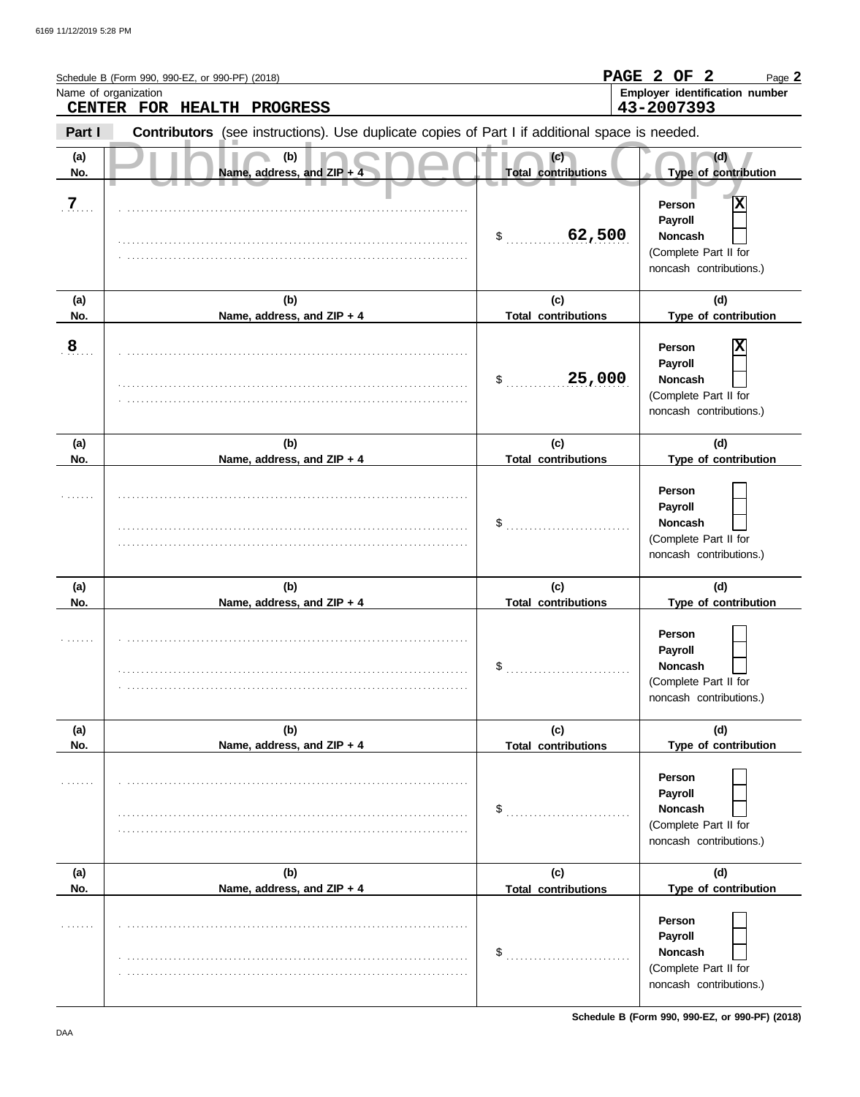|                      | Schedule B (Form 990, 990-EZ, or 990-PF) (2018)                                                |                                   | PAGE 2 OF 2<br>Page 2<br>Employer identification number                                      |
|----------------------|------------------------------------------------------------------------------------------------|-----------------------------------|----------------------------------------------------------------------------------------------|
| Name of organization | <b>CENTER FOR HEALTH</b><br><b>PROGRESS</b>                                                    |                                   | 43-2007393                                                                                   |
| Part I               | Contributors (see instructions). Use duplicate copies of Part I if additional space is needed. |                                   |                                                                                              |
| (a)<br>No.           | (b)<br>Name, address, and ZIP + 4                                                              | (c)<br><b>Total contributions</b> | (d)<br>Type of contribution                                                                  |
| $\overline{7}$       |                                                                                                | 62,500<br>$\sim$                  | X<br>Person<br>Payroll<br><b>Noncash</b><br>(Complete Part II for<br>noncash contributions.) |
| (a)<br>No.           | (b)<br>Name, address, and ZIP + 4                                                              | (c)<br><b>Total contributions</b> | (d)<br>Type of contribution                                                                  |
| $\overline{8}$       |                                                                                                | 25,000<br>\$                      | Х<br>Person<br>Payroll<br><b>Noncash</b><br>(Complete Part II for<br>noncash contributions.) |
| (a)<br>No.           | (b)<br>Name, address, and ZIP + 4                                                              | (c)<br><b>Total contributions</b> | (d)<br>Type of contribution                                                                  |
|                      |                                                                                                | \$                                | Person<br>Payroll<br><b>Noncash</b><br>(Complete Part II for<br>noncash contributions.)      |
| (a)<br>No.           | (b)<br>Name, address, and ZIP + 4                                                              | (c)<br><b>Total contributions</b> | (d)<br>Type of contribution                                                                  |
|                      |                                                                                                | \$                                | Person<br>Payroll<br>Noncash<br>(Complete Part II for<br>noncash contributions.)             |
| (a)<br>No.           | (b)<br>Name, address, and ZIP + 4                                                              | (c)<br><b>Total contributions</b> | (d)<br>Type of contribution                                                                  |
|                      |                                                                                                | \$                                | Person<br>Payroll<br>Noncash<br>(Complete Part II for<br>noncash contributions.)             |
| (a)<br>No.           | (b)<br>Name, address, and ZIP + 4                                                              | (c)<br><b>Total contributions</b> | (d)<br>Type of contribution                                                                  |
|                      |                                                                                                | \$                                | Person<br>Payroll<br><b>Noncash</b><br>(Complete Part II for<br>noncash contributions.)      |

**Schedule B (Form 990, 990-EZ, or 990-PF) (2018)**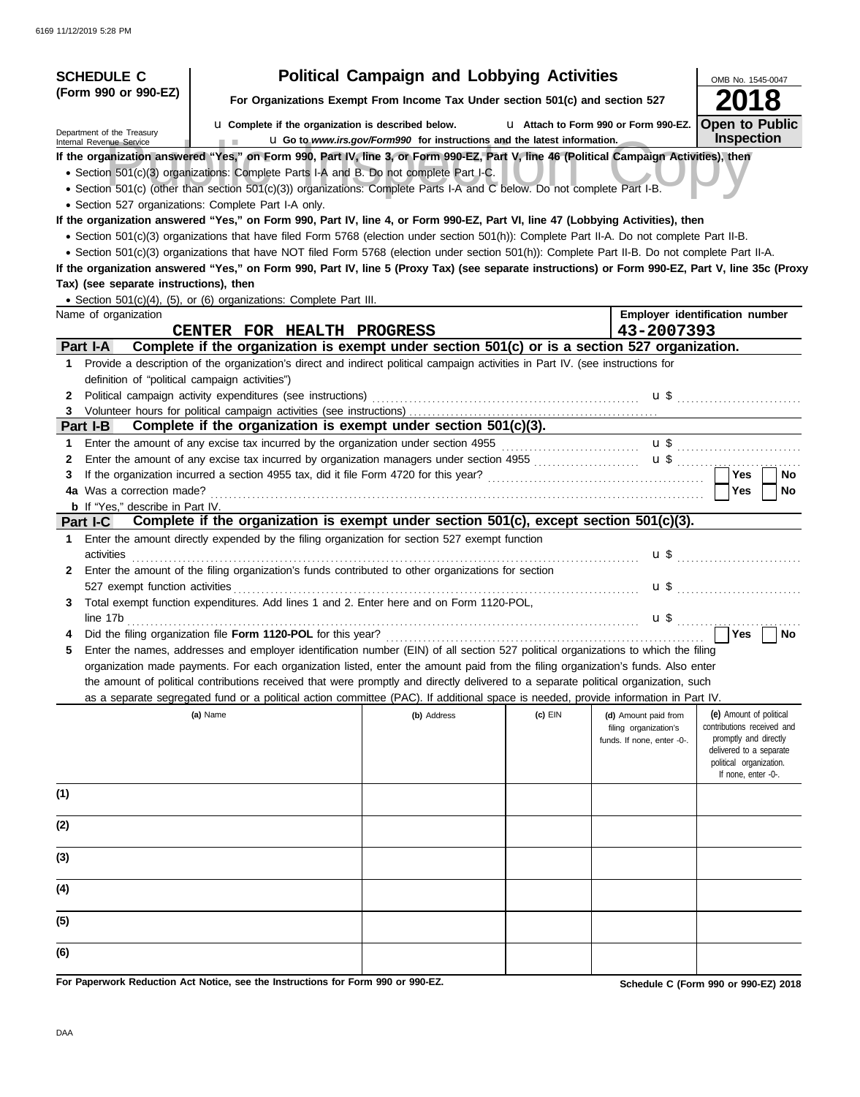| <b>SCHEDULE C</b>                                      |                                                                                                                                                                                                                                                                                                                                                                                                                                                                                                                                                                                                                                              | <b>Political Campaign and Lobbying Activities</b>                             |           |                                                                             | OMB No. 1545-0047                                                                                                                                           |
|--------------------------------------------------------|----------------------------------------------------------------------------------------------------------------------------------------------------------------------------------------------------------------------------------------------------------------------------------------------------------------------------------------------------------------------------------------------------------------------------------------------------------------------------------------------------------------------------------------------------------------------------------------------------------------------------------------------|-------------------------------------------------------------------------------|-----------|-----------------------------------------------------------------------------|-------------------------------------------------------------------------------------------------------------------------------------------------------------|
| (Form 990 or 990-EZ)                                   |                                                                                                                                                                                                                                                                                                                                                                                                                                                                                                                                                                                                                                              | For Organizations Exempt From Income Tax Under section 501(c) and section 527 |           |                                                                             |                                                                                                                                                             |
| Department of the Treasury<br>Internal Revenue Service | <b>u</b> Complete if the organization is described below.<br><b>CONTRACTOR</b>                                                                                                                                                                                                                                                                                                                                                                                                                                                                                                                                                               | Lu Go to www.irs.gov/Form990 for instructions and the latest information.     |           | L1 Attach to Form 990 or Form 990-EZ.                                       | <b>Open to Public</b><br><b>Inspection</b>                                                                                                                  |
|                                                        | If the organization answered "Yes," on Form 990, Part IV, line 3, or Form 990-EZ, Part V, line 46 (Political Campaign Activities), then<br>• Section 501(c)(3) organizations: Complete Parts I-A and B. Do not complete Part I-C.<br>· Section 501(c) (other than section 501(c)(3)) organizations: Complete Parts I-A and C below. Do not complete Part I-B.                                                                                                                                                                                                                                                                                |                                                                               |           |                                                                             |                                                                                                                                                             |
|                                                        | • Section 527 organizations: Complete Part I-A only.<br>If the organization answered "Yes," on Form 990, Part IV, line 4, or Form 990-EZ, Part VI, line 47 (Lobbying Activities), then<br>• Section 501(c)(3) organizations that have filed Form 5768 (election under section 501(h)): Complete Part II-A. Do not complete Part II-B.<br>• Section 501(c)(3) organizations that have NOT filed Form 5768 (election under section 501(h)): Complete Part II-B. Do not complete Part II-A.<br>If the organization answered "Yes," on Form 990, Part IV, line 5 (Proxy Tax) (see separate instructions) or Form 990-EZ, Part V, line 35c (Proxy |                                                                               |           |                                                                             |                                                                                                                                                             |
| Tax) (see separate instructions), then                 |                                                                                                                                                                                                                                                                                                                                                                                                                                                                                                                                                                                                                                              |                                                                               |           |                                                                             |                                                                                                                                                             |
| Name of organization                                   | • Section 501(c)(4), (5), or (6) organizations: Complete Part III.<br>CENTER FOR HEALTH PROGRESS                                                                                                                                                                                                                                                                                                                                                                                                                                                                                                                                             |                                                                               |           | 43-2007393                                                                  | Employer identification number                                                                                                                              |
| Part I-A                                               | Complete if the organization is exempt under section 501(c) or is a section 527 organization.                                                                                                                                                                                                                                                                                                                                                                                                                                                                                                                                                |                                                                               |           |                                                                             |                                                                                                                                                             |
|                                                        | 1 Provide a description of the organization's direct and indirect political campaign activities in Part IV. (see instructions for                                                                                                                                                                                                                                                                                                                                                                                                                                                                                                            |                                                                               |           |                                                                             |                                                                                                                                                             |
| definition of "political campaign activities")         |                                                                                                                                                                                                                                                                                                                                                                                                                                                                                                                                                                                                                                              |                                                                               |           |                                                                             |                                                                                                                                                             |
| 2                                                      | Political campaign activity expenditures (see instructions)                                                                                                                                                                                                                                                                                                                                                                                                                                                                                                                                                                                  |                                                                               |           |                                                                             |                                                                                                                                                             |
|                                                        |                                                                                                                                                                                                                                                                                                                                                                                                                                                                                                                                                                                                                                              |                                                                               |           |                                                                             |                                                                                                                                                             |
| Part I-B                                               | Complete if the organization is exempt under section 501(c)(3).                                                                                                                                                                                                                                                                                                                                                                                                                                                                                                                                                                              |                                                                               |           |                                                                             |                                                                                                                                                             |
| 1.<br>2                                                | Enter the amount of any excise tax incurred by organization managers under section 4955 [[[[[[[[[[[[[[[[[[[[[                                                                                                                                                                                                                                                                                                                                                                                                                                                                                                                                |                                                                               |           |                                                                             | $\mathbf{u}$ \$                                                                                                                                             |
| 3                                                      |                                                                                                                                                                                                                                                                                                                                                                                                                                                                                                                                                                                                                                              |                                                                               |           |                                                                             | $\mathbf{u}$ \$ $\mathbf{u}$<br>Yes<br>No                                                                                                                   |
| 4a Was a correction made?                              |                                                                                                                                                                                                                                                                                                                                                                                                                                                                                                                                                                                                                                              |                                                                               |           |                                                                             | Yes<br><b>No</b>                                                                                                                                            |
| <b>b</b> If "Yes," describe in Part IV.                |                                                                                                                                                                                                                                                                                                                                                                                                                                                                                                                                                                                                                                              |                                                                               |           |                                                                             |                                                                                                                                                             |
| Part I-C                                               | Complete if the organization is exempt under section 501(c), except section 501(c)(3).                                                                                                                                                                                                                                                                                                                                                                                                                                                                                                                                                       |                                                                               |           |                                                                             |                                                                                                                                                             |
| 1.                                                     | Enter the amount directly expended by the filing organization for section 527 exempt function                                                                                                                                                                                                                                                                                                                                                                                                                                                                                                                                                |                                                                               |           |                                                                             |                                                                                                                                                             |
| activities                                             |                                                                                                                                                                                                                                                                                                                                                                                                                                                                                                                                                                                                                                              |                                                                               |           |                                                                             |                                                                                                                                                             |
|                                                        | 2 Enter the amount of the filing organization's funds contributed to other organizations for section                                                                                                                                                                                                                                                                                                                                                                                                                                                                                                                                         |                                                                               |           |                                                                             |                                                                                                                                                             |
| 527 exempt function activities                         |                                                                                                                                                                                                                                                                                                                                                                                                                                                                                                                                                                                                                                              |                                                                               |           |                                                                             | $\mathbf{u}$ \$                                                                                                                                             |
| 3.<br>line 17b                                         | Total exempt function expenditures. Add lines 1 and 2. Enter here and on Form 1120-POL,                                                                                                                                                                                                                                                                                                                                                                                                                                                                                                                                                      |                                                                               |           | $\mathbf{u}$ \$                                                             |                                                                                                                                                             |
|                                                        |                                                                                                                                                                                                                                                                                                                                                                                                                                                                                                                                                                                                                                              |                                                                               |           |                                                                             | Yes<br>No                                                                                                                                                   |
|                                                        | Enter the names, addresses and employer identification number (EIN) of all section 527 political organizations to which the filing<br>organization made payments. For each organization listed, enter the amount paid from the filing organization's funds. Also enter                                                                                                                                                                                                                                                                                                                                                                       |                                                                               |           |                                                                             |                                                                                                                                                             |
|                                                        | the amount of political contributions received that were promptly and directly delivered to a separate political organization, such                                                                                                                                                                                                                                                                                                                                                                                                                                                                                                          |                                                                               |           |                                                                             |                                                                                                                                                             |
|                                                        | as a separate segregated fund or a political action committee (PAC). If additional space is needed, provide information in Part IV.                                                                                                                                                                                                                                                                                                                                                                                                                                                                                                          |                                                                               |           |                                                                             |                                                                                                                                                             |
|                                                        | (a) Name                                                                                                                                                                                                                                                                                                                                                                                                                                                                                                                                                                                                                                     | (b) Address                                                                   | $(c)$ EIN | (d) Amount paid from<br>filing organization's<br>funds. If none, enter -0-. | (e) Amount of political<br>contributions received and<br>promptly and directly<br>delivered to a separate<br>political organization.<br>If none, enter -0-. |
| (1)                                                    |                                                                                                                                                                                                                                                                                                                                                                                                                                                                                                                                                                                                                                              |                                                                               |           |                                                                             |                                                                                                                                                             |
| (2)                                                    |                                                                                                                                                                                                                                                                                                                                                                                                                                                                                                                                                                                                                                              |                                                                               |           |                                                                             |                                                                                                                                                             |
| (3)                                                    |                                                                                                                                                                                                                                                                                                                                                                                                                                                                                                                                                                                                                                              |                                                                               |           |                                                                             |                                                                                                                                                             |
| (4)                                                    |                                                                                                                                                                                                                                                                                                                                                                                                                                                                                                                                                                                                                                              |                                                                               |           |                                                                             |                                                                                                                                                             |
| (5)                                                    |                                                                                                                                                                                                                                                                                                                                                                                                                                                                                                                                                                                                                                              |                                                                               |           |                                                                             |                                                                                                                                                             |
| (6)                                                    |                                                                                                                                                                                                                                                                                                                                                                                                                                                                                                                                                                                                                                              |                                                                               |           |                                                                             |                                                                                                                                                             |
|                                                        | For Paperwork Reduction Act Notice, see the Instructions for Form 990 or 990-EZ.                                                                                                                                                                                                                                                                                                                                                                                                                                                                                                                                                             |                                                                               |           |                                                                             | Schedule C (Form 990 or 990-EZ) 2018                                                                                                                        |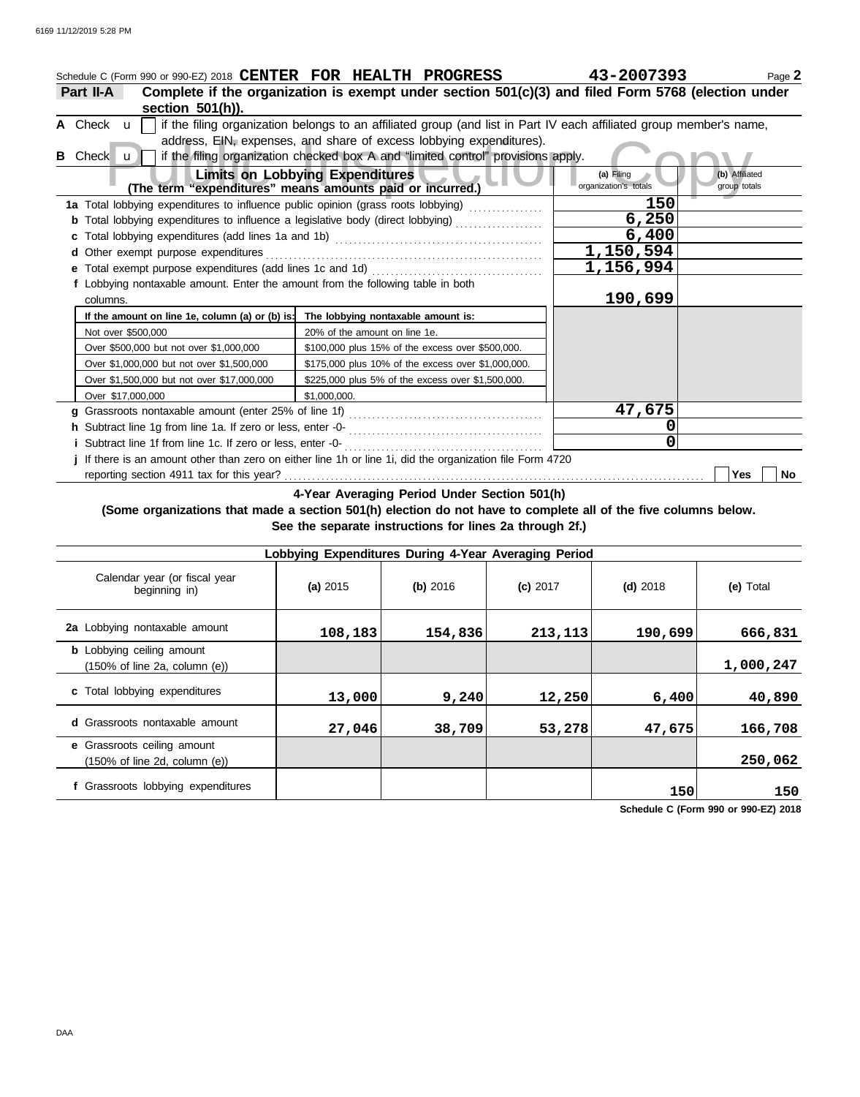|    | Schedule C (Form 990 or 990-EZ) 2018 CENTER FOR HEALTH PROGRESS                                                                             |              |                                    |                                                    | 43-2007393                          | Page 2                         |
|----|---------------------------------------------------------------------------------------------------------------------------------------------|--------------|------------------------------------|----------------------------------------------------|-------------------------------------|--------------------------------|
|    | Complete if the organization is exempt under section 501(c)(3) and filed Form 5768 (election under<br>Part II-A                             |              |                                    |                                                    |                                     |                                |
|    | section 501(h)).                                                                                                                            |              |                                    |                                                    |                                     |                                |
|    | if the filing organization belongs to an affiliated group (and list in Part IV each affiliated group member's name,<br>A Check $\mathbf{u}$ |              |                                    |                                                    |                                     |                                |
|    | address, EIN, expenses, and share of excess lobbying expenditures).                                                                         |              |                                    |                                                    |                                     |                                |
| B. | if the filing organization checked box A and "limited control" provisions apply.<br>Check u                                                 |              |                                    |                                                    |                                     |                                |
|    | <b>Limits on Lobbying Expenditures</b><br>(The term "expenditures" means amounts paid or incurred.)                                         |              |                                    |                                                    | (a) Filing<br>organization's totals | (b) Affiliated<br>group totals |
|    | 1a Total lobbying expenditures to influence public opinion (grass roots lobbying) [[[[[[[[[[[[[[[[[[[[[[[[[[]]]]]]]                         |              |                                    |                                                    | 150                                 |                                |
|    | Total lobbying expenditures to influence a legislative body (direct lobbying)                                                               |              |                                    |                                                    | 6,250                               |                                |
|    |                                                                                                                                             |              |                                    |                                                    | 6,400                               |                                |
|    | Other exempt purpose expenditures<br>d                                                                                                      |              |                                    |                                                    | 1,150,594                           |                                |
|    | е                                                                                                                                           |              |                                    |                                                    | 1,156,994                           |                                |
|    | f Lobbying nontaxable amount. Enter the amount from the following table in both                                                             |              |                                    |                                                    |                                     |                                |
|    | columns.                                                                                                                                    |              |                                    |                                                    | 190,699                             |                                |
|    | If the amount on line 1e, column (a) or (b) is:                                                                                             |              | The lobbying nontaxable amount is: |                                                    |                                     |                                |
|    | Not over \$500,000                                                                                                                          |              | 20% of the amount on line 1e.      |                                                    |                                     |                                |
|    | Over \$500,000 but not over \$1,000,000                                                                                                     |              |                                    | \$100,000 plus 15% of the excess over \$500,000.   |                                     |                                |
|    | Over \$1,000,000 but not over \$1,500,000                                                                                                   |              |                                    | \$175,000 plus 10% of the excess over \$1,000,000. |                                     |                                |
|    | Over \$1,500,000 but not over \$17,000,000                                                                                                  |              |                                    | \$225,000 plus 5% of the excess over \$1,500,000.  |                                     |                                |
|    | Over \$17,000,000                                                                                                                           | \$1,000,000. |                                    |                                                    |                                     |                                |
|    | a                                                                                                                                           |              |                                    |                                                    | 47,675                              |                                |
|    |                                                                                                                                             |              |                                    |                                                    | O                                   |                                |
|    | i Subtract line 1f from line 1c. If zero or less, enter -0-                                                                                 |              |                                    |                                                    | 0                                   |                                |
|    | j If there is an amount other than zero on either line 1h or line 1i, did the organization file Form 4720                                   |              |                                    |                                                    |                                     |                                |
|    |                                                                                                                                             |              |                                    |                                                    |                                     | <b>Yes</b><br>No               |

**4-Year Averaging Period Under Section 501(h)**

**(Some organizations that made a section 501(h) election do not have to complete all of the five columns below. See the separate instructions for lines 2a through 2f.)**

|                                                                                        | Lobbying Expenditures During 4-Year Averaging Period |          |            |            |           |
|----------------------------------------------------------------------------------------|------------------------------------------------------|----------|------------|------------|-----------|
| Calendar year (or fiscal year<br>beginning in)                                         | (a) 2015                                             | (b) 2016 | $(c)$ 2017 | $(d)$ 2018 | (e) Total |
| 2a Lobbying nontaxable amount                                                          | 108,183                                              | 154,836  | 213, 113   | 190,699    | 666,831   |
| <b>b</b> Lobbying ceiling amount<br>$(150\% \text{ of line } 2a, \text{ column } (e))$ |                                                      |          |            |            | 1,000,247 |
| c Total lobbying expenditures                                                          | 13,000                                               | 9,240    | 12,250     | 6,400      | 40,890    |
| <b>d</b> Grassroots nontaxable amount                                                  | 27,046                                               | 38,709   | 53,278     | 47,675     | 166,708   |
| e Grassroots ceiling amount<br>$(150\% \text{ of line } 2d, \text{ column } (e))$      |                                                      |          |            |            | 250,062   |
| f Grassroots lobbying expenditures                                                     |                                                      |          |            | 150        | 150       |

**Schedule C (Form 990 or 990-EZ) 2018**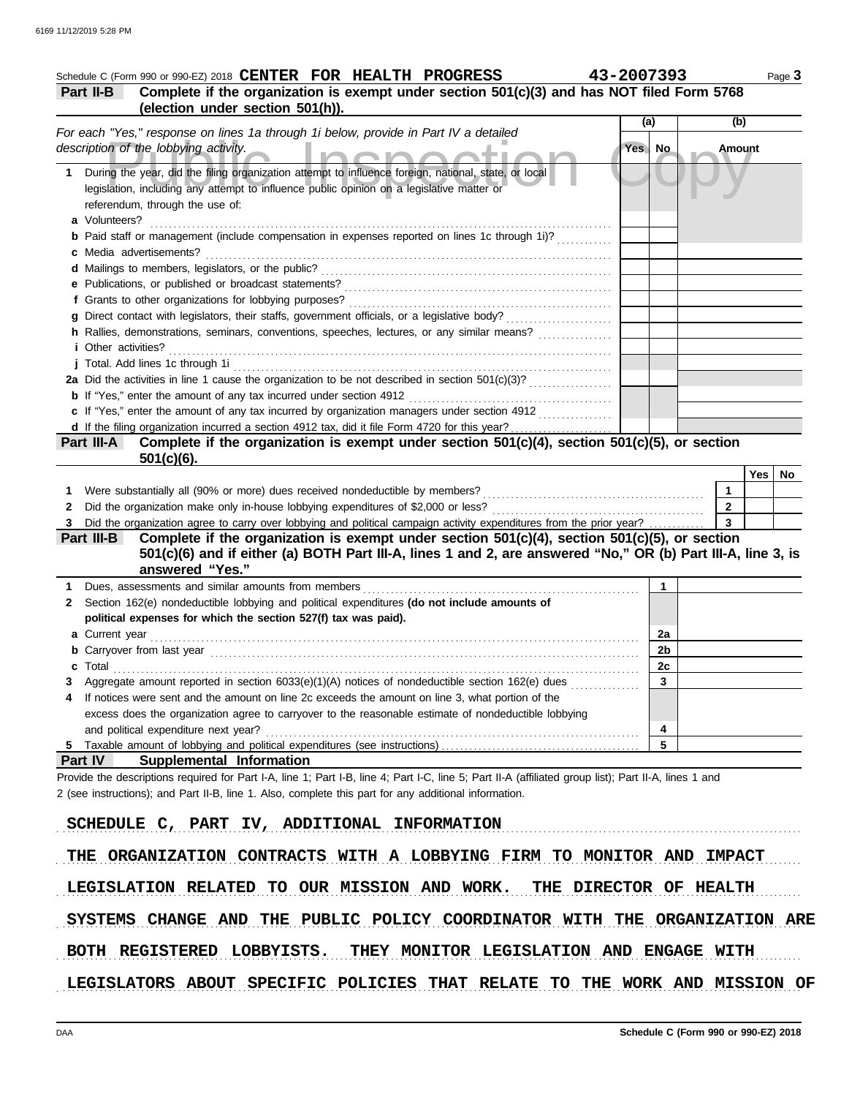| Part II-B                  | 43-2007393<br>Schedule C (Form 990 or 990-EZ) 2018 CENTER FOR HEALTH PROGRESS<br>Complete if the organization is exempt under section 501(c)(3) and has NOT filed Form 5768<br>(election under section 501(h)).                                                                                                                                 |          |             |                         |          |  |
|----------------------------|-------------------------------------------------------------------------------------------------------------------------------------------------------------------------------------------------------------------------------------------------------------------------------------------------------------------------------------------------|----------|-------------|-------------------------|----------|--|
|                            |                                                                                                                                                                                                                                                                                                                                                 | (a)      |             | (b)                     |          |  |
|                            | For each "Yes," response on lines 1a through 1i below, provide in Part IV a detailed<br>description of the lobbying activity.                                                                                                                                                                                                                   | Yes   No |             | Amount                  |          |  |
| a Volunteers?              | 1 During the year, did the filing organization attempt to influence foreign, national, state, or local<br>legislation, including any attempt to influence public opinion on a legislative matter or<br>referendum, through the use of:<br><b>b</b> Paid staff or management (include compensation in expenses reported on lines 1c through 1i)? |          |             |                         |          |  |
| c Media advertisements?    |                                                                                                                                                                                                                                                                                                                                                 |          |             |                         |          |  |
|                            |                                                                                                                                                                                                                                                                                                                                                 |          |             |                         |          |  |
|                            |                                                                                                                                                                                                                                                                                                                                                 |          |             |                         |          |  |
|                            | f Grants to other organizations for lobbying purposes?                                                                                                                                                                                                                                                                                          |          |             |                         |          |  |
|                            |                                                                                                                                                                                                                                                                                                                                                 |          |             |                         |          |  |
|                            | h Rallies, demonstrations, seminars, conventions, speeches, lectures, or any similar means?                                                                                                                                                                                                                                                     |          |             |                         |          |  |
| <i>i</i> Other activities? |                                                                                                                                                                                                                                                                                                                                                 |          |             |                         |          |  |
|                            | j Total. Add lines 1c through 1i                                                                                                                                                                                                                                                                                                                |          |             |                         |          |  |
|                            | 2a Did the activities in line 1 cause the organization to be not described in section $501(c)(3)$ ?                                                                                                                                                                                                                                             |          |             |                         |          |  |
|                            | <b>b</b> If "Yes," enter the amount of any tax incurred under section 4912                                                                                                                                                                                                                                                                      |          |             |                         |          |  |
|                            | c If "Yes," enter the amount of any tax incurred by organization managers under section 4912                                                                                                                                                                                                                                                    |          |             |                         |          |  |
|                            |                                                                                                                                                                                                                                                                                                                                                 |          |             |                         |          |  |
|                            |                                                                                                                                                                                                                                                                                                                                                 |          |             |                         |          |  |
| Part III-A                 | Complete if the organization is exempt under section $501(c)(4)$ , section $501(c)(5)$ , or section<br>$501(c)(6)$ .                                                                                                                                                                                                                            |          |             |                         |          |  |
|                            |                                                                                                                                                                                                                                                                                                                                                 |          |             |                         | Yes   No |  |
| 1                          | Were substantially all (90% or more) dues received nondeductible by members?                                                                                                                                                                                                                                                                    |          |             | $\mathbf{1}$            |          |  |
| 2                          | Did the organization make only in-house lobbying expenditures of \$2,000 or less?                                                                                                                                                                                                                                                               |          |             | $\mathbf{2}$            |          |  |
| 3                          | Did the organization agree to carry over lobbying and political campaign activity expenditures from the prior year?                                                                                                                                                                                                                             |          |             | $\overline{\mathbf{3}}$ |          |  |
| Part III-B                 | Complete if the organization is exempt under section $501(c)(4)$ , section $501(c)(5)$ , or section<br>501(c)(6) and if either (a) BOTH Part III-A, lines 1 and 2, are answered "No," OR (b) Part III-A, line 3, is<br>answered "Yes."                                                                                                          |          |             |                         |          |  |
| 1                          | Dues, assessments and similar amounts from members                                                                                                                                                                                                                                                                                              |          | $\mathbf 1$ |                         |          |  |
| 2                          | Section 162(e) nondeductible lobbying and political expenditures (do not include amounts of                                                                                                                                                                                                                                                     |          |             |                         |          |  |
|                            | political expenses for which the section 527(f) tax was paid).                                                                                                                                                                                                                                                                                  |          |             |                         |          |  |
| a Current year             |                                                                                                                                                                                                                                                                                                                                                 |          | 2a          |                         |          |  |
|                            |                                                                                                                                                                                                                                                                                                                                                 |          | 2b          |                         |          |  |
| c Total                    |                                                                                                                                                                                                                                                                                                                                                 |          | 2c          |                         |          |  |
| 3                          | Aggregate amount reported in section 6033(e)(1)(A) notices of nondeductible section 162(e) dues                                                                                                                                                                                                                                                 |          | 3           |                         |          |  |
| 4                          | If notices were sent and the amount on line 2c exceeds the amount on line 3, what portion of the                                                                                                                                                                                                                                                |          |             |                         |          |  |
|                            | excess does the organization agree to carryover to the reasonable estimate of nondeductible lobbying                                                                                                                                                                                                                                            |          |             |                         |          |  |
|                            | and political expenditure next year?                                                                                                                                                                                                                                                                                                            |          | 4<br>5      |                         |          |  |

Provide the descriptions required for Part I-A, line 1; Part I-B, line 4; Part I-C, line 5; Part II-A (affiliated group list); Part II-A, lines 1 and 2 (see instructions); and Part II-B, line 1. Also, complete this part for any additional information.

SCHEDULE C, PART IV, ADDITIONAL INFORMATION

THE ORGANIZATION CONTRACTS WITH A LOBBYING FIRM TO MONITOR AND IMPACT

LEGISLATION RELATED TO OUR MISSION AND WORK. THE DIRECTOR OF HEALTH

SYSTEMS CHANGE AND THE PUBLIC POLICY COORDINATOR WITH THE ORGANIZATION ARE

BOTH REGISTERED LOBBYISTS. THEY MONITOR LEGISLATION AND ENGAGE WITH

LEGISLATORS ABOUT SPECIFIC POLICIES THAT RELATE TO THE WORK AND MISSION OF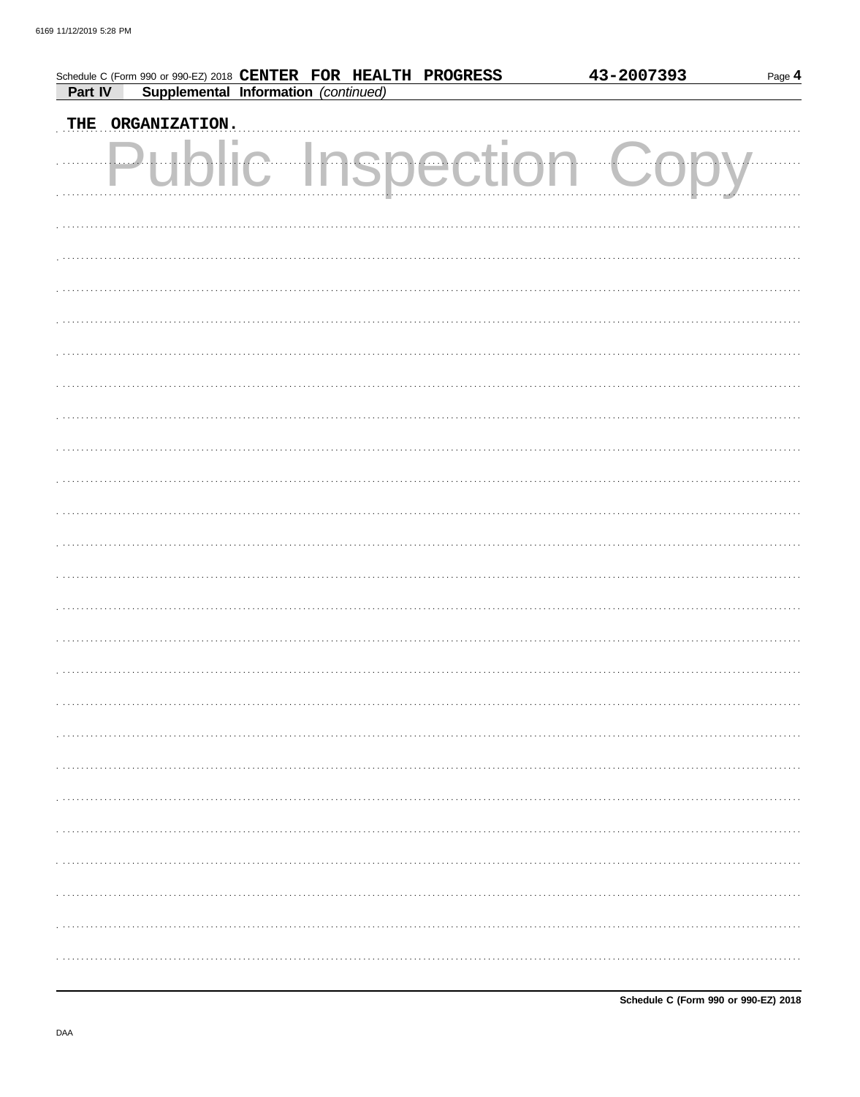|         |                   |                                      | Schedule C (Form 990 or 990-EZ) 2018 CENTER FOR HEALTH PROGRESS |        | 43-2007393 | Page 4 |
|---------|-------------------|--------------------------------------|-----------------------------------------------------------------|--------|------------|--------|
| Part IV |                   | Supplemental Information (continued) |                                                                 |        |            |        |
|         | THE ORGANIZATION. |                                      |                                                                 |        |            |        |
|         |                   | m<br>$\mathcal{L}$                   | nsp                                                             | ection |            |        |
|         |                   |                                      |                                                                 |        |            |        |
|         |                   |                                      |                                                                 |        |            |        |
|         |                   |                                      |                                                                 |        |            |        |
|         |                   |                                      |                                                                 |        |            |        |
|         |                   |                                      |                                                                 |        |            |        |
|         |                   |                                      |                                                                 |        |            |        |
|         |                   |                                      |                                                                 |        |            |        |
|         |                   |                                      |                                                                 |        |            |        |
|         |                   |                                      |                                                                 |        |            |        |
|         |                   |                                      |                                                                 |        |            |        |
|         |                   |                                      |                                                                 |        |            |        |
|         |                   |                                      |                                                                 |        |            |        |
|         |                   |                                      |                                                                 |        |            |        |
|         |                   |                                      |                                                                 |        |            |        |
|         |                   |                                      |                                                                 |        |            |        |
|         |                   |                                      |                                                                 |        |            |        |
|         |                   |                                      |                                                                 |        |            |        |
|         |                   |                                      |                                                                 |        |            |        |
|         |                   |                                      |                                                                 |        |            |        |
|         |                   |                                      |                                                                 |        |            |        |
|         |                   |                                      |                                                                 |        |            |        |
|         |                   |                                      |                                                                 |        |            |        |
|         |                   |                                      |                                                                 |        |            |        |
|         |                   |                                      |                                                                 |        |            |        |
|         |                   |                                      |                                                                 |        |            |        |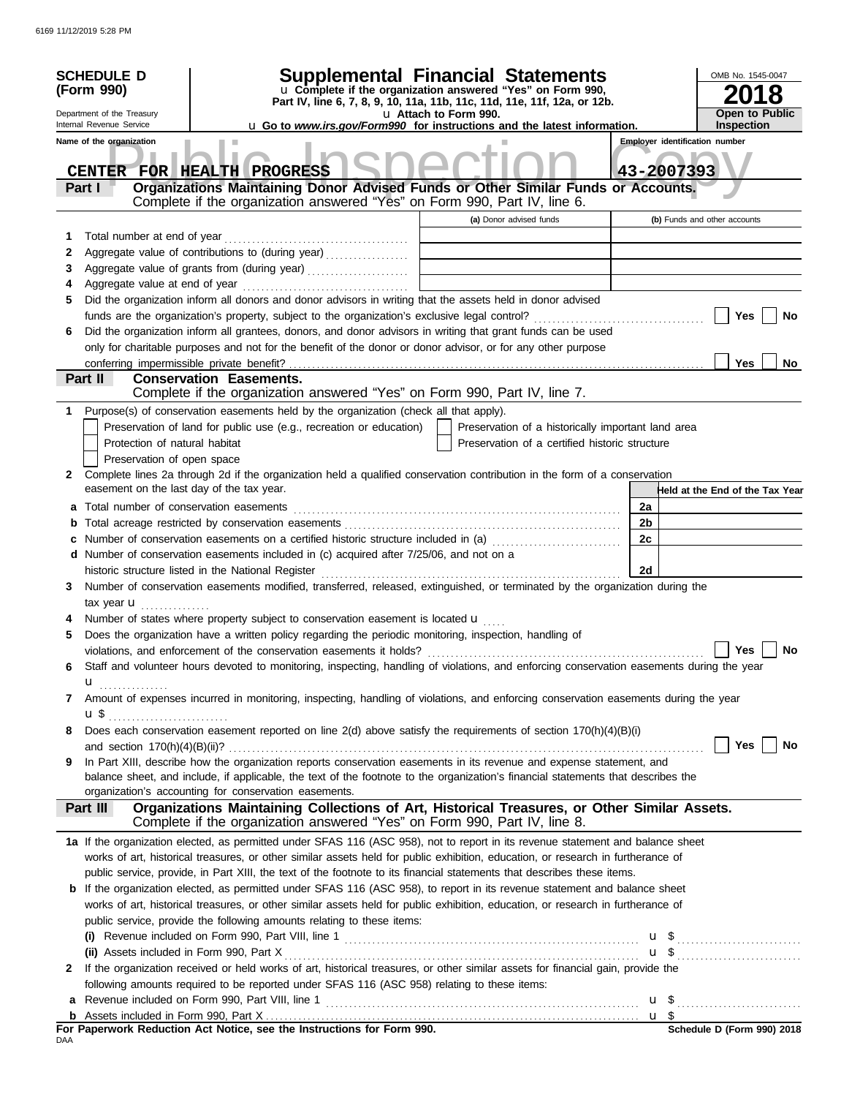|                            | <b>SCHEDULE D</b><br>(Form 990)<br>Department of the Treasury<br>Internal Revenue Service   | Supplemental Financial Statements<br>u Complete if the organization answered "Yes" on Form 990,<br>Part IV, line 6, 7, 8, 9, 10, 11a, 11b, 11c, 11d, 11e, 11f, 12a, or 12b.<br>u Attach to Form 990.<br><b>u</b> Go to <i>www.irs.gov/Form990</i> for instructions and the latest information.                                                                                                                                                                                                                                                                                     | OMB No. 1545-0047<br><b>Open to Public</b><br><b>Inspection</b> |                                                                                                      |                                       |                                           |
|----------------------------|---------------------------------------------------------------------------------------------|------------------------------------------------------------------------------------------------------------------------------------------------------------------------------------------------------------------------------------------------------------------------------------------------------------------------------------------------------------------------------------------------------------------------------------------------------------------------------------------------------------------------------------------------------------------------------------|-----------------------------------------------------------------|------------------------------------------------------------------------------------------------------|---------------------------------------|-------------------------------------------|
|                            | Name of the organization<br>Part I                                                          | CENTER FOR HEALTH PROGRESS<br>Organizations Maintaining Donor Advised Funds or Other Similar Funds or Accounts.<br>Complete if the organization answered "Yes" on Form 990, Part IV, line 6.                                                                                                                                                                                                                                                                                                                                                                                       |                                                                 | 43-2007393                                                                                           | <b>Employer identification number</b> |                                           |
| 1<br>2<br>3<br>4<br>5<br>6 | Total number at end of year                                                                 | Aggregate value of contributions to (during year)<br>Aggregate value of grants from (during year)<br>Did the organization inform all donors and donor advisors in writing that the assets held in donor advised<br>Did the organization inform all grantees, donors, and donor advisors in writing that grant funds can be used<br>only for charitable purposes and not for the benefit of the donor or donor advisor, or for any other purpose                                                                                                                                    | the control of the control of the control of the                | (a) Donor advised funds                                                                              |                                       | (b) Funds and other accounts<br>Yes<br>No |
|                            | Part II                                                                                     | <b>Conservation Easements.</b>                                                                                                                                                                                                                                                                                                                                                                                                                                                                                                                                                     |                                                                 |                                                                                                      |                                       | <b>Yes</b><br>No                          |
| 1                          | Protection of natural habitat<br>Preservation of open space                                 | Complete if the organization answered "Yes" on Form 990, Part IV, line 7.<br>Purpose(s) of conservation easements held by the organization (check all that apply).<br>Preservation of land for public use (e.g., recreation or education)                                                                                                                                                                                                                                                                                                                                          |                                                                 | Preservation of a historically important land area<br>Preservation of a certified historic structure |                                       |                                           |
| 2                          |                                                                                             | Complete lines 2a through 2d if the organization held a qualified conservation contribution in the form of a conservation<br>easement on the last day of the tax year.                                                                                                                                                                                                                                                                                                                                                                                                             |                                                                 |                                                                                                      | 2a<br>2b                              | Held at the End of the Tax Year           |
| b<br>c                     |                                                                                             | Number of conservation easements on a certified historic structure included in (a)<br>d Number of conservation easements included in (c) acquired after 7/25/06, and not on a<br>historic structure listed in the National Register                                                                                                                                                                                                                                                                                                                                                |                                                                 |                                                                                                      | 2c<br>2d                              |                                           |
| 3                          | tax year $\mathbf{u}$                                                                       | Number of conservation easements modified, transferred, released, extinguished, or terminated by the organization during the                                                                                                                                                                                                                                                                                                                                                                                                                                                       |                                                                 |                                                                                                      |                                       |                                           |
| 5<br>6                     |                                                                                             | Number of states where property subject to conservation easement is located $\mathbf{u}$<br>Does the organization have a written policy regarding the periodic monitoring, inspection, handling of<br>violations, and enforcement of the conservation easements it holds?<br>Staff and volunteer hours devoted to monitoring, inspecting, handling of violations, and enforcing conservation easements during the year                                                                                                                                                             |                                                                 |                                                                                                      |                                       | Yes<br>No                                 |
| 7                          | $\mathbf u$ and $\mathbf u$ and $\mathbf u$ and $\mathbf u$ and $\mathbf u$ and $\mathbf u$ | Amount of expenses incurred in monitoring, inspecting, handling of violations, and enforcing conservation easements during the year                                                                                                                                                                                                                                                                                                                                                                                                                                                |                                                                 |                                                                                                      |                                       |                                           |
| 8                          | $\mathbf{u}$ \$ $\ldots$ $\ldots$ $\ldots$ $\ldots$ $\ldots$ $\ldots$ $\ldots$              | Does each conservation easement reported on line 2(d) above satisfy the requirements of section 170(h)(4)(B)(i)                                                                                                                                                                                                                                                                                                                                                                                                                                                                    |                                                                 |                                                                                                      |                                       | Yes<br>No                                 |
| 9                          |                                                                                             | In Part XIII, describe how the organization reports conservation easements in its revenue and expense statement, and<br>balance sheet, and include, if applicable, the text of the footnote to the organization's financial statements that describes the<br>organization's accounting for conservation easements.                                                                                                                                                                                                                                                                 |                                                                 |                                                                                                      |                                       |                                           |
|                            | Part III                                                                                    | Organizations Maintaining Collections of Art, Historical Treasures, or Other Similar Assets.<br>Complete if the organization answered "Yes" on Form 990, Part IV, line 8.                                                                                                                                                                                                                                                                                                                                                                                                          |                                                                 |                                                                                                      |                                       |                                           |
|                            |                                                                                             | 1a If the organization elected, as permitted under SFAS 116 (ASC 958), not to report in its revenue statement and balance sheet<br>works of art, historical treasures, or other similar assets held for public exhibition, education, or research in furtherance of<br>public service, provide, in Part XIII, the text of the footnote to its financial statements that describes these items.                                                                                                                                                                                     |                                                                 |                                                                                                      |                                       |                                           |
| $\mathbf{2}$               |                                                                                             | <b>b</b> If the organization elected, as permitted under SFAS 116 (ASC 958), to report in its revenue statement and balance sheet<br>works of art, historical treasures, or other similar assets held for public exhibition, education, or research in furtherance of<br>public service, provide the following amounts relating to these items:<br>If the organization received or held works of art, historical treasures, or other similar assets for financial gain, provide the<br>following amounts required to be reported under SFAS 116 (ASC 958) relating to these items: |                                                                 |                                                                                                      |                                       | $\mathbf{u}$ \$<br>$u \$                  |
| DAA                        |                                                                                             | For Paperwork Reduction Act Notice, see the Instructions for Form 990.                                                                                                                                                                                                                                                                                                                                                                                                                                                                                                             |                                                                 |                                                                                                      | $\mathbf{u}$ \$                       | Schedule D (Form 990) 2018                |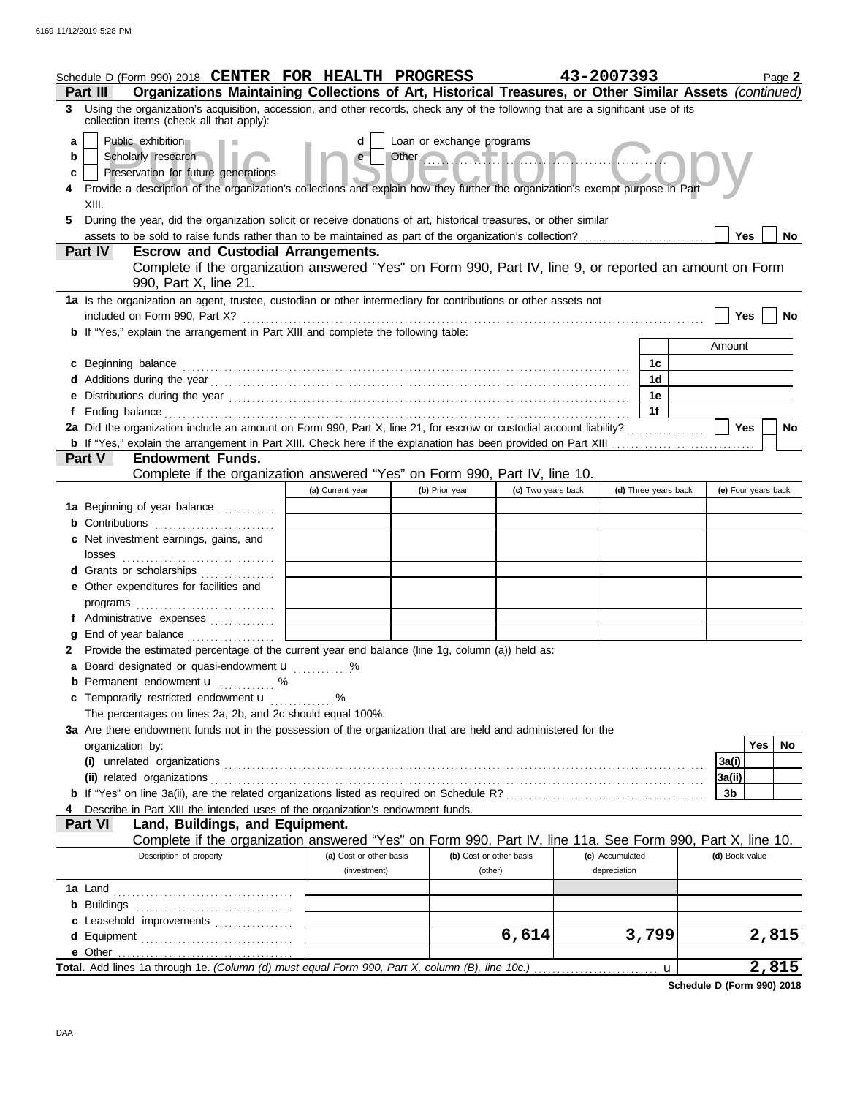|                  | Schedule D (Form 990) 2018 CENTER FOR HEALTH PROGRESS<br>Organizations Maintaining Collections of Art, Historical Treasures, or Other Similar Assets (continued)<br><b>Part III</b>                                                                                                                                                                                                                                                                       |                         |                                                         |                         | 43-2007393      |                      |                     | Page 2       |
|------------------|-----------------------------------------------------------------------------------------------------------------------------------------------------------------------------------------------------------------------------------------------------------------------------------------------------------------------------------------------------------------------------------------------------------------------------------------------------------|-------------------------|---------------------------------------------------------|-------------------------|-----------------|----------------------|---------------------|--------------|
|                  | 3 Using the organization's acquisition, accession, and other records, check any of the following that are a significant use of its<br>collection items (check all that apply):                                                                                                                                                                                                                                                                            |                         |                                                         |                         |                 |                      |                     |              |
| a<br>b<br>c<br>5 | Public exhibition<br>Scholarly research<br>Preservation for future generations<br>Provide a description of the organization's collections and explain how they further the organization's exempt purpose in Part<br>XIII.<br>During the year, did the organization solicit or receive donations of art, historical treasures, or other similar<br>assets to be sold to raise funds rather than to be maintained as part of the organization's collection? | d<br>e                  | Loan or exchange programs<br>Other <b>Communication</b> |                         |                 |                      | Yes                 | <b>No</b>    |
|                  | Part IV<br><b>Escrow and Custodial Arrangements.</b>                                                                                                                                                                                                                                                                                                                                                                                                      |                         |                                                         |                         |                 |                      |                     |              |
|                  | Complete if the organization answered "Yes" on Form 990, Part IV, line 9, or reported an amount on Form<br>990, Part X, line 21.                                                                                                                                                                                                                                                                                                                          |                         |                                                         |                         |                 |                      |                     |              |
|                  | 1a Is the organization an agent, trustee, custodian or other intermediary for contributions or other assets not<br>included on Form 990, Part X?                                                                                                                                                                                                                                                                                                          |                         |                                                         |                         |                 |                      | Yes                 | No           |
|                  | <b>b</b> If "Yes," explain the arrangement in Part XIII and complete the following table:                                                                                                                                                                                                                                                                                                                                                                 |                         |                                                         |                         |                 |                      |                     |              |
|                  | c Beginning balance                                                                                                                                                                                                                                                                                                                                                                                                                                       |                         |                                                         |                         |                 |                      | Amount              |              |
|                  | d Additions during the year contact the set of the set of the set of the set of the set of the set of the set of the set of the set of the set of the set of the set of the set of the set of the set of the set of the set of                                                                                                                                                                                                                            |                         |                                                         |                         |                 | 1c<br>1 <sub>d</sub> |                     |              |
|                  |                                                                                                                                                                                                                                                                                                                                                                                                                                                           |                         |                                                         |                         |                 | 1e                   |                     |              |
|                  |                                                                                                                                                                                                                                                                                                                                                                                                                                                           |                         |                                                         |                         |                 | 1f                   |                     |              |
|                  | 2a Did the organization include an amount on Form 990, Part X, line 21, for escrow or custodial account liability?                                                                                                                                                                                                                                                                                                                                        |                         |                                                         |                         |                 |                      | Yes                 | <b>No</b>    |
|                  |                                                                                                                                                                                                                                                                                                                                                                                                                                                           |                         |                                                         |                         |                 |                      |                     |              |
|                  | <b>Endowment Funds.</b><br>Part V                                                                                                                                                                                                                                                                                                                                                                                                                         |                         |                                                         |                         |                 |                      |                     |              |
|                  | Complete if the organization answered "Yes" on Form 990, Part IV, line 10.                                                                                                                                                                                                                                                                                                                                                                                |                         |                                                         |                         |                 |                      |                     |              |
|                  | 1a Beginning of year balance                                                                                                                                                                                                                                                                                                                                                                                                                              | (a) Current year        | (b) Prior year                                          | (c) Two years back      |                 | (d) Three years back | (e) Four years back |              |
|                  | <b>b</b> Contributions                                                                                                                                                                                                                                                                                                                                                                                                                                    |                         |                                                         |                         |                 |                      |                     |              |
|                  | c Net investment earnings, gains, and                                                                                                                                                                                                                                                                                                                                                                                                                     |                         |                                                         |                         |                 |                      |                     |              |
|                  | losses                                                                                                                                                                                                                                                                                                                                                                                                                                                    |                         |                                                         |                         |                 |                      |                     |              |
|                  | d Grants or scholarships                                                                                                                                                                                                                                                                                                                                                                                                                                  |                         |                                                         |                         |                 |                      |                     |              |
|                  | e Other expenditures for facilities and                                                                                                                                                                                                                                                                                                                                                                                                                   |                         |                                                         |                         |                 |                      |                     |              |
|                  |                                                                                                                                                                                                                                                                                                                                                                                                                                                           |                         |                                                         |                         |                 |                      |                     |              |
|                  | f Administrative expenses                                                                                                                                                                                                                                                                                                                                                                                                                                 |                         |                                                         |                         |                 |                      |                     |              |
|                  | g End of year balance                                                                                                                                                                                                                                                                                                                                                                                                                                     |                         |                                                         |                         |                 |                      |                     |              |
|                  | 2 Provide the estimated percentage of the current year end balance (line 1g, column (a)) held as:<br>a Board designated or quasi-endowment <b>u</b> %                                                                                                                                                                                                                                                                                                     |                         |                                                         |                         |                 |                      |                     |              |
|                  | <b>b</b> Permanent endowment <b>u</b> %                                                                                                                                                                                                                                                                                                                                                                                                                   |                         |                                                         |                         |                 |                      |                     |              |
|                  | c Temporarily restricted endowment <b>u</b> %                                                                                                                                                                                                                                                                                                                                                                                                             |                         |                                                         |                         |                 |                      |                     |              |
|                  | The percentages on lines 2a, 2b, and 2c should equal 100%.                                                                                                                                                                                                                                                                                                                                                                                                |                         |                                                         |                         |                 |                      |                     |              |
|                  | 3a Are there endowment funds not in the possession of the organization that are held and administered for the                                                                                                                                                                                                                                                                                                                                             |                         |                                                         |                         |                 |                      |                     |              |
|                  | organization by:                                                                                                                                                                                                                                                                                                                                                                                                                                          |                         |                                                         |                         |                 |                      |                     | Yes<br>No    |
|                  |                                                                                                                                                                                                                                                                                                                                                                                                                                                           |                         |                                                         |                         |                 |                      | 3a(i)               |              |
|                  |                                                                                                                                                                                                                                                                                                                                                                                                                                                           |                         |                                                         |                         |                 |                      | 3a(ii)              |              |
|                  | Describe in Part XIII the intended uses of the organization's endowment funds.                                                                                                                                                                                                                                                                                                                                                                            |                         |                                                         |                         |                 |                      | 3b                  |              |
|                  | Land, Buildings, and Equipment.<br><b>Part VI</b>                                                                                                                                                                                                                                                                                                                                                                                                         |                         |                                                         |                         |                 |                      |                     |              |
|                  | Complete if the organization answered "Yes" on Form 990, Part IV, line 11a. See Form 990, Part X, line 10.                                                                                                                                                                                                                                                                                                                                                |                         |                                                         |                         |                 |                      |                     |              |
|                  | Description of property                                                                                                                                                                                                                                                                                                                                                                                                                                   | (a) Cost or other basis |                                                         | (b) Cost or other basis | (c) Accumulated |                      | (d) Book value      |              |
|                  |                                                                                                                                                                                                                                                                                                                                                                                                                                                           | (investment)            |                                                         | (other)                 | depreciation    |                      |                     |              |
|                  |                                                                                                                                                                                                                                                                                                                                                                                                                                                           |                         |                                                         |                         |                 |                      |                     |              |
|                  |                                                                                                                                                                                                                                                                                                                                                                                                                                                           |                         |                                                         |                         |                 |                      |                     |              |
|                  | c Leasehold improvements                                                                                                                                                                                                                                                                                                                                                                                                                                  |                         |                                                         | 6,614                   |                 | 3,799                |                     | <u>2,815</u> |
|                  | d Equipment                                                                                                                                                                                                                                                                                                                                                                                                                                               |                         |                                                         |                         |                 |                      |                     |              |
|                  |                                                                                                                                                                                                                                                                                                                                                                                                                                                           |                         |                                                         |                         |                 | u                    |                     | 2,815        |

**Schedule D (Form 990) 2018**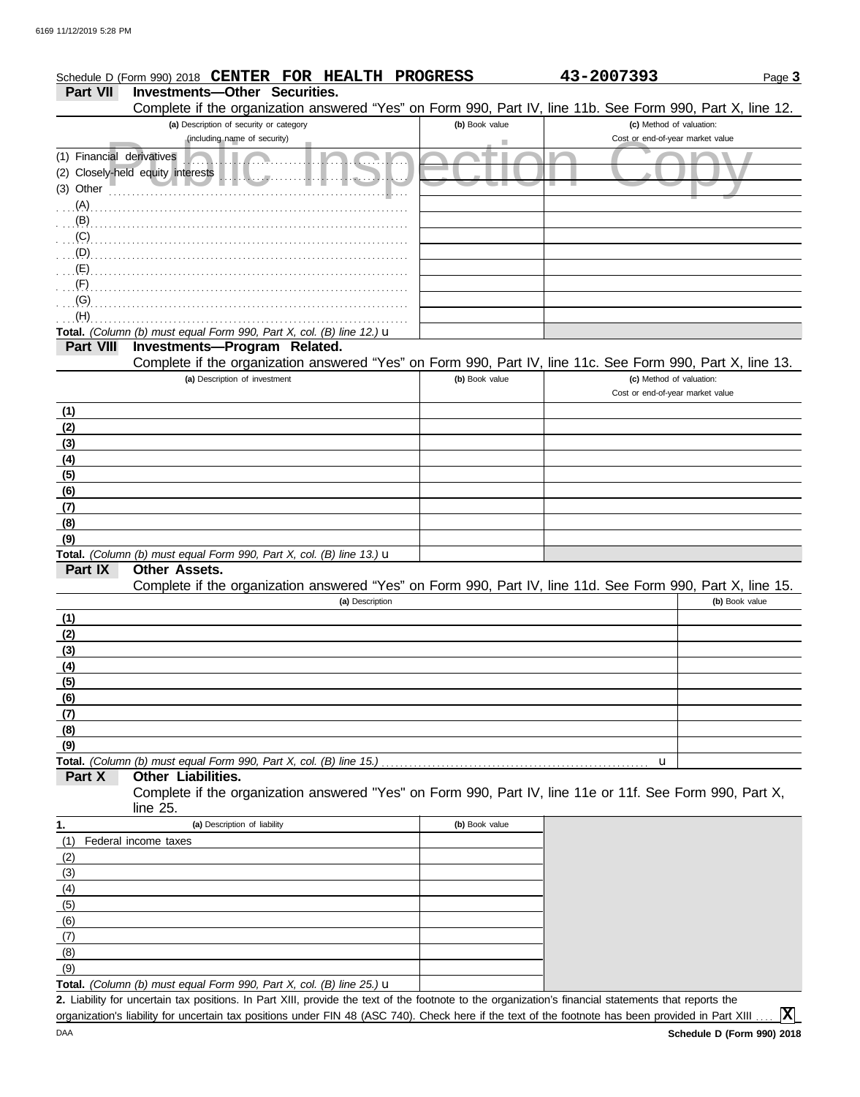|                           | Schedule D (Form 990) 2018 CENTER FOR HEALTH PROGRESS                                                                                       |                | 43-2007393                                                   | Page 3         |
|---------------------------|---------------------------------------------------------------------------------------------------------------------------------------------|----------------|--------------------------------------------------------------|----------------|
| <b>Part VII</b>           | <b>Investments-Other Securities.</b>                                                                                                        |                |                                                              |                |
|                           | Complete if the organization answered "Yes" on Form 990, Part IV, line 11b. See Form 990, Part X, line 12.                                  |                |                                                              |                |
|                           | (a) Description of security or category<br>(including name of security)                                                                     | (b) Book value | (c) Method of valuation:<br>Cost or end-of-year market value |                |
| (1) Financial derivatives |                                                                                                                                             |                |                                                              |                |
|                           | (2) Closely-held equity interests                                                                                                           |                |                                                              |                |
| (3) Other                 |                                                                                                                                             |                |                                                              |                |
| (A)                       |                                                                                                                                             |                |                                                              |                |
| (B)                       |                                                                                                                                             |                |                                                              |                |
| (C)                       |                                                                                                                                             |                |                                                              |                |
| (D)<br>(E)                |                                                                                                                                             |                |                                                              |                |
| (F)                       |                                                                                                                                             |                |                                                              |                |
| (G)                       |                                                                                                                                             |                |                                                              |                |
| (H)                       |                                                                                                                                             |                |                                                              |                |
|                           | Total. (Column (b) must equal Form 990, Part X, col. (B) line 12.) $\mathbf u$                                                              |                |                                                              |                |
| <b>Part VIII</b>          | Investments-Program Related.                                                                                                                |                |                                                              |                |
|                           | Complete if the organization answered "Yes" on Form 990, Part IV, line 11c. See Form 990, Part X, line 13.<br>(a) Description of investment | (b) Book value |                                                              |                |
|                           |                                                                                                                                             |                | (c) Method of valuation:<br>Cost or end-of-year market value |                |
| (1)                       |                                                                                                                                             |                |                                                              |                |
| (2)                       |                                                                                                                                             |                |                                                              |                |
| (3)                       |                                                                                                                                             |                |                                                              |                |
| (4)                       |                                                                                                                                             |                |                                                              |                |
| (5)                       |                                                                                                                                             |                |                                                              |                |
| (6)                       |                                                                                                                                             |                |                                                              |                |
| (7)                       |                                                                                                                                             |                |                                                              |                |
| (8)<br>(9)                |                                                                                                                                             |                |                                                              |                |
|                           | Total. (Column (b) must equal Form 990, Part X, col. (B) line 13.) $\mathbf u$                                                              |                |                                                              |                |
| Part IX                   | Other Assets.                                                                                                                               |                |                                                              |                |
|                           | Complete if the organization answered "Yes" on Form 990, Part IV, line 11d. See Form 990, Part X, line 15.                                  |                |                                                              |                |
|                           | (a) Description                                                                                                                             |                |                                                              | (b) Book value |
| (1)                       |                                                                                                                                             |                |                                                              |                |
| (2)                       |                                                                                                                                             |                |                                                              |                |
| (3)<br>(4)                |                                                                                                                                             |                |                                                              |                |
| (5)                       |                                                                                                                                             |                |                                                              |                |
| (6)                       |                                                                                                                                             |                |                                                              |                |
| (7)                       |                                                                                                                                             |                |                                                              |                |
| (8)                       |                                                                                                                                             |                |                                                              |                |
| (9)                       |                                                                                                                                             |                |                                                              |                |
|                           | Total. (Column (b) must equal Form 990, Part X, col. (B) line 15.)<br>Other Liabilities.                                                    |                | u                                                            |                |
| Part X                    | Complete if the organization answered "Yes" on Form 990, Part IV, line 11e or 11f. See Form 990, Part X,                                    |                |                                                              |                |
|                           | line 25.                                                                                                                                    |                |                                                              |                |
| 1.                        | (a) Description of liability                                                                                                                | (b) Book value |                                                              |                |
| (1)                       | Federal income taxes                                                                                                                        |                |                                                              |                |
| (2)                       |                                                                                                                                             |                |                                                              |                |
| (3)                       |                                                                                                                                             |                |                                                              |                |
| (4)                       |                                                                                                                                             |                |                                                              |                |
| (5)                       |                                                                                                                                             |                |                                                              |                |
| (6)                       |                                                                                                                                             |                |                                                              |                |
| (7)                       |                                                                                                                                             |                |                                                              |                |
| (8)<br>(9)                |                                                                                                                                             |                |                                                              |                |
|                           |                                                                                                                                             |                |                                                              |                |

**Total.** *(Column (b) must equal Form 990, Part X, col. (B) line 25.)* u

Liability for uncertain tax positions. In Part XIII, provide the text of the footnote to the organization's financial statements that reports the **2.** organization's liability for uncertain tax positions under FIN 48 (ASC 740). Check here if the text of the footnote has been provided in Part XIII.

**X**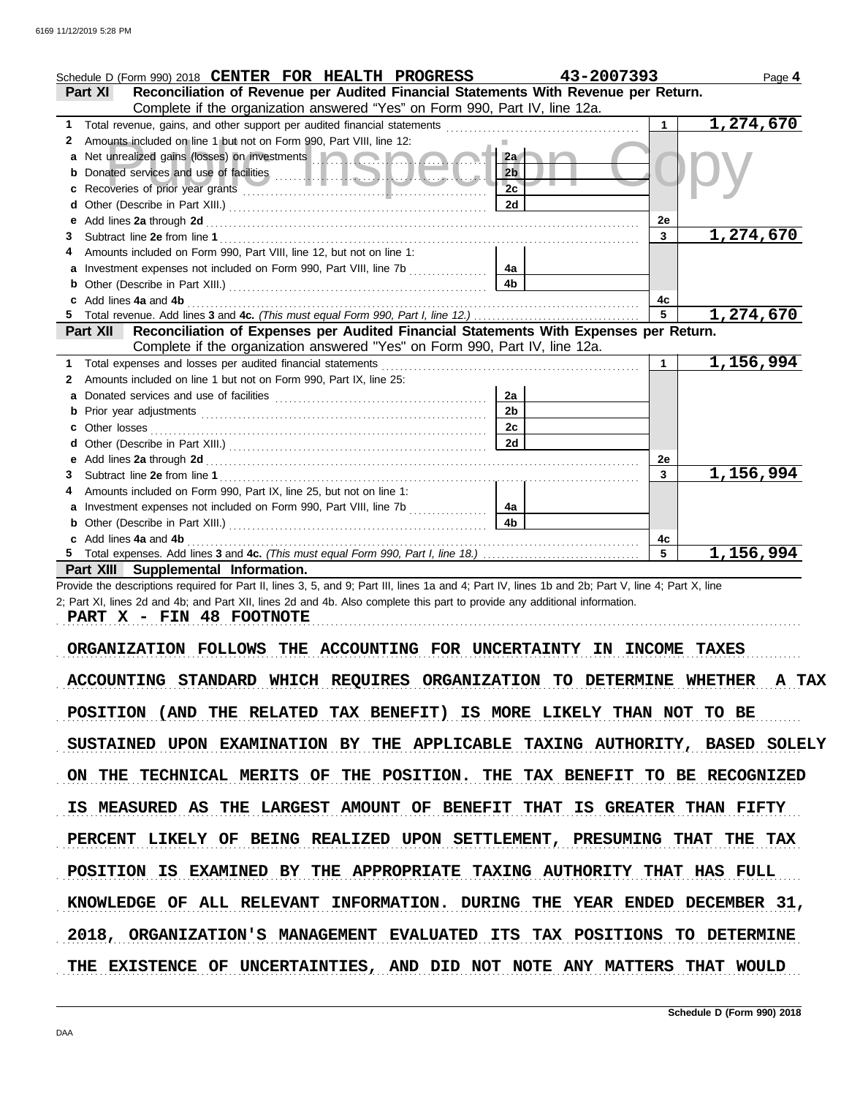|    | Schedule D (Form 990) 2018 CENTER FOR HEALTH PROGRESS                                                                                              | 43-2007393      | Page 4    |
|----|----------------------------------------------------------------------------------------------------------------------------------------------------|-----------------|-----------|
|    | Reconciliation of Revenue per Audited Financial Statements With Revenue per Return.<br>Part XI                                                     |                 |           |
|    | Complete if the organization answered "Yes" on Form 990, Part IV, line 12a.                                                                        |                 |           |
| 1  | Total revenue, gains, and other support per audited financial statements                                                                           | $\mathbf 1$     | 1,274,670 |
| 2  | Amounts included on line 1 but not on Form 990, Part VIII, line 12:                                                                                |                 |           |
| a  | Net unrealized gains (losses) on investments <b>Alternative Common Common Common Common Common Common Common Common</b><br>2a                      |                 |           |
|    | 2 <sub>b</sub>                                                                                                                                     |                 |           |
| c  | 2c<br>Recoveries of prior year grants <b>contained a contained a contained a contained a contained a contained a contained a</b>                   |                 |           |
| d  | 2d                                                                                                                                                 |                 |           |
| е  | Add lines 2a through 2d                                                                                                                            | 2e              |           |
|    |                                                                                                                                                    | $\overline{3}$  | 1,274,670 |
|    | Amounts included on Form 990, Part VIII, line 12, but not on line 1:                                                                               |                 |           |
| a  | Investment expenses not included on Form 990, Part VIII, line 7b<br>4a                                                                             |                 |           |
| b  | 4 <sub>b</sub>                                                                                                                                     |                 |           |
| c  | Add lines 4a and 4b                                                                                                                                | 4c              |           |
|    |                                                                                                                                                    | $5\phantom{.0}$ | 1,274,670 |
|    | Reconciliation of Expenses per Audited Financial Statements With Expenses per Return.<br><b>Part XII</b>                                           |                 |           |
|    | Complete if the organization answered "Yes" on Form 990, Part IV, line 12a.                                                                        |                 |           |
| 1. | Total expenses and losses per audited financial statements                                                                                         | $\mathbf{1}$    | 1,156,994 |
| 2  | Amounts included on line 1 but not on Form 990, Part IX, line 25:                                                                                  |                 |           |
| a  | 2a                                                                                                                                                 |                 |           |
|    | 2 <sub>b</sub>                                                                                                                                     |                 |           |
|    | 2c                                                                                                                                                 |                 |           |
|    | 2d                                                                                                                                                 |                 |           |
| е  |                                                                                                                                                    | 2e              |           |
| З  |                                                                                                                                                    | 3               | 1,156,994 |
|    | Amounts included on Form 990, Part IX, line 25, but not on line 1:                                                                                 |                 |           |
| a  | Investment expenses not included on Form 990, Part VIII, line 7b<br>4a                                                                             |                 |           |
| b  | 4 <sub>b</sub>                                                                                                                                     |                 |           |
| C. | Add lines 4a and 4b                                                                                                                                | 4c              |           |
|    |                                                                                                                                                    | 5               | 1,156,994 |
|    | Part XIII Supplemental Information.                                                                                                                |                 |           |
|    | Provide the descriptions required for Part II, lines 3, 5, and 9; Part III, lines 1a and 4; Part IV, lines 1b and 2b; Part V, line 4; Part X, line |                 |           |
|    | 2; Part XI, lines 2d and 4b; and Part XII, lines 2d and 4b. Also complete this part to provide any additional information.                         |                 |           |

PART X - FIN 48 FOOTNOTE

ORGANIZATION FOLLOWS THE ACCOUNTING FOR UNCERTAINTY IN INCOME TAXES ACCOUNTING STANDARD WHICH REQUIRES ORGANIZATION TO DETERMINE WHETHER A TAX POSITION (AND THE RELATED TAX BENEFIT) IS MORE LIKELY THAN NOT TO BE SUSTAINED UPON EXAMINATION BY THE APPLICABLE TAXING AUTHORITY, BASED SOLELY ON THE TECHNICAL MERITS OF THE POSITION. THE TAX BENEFIT TO BE RECOGNIZED IS MEASURED AS THE LARGEST AMOUNT OF BENEFIT THAT IS GREATER THAN FIFTY KNOWLEDGE OF ALL RELEVANT INFORMATION. DURING THE YEAR ENDED DECEMBER 31, PERCENT LIKELY OF BEING REALIZED UPON SETTLEMENT, PRESUMING THAT THE TAX POSITION IS EXAMINED BY THE APPROPRIATE TAXING AUTHORITY THAT HAS FULL 2018, ORGANIZATION'S MANAGEMENT EVALUATED ITS TAX POSITIONS TO DETERMINE THE EXISTENCE OF UNCERTAINTIES, AND DID NOT NOTE ANY MATTERS THAT WOULD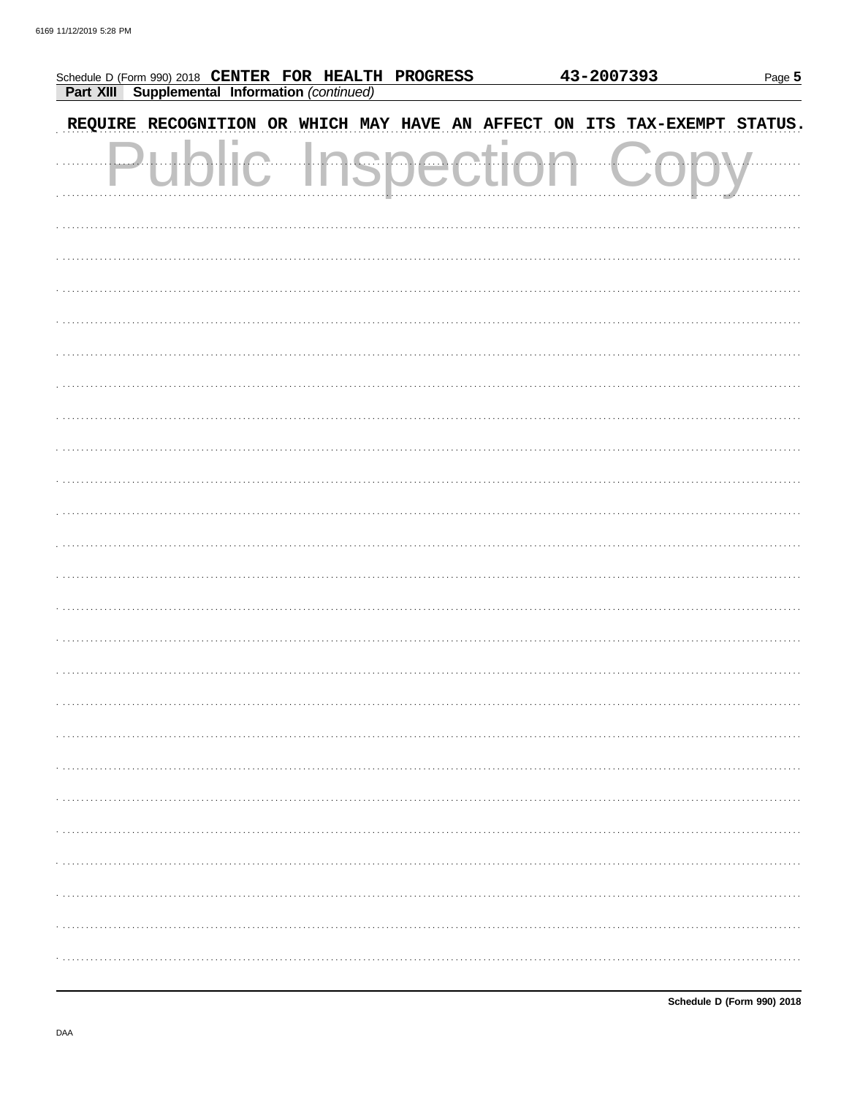| Schedule D (Form 990) 2018 CENTER FOR HEALTH PROGRESS             |            |           | 43-2007393 | Page 5         |
|-------------------------------------------------------------------|------------|-----------|------------|----------------|
| Part XIII Supplemental Information (continued)                    |            |           |            |                |
| REQUIRE RECOGNITION OR WHICH MAY HAVE AN AFFECT ON ITS TAX-EXEMPT |            |           |            | <b>STATUS.</b> |
|                                                                   | ala a atil | (1, 1, 1) | . 7.       |                |
|                                                                   |            |           |            |                |
|                                                                   |            |           |            |                |
|                                                                   |            |           |            |                |
|                                                                   |            |           |            |                |
|                                                                   |            |           |            |                |
|                                                                   |            |           |            |                |
|                                                                   |            |           |            |                |
|                                                                   |            |           |            |                |
|                                                                   |            |           |            |                |
|                                                                   |            |           |            |                |
|                                                                   |            |           |            |                |
|                                                                   |            |           |            |                |
|                                                                   |            |           |            |                |
|                                                                   |            |           |            |                |
|                                                                   |            |           |            |                |
|                                                                   |            |           |            |                |
|                                                                   |            |           |            |                |
|                                                                   |            |           |            |                |
|                                                                   |            |           |            |                |
|                                                                   |            |           |            |                |
|                                                                   |            |           |            |                |
|                                                                   |            |           |            |                |
|                                                                   |            |           |            |                |
|                                                                   |            |           |            |                |
|                                                                   |            |           |            |                |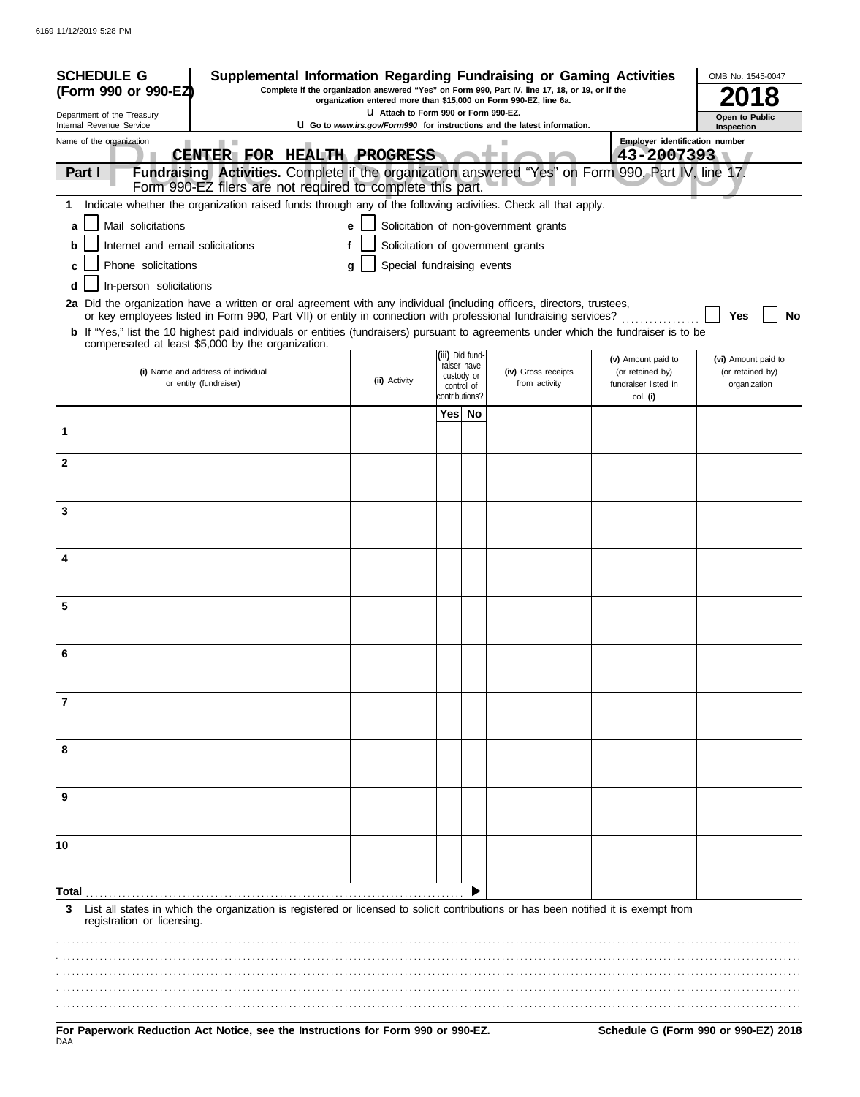| <b>SCHEDULE G</b><br>Supplemental Information Regarding Fundraising or Gaming Activities<br>Complete if the organization answered "Yes" on Form 990, Part IV, line 17, 18, or 19, or if the<br>(Form 990 or 990-EZ)<br>organization entered more than \$15,000 on Form 990-EZ, line 6a.                                                                     |                                                                                                                                                                                                |                                      |     |                                                                              |                                                                          | OMB No. 1545-0047                                                          |                                                         |
|-------------------------------------------------------------------------------------------------------------------------------------------------------------------------------------------------------------------------------------------------------------------------------------------------------------------------------------------------------------|------------------------------------------------------------------------------------------------------------------------------------------------------------------------------------------------|--------------------------------------|-----|------------------------------------------------------------------------------|--------------------------------------------------------------------------|----------------------------------------------------------------------------|---------------------------------------------------------|
| Department of the Treasury<br>Internal Revenue Service                                                                                                                                                                                                                                                                                                      |                                                                                                                                                                                                | U Attach to Form 990 or Form 990-EZ. |     |                                                                              | U Go to www.irs.gov/Form990 for instructions and the latest information. |                                                                            | Open to Public<br>Inspection                            |
| Name of the organization<br>Part I                                                                                                                                                                                                                                                                                                                          | CENTER FOR HEALTH PROGRESS<br>Fundraising Activities. Complete if the organization answered "Yes" on Form 990, Part IV, line 17.<br>Form 990-EZ filers are not required to complete this part. |                                      |     |                                                                              |                                                                          | <b>Employer identification number</b><br>43-2007393                        |                                                         |
| 1 Indicate whether the organization raised funds through any of the following activities. Check all that apply.                                                                                                                                                                                                                                             |                                                                                                                                                                                                |                                      |     |                                                                              |                                                                          |                                                                            |                                                         |
| Mail solicitations<br>a                                                                                                                                                                                                                                                                                                                                     |                                                                                                                                                                                                | e                                    |     |                                                                              | Solicitation of non-government grants                                    |                                                                            |                                                         |
| Internet and email solicitations<br>b                                                                                                                                                                                                                                                                                                                       |                                                                                                                                                                                                |                                      |     |                                                                              | Solicitation of government grants                                        |                                                                            |                                                         |
| Phone solicitations                                                                                                                                                                                                                                                                                                                                         |                                                                                                                                                                                                | Special fundraising events<br>g      |     |                                                                              |                                                                          |                                                                            |                                                         |
| In-person solicitations<br>d<br>2a Did the organization have a written or oral agreement with any individual (including officers, directors, trustees,<br><b>b</b> If "Yes," list the 10 highest paid individuals or entities (fundraisers) pursuant to agreements under which the fundraiser is to be<br>compensated at least \$5,000 by the organization. | or key employees listed in Form 990, Part VII) or entity in connection with professional fundraising services?                                                                                 |                                      |     |                                                                              |                                                                          |                                                                            | Yes<br><b>No</b>                                        |
| (i) Name and address of individual<br>or entity (fundraiser)                                                                                                                                                                                                                                                                                                |                                                                                                                                                                                                | (ii) Activity                        |     | (iii) Did fund-<br>raiser have<br>custody or<br>control of<br>contributions? | (iv) Gross receipts<br>from activity                                     | (v) Amount paid to<br>(or retained by)<br>fundraiser listed in<br>col. (i) | (vi) Amount paid to<br>(or retained by)<br>organization |
|                                                                                                                                                                                                                                                                                                                                                             |                                                                                                                                                                                                |                                      | Yes | No                                                                           |                                                                          |                                                                            |                                                         |
| 1                                                                                                                                                                                                                                                                                                                                                           |                                                                                                                                                                                                |                                      |     |                                                                              |                                                                          |                                                                            |                                                         |
| $\mathbf{2}$                                                                                                                                                                                                                                                                                                                                                |                                                                                                                                                                                                |                                      |     |                                                                              |                                                                          |                                                                            |                                                         |
| 3                                                                                                                                                                                                                                                                                                                                                           |                                                                                                                                                                                                |                                      |     |                                                                              |                                                                          |                                                                            |                                                         |
| 4                                                                                                                                                                                                                                                                                                                                                           |                                                                                                                                                                                                |                                      |     |                                                                              |                                                                          |                                                                            |                                                         |
| 5                                                                                                                                                                                                                                                                                                                                                           |                                                                                                                                                                                                |                                      |     |                                                                              |                                                                          |                                                                            |                                                         |
| 6                                                                                                                                                                                                                                                                                                                                                           |                                                                                                                                                                                                |                                      |     |                                                                              |                                                                          |                                                                            |                                                         |
| 7                                                                                                                                                                                                                                                                                                                                                           |                                                                                                                                                                                                |                                      |     |                                                                              |                                                                          |                                                                            |                                                         |
| 8                                                                                                                                                                                                                                                                                                                                                           |                                                                                                                                                                                                |                                      |     |                                                                              |                                                                          |                                                                            |                                                         |
| 9                                                                                                                                                                                                                                                                                                                                                           |                                                                                                                                                                                                |                                      |     |                                                                              |                                                                          |                                                                            |                                                         |
| 10                                                                                                                                                                                                                                                                                                                                                          |                                                                                                                                                                                                |                                      |     |                                                                              |                                                                          |                                                                            |                                                         |
| Total                                                                                                                                                                                                                                                                                                                                                       |                                                                                                                                                                                                |                                      |     |                                                                              |                                                                          |                                                                            |                                                         |
| 3<br>registration or licensing.                                                                                                                                                                                                                                                                                                                             | List all states in which the organization is registered or licensed to solicit contributions or has been notified it is exempt from                                                            |                                      |     |                                                                              |                                                                          |                                                                            |                                                         |
|                                                                                                                                                                                                                                                                                                                                                             |                                                                                                                                                                                                |                                      |     |                                                                              |                                                                          |                                                                            |                                                         |
|                                                                                                                                                                                                                                                                                                                                                             |                                                                                                                                                                                                |                                      |     |                                                                              |                                                                          |                                                                            |                                                         |
|                                                                                                                                                                                                                                                                                                                                                             |                                                                                                                                                                                                |                                      |     |                                                                              |                                                                          |                                                                            |                                                         |
| For Department Poduction, Act Notice, see the Instructions for Form 000 or 000 FZ                                                                                                                                                                                                                                                                           |                                                                                                                                                                                                |                                      |     |                                                                              |                                                                          | Cohodulo $C$ (Form 000 or 000 F7)                                          |                                                         |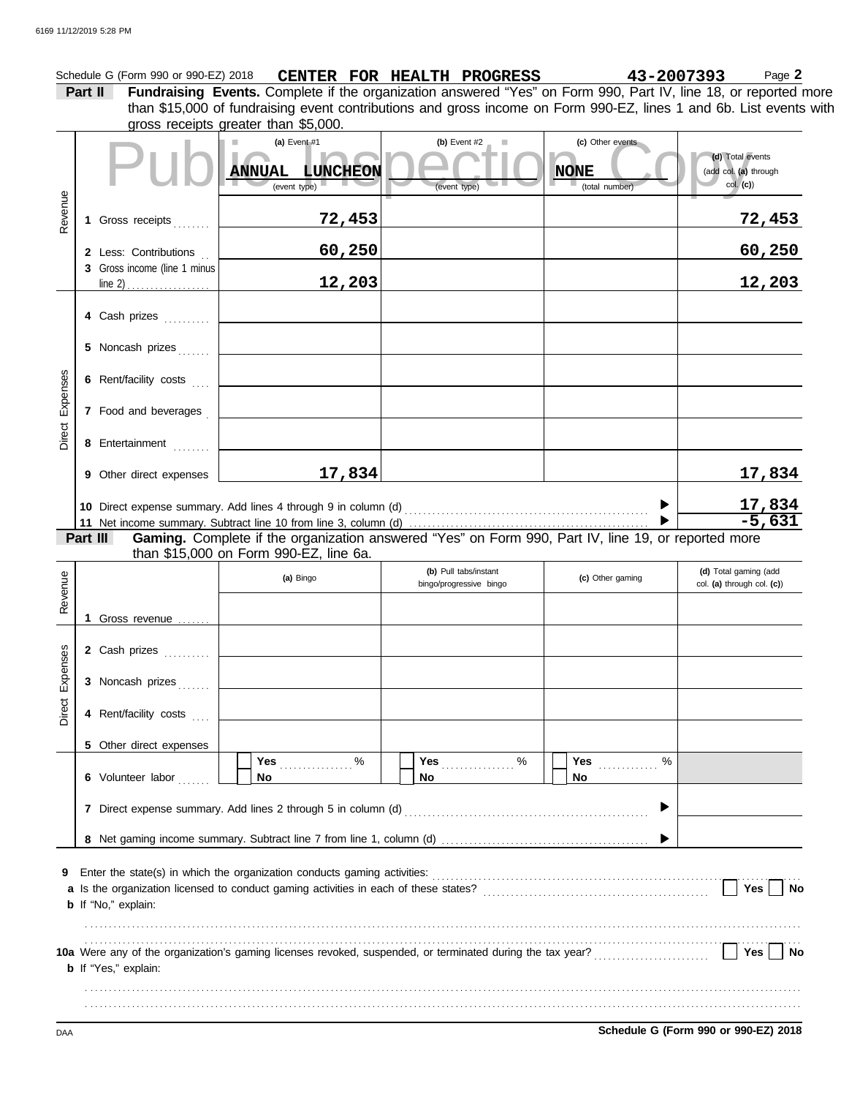| Part II  | Schedule G (Form 990 or 990-EZ) 2018      | CENTER FOR HEALTH PROGRESS<br>Fundraising Events. Complete if the organization answered "Yes" on Form 990, Part IV, line 18, or reported more |           |                                                  | 43-2007393                                                                                 | Page 2                                                |
|----------|-------------------------------------------|-----------------------------------------------------------------------------------------------------------------------------------------------|-----------|--------------------------------------------------|--------------------------------------------------------------------------------------------|-------------------------------------------------------|
|          | gross receipts greater than \$5,000.      | than \$15,000 of fundraising event contributions and gross income on Form 990-EZ, lines 1 and 6b. List events with                            |           |                                                  |                                                                                            |                                                       |
|          |                                           | (a) Event $#1$<br><b>ANNUAL LUNCHEON</b><br>(event type)                                                                                      |           | (b) Event $#2$<br>ш<br>(event type)              | (c) Other events<br><b>NONE</b><br>(total number)                                          | (d) Total events<br>(add col. (a) through<br>col. (c) |
| Revenue  | 1 Gross receipts                          | 72,453                                                                                                                                        |           |                                                  |                                                                                            | <u>72,453</u>                                         |
|          | 2 Less: Contributions                     | 60,250                                                                                                                                        |           |                                                  |                                                                                            | 60,250                                                |
|          | 3 Gross income (line 1 minus<br>line $2)$ | 12,203                                                                                                                                        |           |                                                  |                                                                                            | 12,203                                                |
|          | 4 Cash prizes                             |                                                                                                                                               |           |                                                  |                                                                                            |                                                       |
|          | 5 Noncash prizes                          |                                                                                                                                               |           |                                                  |                                                                                            |                                                       |
|          | 6 Rent/facility costs                     |                                                                                                                                               |           |                                                  |                                                                                            |                                                       |
| Expenses | 7 Food and beverages                      |                                                                                                                                               |           |                                                  |                                                                                            |                                                       |
| Direct   | 8 Entertainment                           |                                                                                                                                               |           |                                                  |                                                                                            |                                                       |
|          | 9 Other direct expenses                   | 17,834                                                                                                                                        |           |                                                  |                                                                                            | 17,834                                                |
|          |                                           |                                                                                                                                               |           |                                                  |                                                                                            | $\frac{17,834}{-5,631}$                               |
| Part III |                                           | Gaming. Complete if the organization answered "Yes" on Form 990, Part IV, line 19, or reported more                                           |           |                                                  |                                                                                            |                                                       |
| Revenue  |                                           | than \$15,000 on Form 990-EZ, line 6a.<br>(a) Bingo                                                                                           |           | (b) Pull tabs/instant<br>bingo/progressive bingo | (c) Other gaming                                                                           | (d) Total gaming (add<br>col. (a) through col. (c))   |
|          | 1 Gross revenue                           |                                                                                                                                               |           |                                                  |                                                                                            |                                                       |
|          | 2 Cash prizes                             |                                                                                                                                               |           |                                                  |                                                                                            |                                                       |
| Expenses | 3 Noncash prizes<br>.                     |                                                                                                                                               |           |                                                  |                                                                                            |                                                       |
| Direct   | 4 Rent/facility costs                     |                                                                                                                                               |           |                                                  |                                                                                            |                                                       |
|          | 5 Other direct expenses                   |                                                                                                                                               |           |                                                  |                                                                                            |                                                       |
|          | 6 Volunteer labor                         | <b>No</b>                                                                                                                                     | <b>No</b> |                                                  | $\%$<br>Yes $\begin{array}{ccc} \mathsf{Yes} & \mathsf{S} & \mathsf{S} \end{array}$<br>No. |                                                       |
|          |                                           |                                                                                                                                               |           |                                                  |                                                                                            |                                                       |
| 8        |                                           |                                                                                                                                               |           |                                                  |                                                                                            |                                                       |
| 9        |                                           |                                                                                                                                               |           |                                                  |                                                                                            | Yes<br>No                                             |
|          | <b>b</b> If "No," explain:                |                                                                                                                                               |           |                                                  |                                                                                            |                                                       |
|          |                                           |                                                                                                                                               |           |                                                  |                                                                                            |                                                       |

. . . . . . . . . . . . . . . . . . . . . . . . . . . . . . . . . . . . . . . . . . . . . . . . . . . . . . . . . . . . . . . . . . . . . . . . . . . . . . . . . . . . . . . . . . . . . . . . . . . . . . . . . . . . . . . . . . . . . . . . . . . . . . . . . . . . . . . . . . . . . . . . . . . . . . . . . . . . . . . . . . . . . . . . . . . . . . . . . . . . . . . . . . . . . . . . . . . . . . . . . . . . . . . . . . . . . . . . . . . . . . . . . . . . . . . . . . . . . . . . . . . . . . . . . . . . . . . . . . . . . . . . . . . . . . . . . . . . . . . . . . . . . . . . . . . . . . . . . . . . . . . . . . . . . .

**CONFIDENTIFY CONTROLLED A CONTROLLED A CONTROLLED A CONTROLLED A CONTROLLED A CONTROLLED A CONTROLLED A CONTROLLED A CONTROLLED A CONTROLLED A CONTROLLED A CONTROLLED A CONTROLLED A CONTROLLED A CONTROLLED A CONTROLLED A**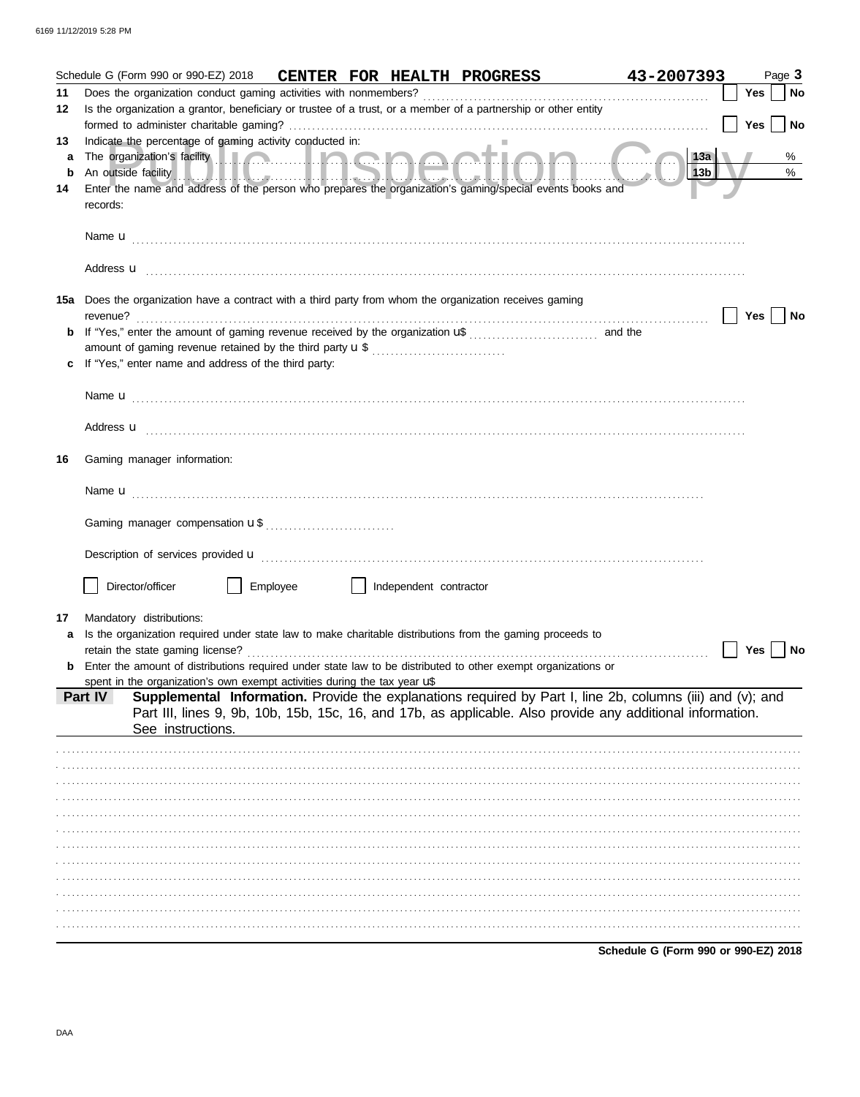|          |                                                                                                                                                                                                                               |                                                                                      |          |                        | Schedule G (Form 990 or 990-EZ) 2018 CENTER FOR HEALTH PROGRESS                                                | 43-2007393                                                                                                                                                                                                                                |            | Page 3    |
|----------|-------------------------------------------------------------------------------------------------------------------------------------------------------------------------------------------------------------------------------|--------------------------------------------------------------------------------------|----------|------------------------|----------------------------------------------------------------------------------------------------------------|-------------------------------------------------------------------------------------------------------------------------------------------------------------------------------------------------------------------------------------------|------------|-----------|
| 11<br>12 |                                                                                                                                                                                                                               | Does the organization conduct gaming activities with nonmembers?                     |          |                        | Is the organization a grantor, beneficiary or trustee of a trust, or a member of a partnership or other entity |                                                                                                                                                                                                                                           | <b>Yes</b> | <b>No</b> |
|          |                                                                                                                                                                                                                               |                                                                                      |          |                        |                                                                                                                |                                                                                                                                                                                                                                           | Yes        | <b>No</b> |
| 13       | Indicate the percentage of gaming activity conducted in:                                                                                                                                                                      |                                                                                      |          |                        |                                                                                                                | 13a                                                                                                                                                                                                                                       |            |           |
| a<br>b   | An outside facility entry and the contract of the contract of the contract of the contract of the contract of the contract of the contract of the contract of the contract of the contract of the contract of the contract of |                                                                                      |          |                        | The organization's facility <b>the contract of the organization's facility</b>                                 | 13b                                                                                                                                                                                                                                       |            | %<br>%    |
| 14       |                                                                                                                                                                                                                               |                                                                                      |          |                        | Enter the name and address of the person who prepares the organization's gaming/special events books and       |                                                                                                                                                                                                                                           |            |           |
|          | records:                                                                                                                                                                                                                      |                                                                                      |          |                        |                                                                                                                |                                                                                                                                                                                                                                           |            |           |
|          |                                                                                                                                                                                                                               |                                                                                      |          |                        |                                                                                                                |                                                                                                                                                                                                                                           |            |           |
|          |                                                                                                                                                                                                                               |                                                                                      |          |                        |                                                                                                                | Address <b>u</b> <u>decree and the contract of the contract of the contract of the contract of the contract of the contract of the contract of the contract of the contract of the contract of the contract of the contract of the co</u> |            |           |
|          |                                                                                                                                                                                                                               |                                                                                      |          |                        | 15a Does the organization have a contract with a third party from whom the organization receives gaming        |                                                                                                                                                                                                                                           | Yes        | No        |
|          |                                                                                                                                                                                                                               |                                                                                      |          |                        |                                                                                                                |                                                                                                                                                                                                                                           |            |           |
|          |                                                                                                                                                                                                                               |                                                                                      |          |                        |                                                                                                                |                                                                                                                                                                                                                                           |            |           |
|          | If "Yes," enter name and address of the third party:                                                                                                                                                                          |                                                                                      |          |                        |                                                                                                                |                                                                                                                                                                                                                                           |            |           |
|          |                                                                                                                                                                                                                               |                                                                                      |          |                        |                                                                                                                |                                                                                                                                                                                                                                           |            |           |
|          |                                                                                                                                                                                                                               |                                                                                      |          |                        |                                                                                                                | Address <b>u</b> <u>contractive and the contractive and the contractive and the contractive and the contractive and the contractive and the contractive and contract and contract and contract and contract and contract and contract</u> |            |           |
| 16       |                                                                                                                                                                                                                               | Gaming manager information:                                                          |          |                        |                                                                                                                |                                                                                                                                                                                                                                           |            |           |
|          |                                                                                                                                                                                                                               |                                                                                      |          |                        |                                                                                                                |                                                                                                                                                                                                                                           |            |           |
|          |                                                                                                                                                                                                                               |                                                                                      |          |                        |                                                                                                                |                                                                                                                                                                                                                                           |            |           |
|          |                                                                                                                                                                                                                               |                                                                                      |          |                        |                                                                                                                |                                                                                                                                                                                                                                           |            |           |
|          | Director/officer                                                                                                                                                                                                              |                                                                                      | Employee | Independent contractor |                                                                                                                |                                                                                                                                                                                                                                           |            |           |
| 17       | Mandatory distributions:                                                                                                                                                                                                      |                                                                                      |          |                        |                                                                                                                |                                                                                                                                                                                                                                           |            |           |
|          |                                                                                                                                                                                                                               |                                                                                      |          |                        | Is the organization required under state law to make charitable distributions from the gaming proceeds to      |                                                                                                                                                                                                                                           |            |           |
|          |                                                                                                                                                                                                                               | retain the state gaming license?                                                     |          |                        |                                                                                                                |                                                                                                                                                                                                                                           | Yes        | No        |
|          |                                                                                                                                                                                                                               |                                                                                      |          |                        | Enter the amount of distributions required under state law to be distributed to other exempt organizations or  |                                                                                                                                                                                                                                           |            |           |
|          |                                                                                                                                                                                                                               | spent in the organization's own exempt activities during the tax year $\mathbf{u}^*$ |          |                        |                                                                                                                |                                                                                                                                                                                                                                           |            |           |
|          | Part IV                                                                                                                                                                                                                       | See instructions.                                                                    |          |                        |                                                                                                                | Supplemental Information. Provide the explanations required by Part I, line 2b, columns (iii) and (v); and<br>Part III, lines 9, 9b, 10b, 15b, 15c, 16, and 17b, as applicable. Also provide any additional information.                  |            |           |
|          |                                                                                                                                                                                                                               |                                                                                      |          |                        |                                                                                                                |                                                                                                                                                                                                                                           |            |           |
|          |                                                                                                                                                                                                                               |                                                                                      |          |                        |                                                                                                                |                                                                                                                                                                                                                                           |            |           |
|          |                                                                                                                                                                                                                               |                                                                                      |          |                        |                                                                                                                |                                                                                                                                                                                                                                           |            |           |
|          |                                                                                                                                                                                                                               |                                                                                      |          |                        |                                                                                                                |                                                                                                                                                                                                                                           |            |           |
|          |                                                                                                                                                                                                                               |                                                                                      |          |                        |                                                                                                                |                                                                                                                                                                                                                                           |            |           |
|          |                                                                                                                                                                                                                               |                                                                                      |          |                        |                                                                                                                |                                                                                                                                                                                                                                           |            |           |
|          |                                                                                                                                                                                                                               |                                                                                      |          |                        |                                                                                                                |                                                                                                                                                                                                                                           |            |           |
|          |                                                                                                                                                                                                                               |                                                                                      |          |                        |                                                                                                                |                                                                                                                                                                                                                                           |            |           |
|          |                                                                                                                                                                                                                               |                                                                                      |          |                        |                                                                                                                |                                                                                                                                                                                                                                           |            |           |
|          |                                                                                                                                                                                                                               |                                                                                      |          |                        |                                                                                                                |                                                                                                                                                                                                                                           |            |           |
|          |                                                                                                                                                                                                                               |                                                                                      |          |                        |                                                                                                                |                                                                                                                                                                                                                                           |            |           |
|          |                                                                                                                                                                                                                               |                                                                                      |          |                        |                                                                                                                | Cahadula C (Ferm 000 er 000 E7) 2018                                                                                                                                                                                                      |            |           |

Schedule G (Form 990 or 990-EZ) 2018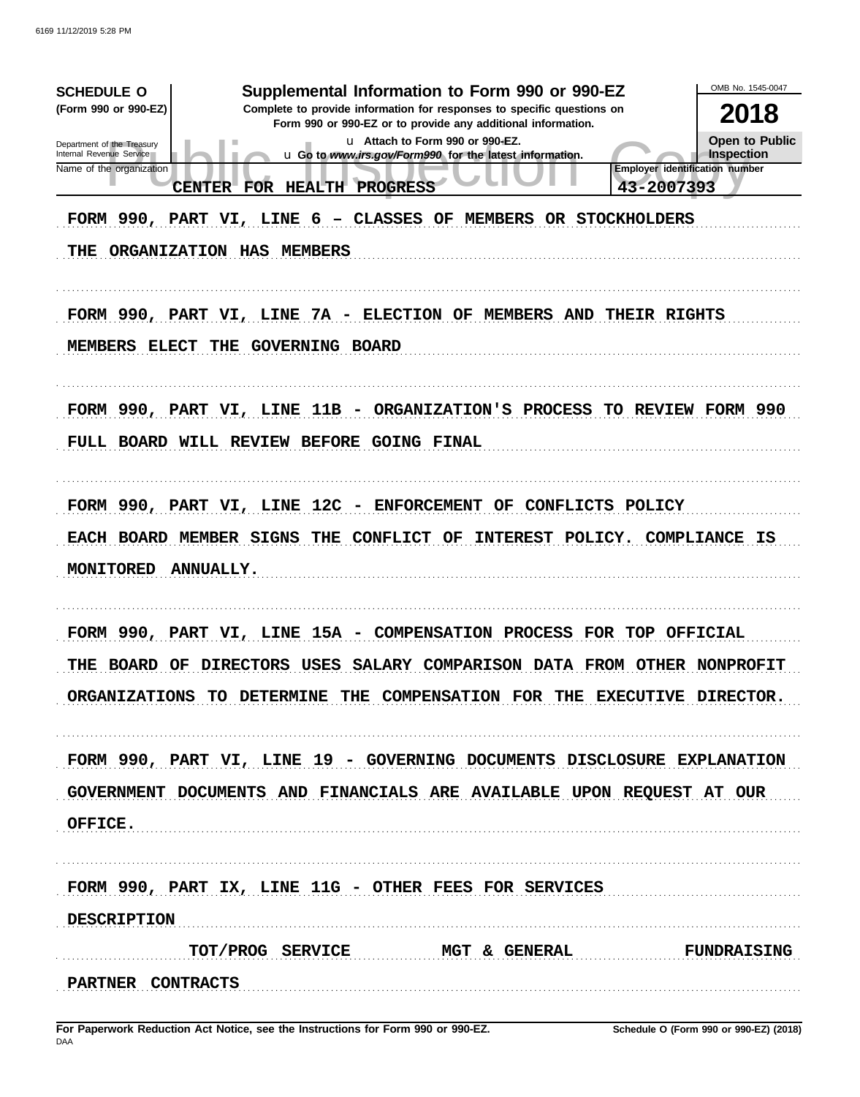| Supplemental Information to Form 990 or 990-EZ<br><b>SCHEDULE O</b><br>(Form 990 or 990-EZ)<br>Complete to provide information for responses to specific questions on<br>Form 990 or 990-EZ or to provide any additional information.<br>u Attach to Form 990 or 990-EZ.<br>Department of the Treasury<br>Internal Revenue Service<br>u Go to www.irs.gov/Form990 for the latest information.<br><b>Employer identification number</b><br>Name of the organization<br>43-2007393<br>CENTER FOR HEALTH PROGRESS<br>FORM 990, PART VI, LINE 6 - CLASSES OF<br>MEMBERS OR STOCKHOLDERS<br>THE<br>ORGANIZATION HAS MEMBERS | OMB No. 1545-0047<br>2018<br><b>Open to Public</b><br><b>Inspection</b> |
|------------------------------------------------------------------------------------------------------------------------------------------------------------------------------------------------------------------------------------------------------------------------------------------------------------------------------------------------------------------------------------------------------------------------------------------------------------------------------------------------------------------------------------------------------------------------------------------------------------------------|-------------------------------------------------------------------------|
| FORM 990, PART VI, LINE 7A - ELECTION OF MEMBERS AND THEIR RIGHTS<br><b>MEMBERS ELECT</b><br>THE<br><b>GOVERNING BOARD</b>                                                                                                                                                                                                                                                                                                                                                                                                                                                                                             |                                                                         |
| FORM 990, PART VI, LINE 11B - ORGANIZATION'S PROCESS TO REVIEW FORM 990<br>FULL BOARD WILL REVIEW BEFORE GOING FINAL                                                                                                                                                                                                                                                                                                                                                                                                                                                                                                   |                                                                         |
| FORM 990, PART VI, LINE 12C - ENFORCEMENT OF CONFLICTS POLICY<br>EACH BOARD MEMBER SIGNS<br><b>CONFLICT OF</b><br>THE<br>INTEREST POLICY. COMPLIANCE IS<br><b>MONITORED</b><br>ANNUALLY.                                                                                                                                                                                                                                                                                                                                                                                                                               |                                                                         |
| FORM 990, PART VI, LINE 15A - COMPENSATION PROCESS FOR TOP OFFICIAL<br>THE BOARD OF DIRECTORS USES SALARY COMPARISON DATA FROM OTHER NONPROFIT<br>ORGANIZATIONS TO DETERMINE THE COMPENSATION FOR THE EXECUTIVE DIRECTOR.                                                                                                                                                                                                                                                                                                                                                                                              |                                                                         |
| FORM 990, PART VI, LINE 19 - GOVERNING DOCUMENTS DISCLOSURE EXPLANATION<br>GOVERNMENT DOCUMENTS AND FINANCIALS ARE AVAILABLE UPON REQUEST AT OUR<br>OFFICE.                                                                                                                                                                                                                                                                                                                                                                                                                                                            |                                                                         |
| FORM 990, PART IX, LINE 11G - OTHER FEES FOR SERVICES<br><b>DESCRIPTION</b>                                                                                                                                                                                                                                                                                                                                                                                                                                                                                                                                            |                                                                         |
| TOT/PROG SERVICE MGT & GENERAL<br>PARTNER CONTRACTS                                                                                                                                                                                                                                                                                                                                                                                                                                                                                                                                                                    | <b>FUNDRAISING</b>                                                      |